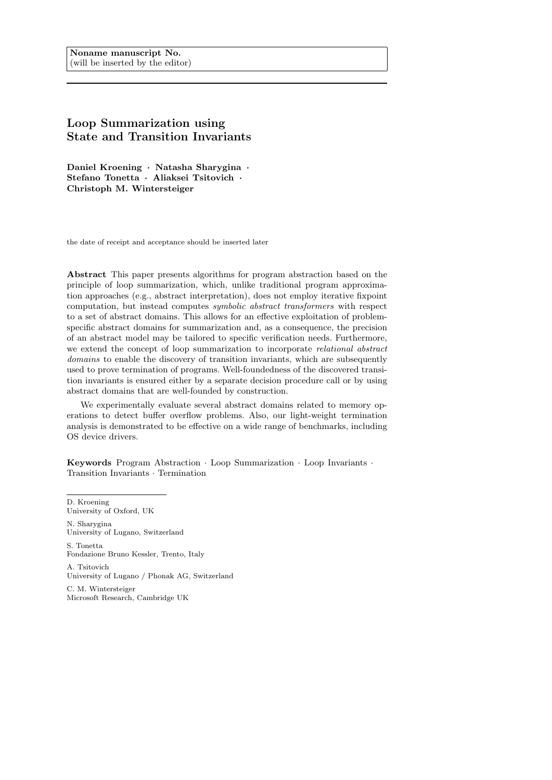# Loop Summarization using State and Transition Invariants

Daniel Kroening · Natasha Sharygina · Stefano Tonetta · Aliaksei Tsitovich · Christoph M. Wintersteiger

the date of receipt and acceptance should be inserted later

Abstract This paper presents algorithms for program abstraction based on the principle of loop summarization, which, unlike traditional program approximation approaches (e.g., abstract interpretation), does not employ iterative fixpoint computation, but instead computes symbolic abstract transformers with respect to a set of abstract domains. This allows for an effective exploitation of problemspecific abstract domains for summarization and, as a consequence, the precision of an abstract model may be tailored to specific verification needs. Furthermore, we extend the concept of loop summarization to incorporate relational abstract domains to enable the discovery of transition invariants, which are subsequently used to prove termination of programs. Well-foundedness of the discovered transition invariants is ensured either by a separate decision procedure call or by using abstract domains that are well-founded by construction.

We experimentally evaluate several abstract domains related to memory operations to detect buffer overflow problems. Also, our light-weight termination analysis is demonstrated to be effective on a wide range of benchmarks, including OS device drivers.

Keywords Program Abstraction · Loop Summarization · Loop Invariants · Transition Invariants · Termination

D. Kroening University of Oxford, UK

N. Sharygina University of Lugano, Switzerland

S. Tonetta Fondazione Bruno Kessler, Trento, Italy

A. Tsitovich University of Lugano / Phonak AG, Switzerland

C. M. Wintersteiger Microsoft Research, Cambridge UK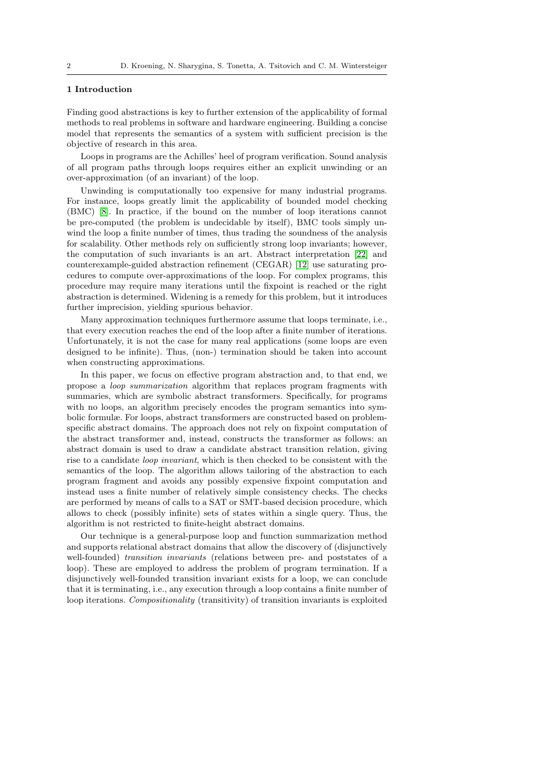# 1 Introduction

Finding good abstractions is key to further extension of the applicability of formal methods to real problems in software and hardware engineering. Building a concise model that represents the semantics of a system with sufficient precision is the objective of research in this area.

Loops in programs are the Achilles' heel of program verification. Sound analysis of all program paths through loops requires either an explicit unwinding or an over-approximation (of an invariant) of the loop.

Unwinding is computationally too expensive for many industrial programs. For instance, loops greatly limit the applicability of bounded model checking (BMC) [\[8\]](#page-39-0). In practice, if the bound on the number of loop iterations cannot be pre-computed (the problem is undecidable by itself), BMC tools simply unwind the loop a finite number of times, thus trading the soundness of the analysis for scalability. Other methods rely on sufficiently strong loop invariants; however, the computation of such invariants is an art. Abstract interpretation [\[22\]](#page-40-0) and counterexample-guided abstraction refinement (CEGAR) [\[12\]](#page-39-1) use saturating procedures to compute over-approximations of the loop. For complex programs, this procedure may require many iterations until the fixpoint is reached or the right abstraction is determined. Widening is a remedy for this problem, but it introduces further imprecision, yielding spurious behavior.

Many approximation techniques furthermore assume that loops terminate, i.e., that every execution reaches the end of the loop after a finite number of iterations. Unfortunately, it is not the case for many real applications (some loops are even designed to be infinite). Thus, (non-) termination should be taken into account when constructing approximations.

In this paper, we focus on effective program abstraction and, to that end, we propose a loop summarization algorithm that replaces program fragments with summaries, which are symbolic abstract transformers. Specifically, for programs with no loops, an algorithm precisely encodes the program semantics into symbolic formulæ. For loops, abstract transformers are constructed based on problemspecific abstract domains. The approach does not rely on fixpoint computation of the abstract transformer and, instead, constructs the transformer as follows: an abstract domain is used to draw a candidate abstract transition relation, giving rise to a candidate loop invariant, which is then checked to be consistent with the semantics of the loop. The algorithm allows tailoring of the abstraction to each program fragment and avoids any possibly expensive fixpoint computation and instead uses a finite number of relatively simple consistency checks. The checks are performed by means of calls to a SAT or SMT-based decision procedure, which allows to check (possibly infinite) sets of states within a single query. Thus, the algorithm is not restricted to finite-height abstract domains.

Our technique is a general-purpose loop and function summarization method and supports relational abstract domains that allow the discovery of (disjunctively well-founded) transition invariants (relations between pre- and poststates of a loop). These are employed to address the problem of program termination. If a disjunctively well-founded transition invariant exists for a loop, we can conclude that it is terminating, i.e., any execution through a loop contains a finite number of loop iterations. Compositionality (transitivity) of transition invariants is exploited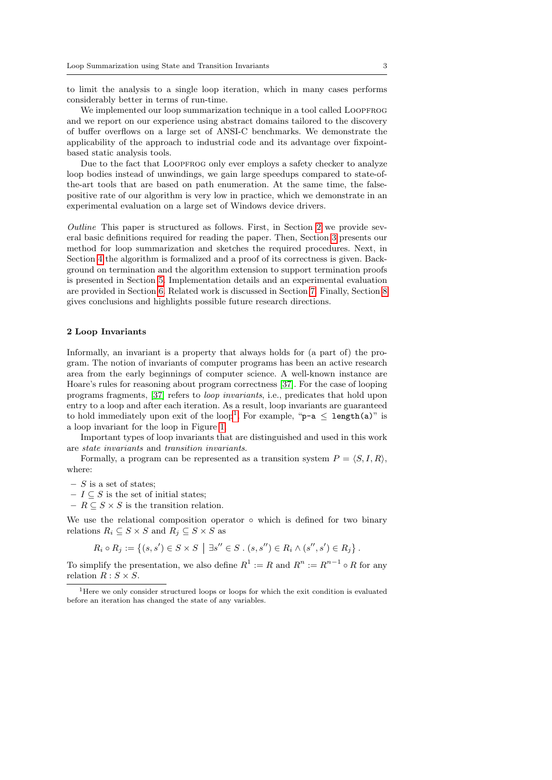to limit the analysis to a single loop iteration, which in many cases performs considerably better in terms of run-time.

We implemented our loop summarization technique in a tool called LOOPFROG and we report on our experience using abstract domains tailored to the discovery of buffer overflows on a large set of ANSI-C benchmarks. We demonstrate the applicability of the approach to industrial code and its advantage over fixpointbased static analysis tools.

Due to the fact that LOOPFROG only ever employs a safety checker to analyze loop bodies instead of unwindings, we gain large speedups compared to state-ofthe-art tools that are based on path enumeration. At the same time, the falsepositive rate of our algorithm is very low in practice, which we demonstrate in an experimental evaluation on a large set of Windows device drivers.

Outline This paper is structured as follows. First, in Section [2](#page-2-0) we provide several basic definitions required for reading the paper. Then, Section [3](#page-3-0) presents our method for loop summarization and sketches the required procedures. Next, in Section [4](#page-5-0) the algorithm is formalized and a proof of its correctness is given. Background on termination and the algorithm extension to support termination proofs is presented in Section [5.](#page-13-0) Implementation details and an experimental evaluation are provided in Section [6.](#page-20-0) Related work is discussed in Section [7.](#page-32-0) Finally, Section [8](#page-37-0) gives conclusions and highlights possible future research directions.

### <span id="page-2-0"></span>2 Loop Invariants

Informally, an invariant is a property that always holds for (a part of) the program. The notion of invariants of computer programs has been an active research area from the early beginnings of computer science. A well-known instance are Hoare's rules for reasoning about program correctness [\[37\]](#page-41-0). For the case of looping programs fragments, [\[37\]](#page-41-0) refers to loop invariants, i.e., predicates that hold upon entry to a loop and after each iteration. As a result, loop invariants are guaranteed to hold immediately upon exit of the loop<sup>[1](#page-2-1)</sup>. For example, "**p-a**  $\leq$  **length(a)**" is a loop invariant for the loop in Figure [1.](#page-3-1)

Important types of loop invariants that are distinguished and used in this work are state invariants and transition invariants.

Formally, a program can be represented as a transition system  $P = \langle S, I, R \rangle$ , where:

- $S$  is a set of states;
- $-I \subseteq S$  is the set of initial states;
- $R \subseteq S \times S$  is the transition relation.

We use the relational composition operator ∘ which is defined for two binary relations  $R_i \subseteq S \times S$  and  $R_j \subseteq S \times S$  as

$$
R_i \circ R_j := \{ (s, s') \in S \times S \mid \exists s'' \in S \,.\, (s, s'') \in R_i \land (s'', s') \in R_j \} \,.
$$

To simplify the presentation, we also define  $R^1 := R$  and  $R^n := R^{n-1} \circ R$  for any relation  $R : S \times S$ .

<span id="page-2-1"></span><sup>1</sup>Here we only consider structured loops or loops for which the exit condition is evaluated before an iteration has changed the state of any variables.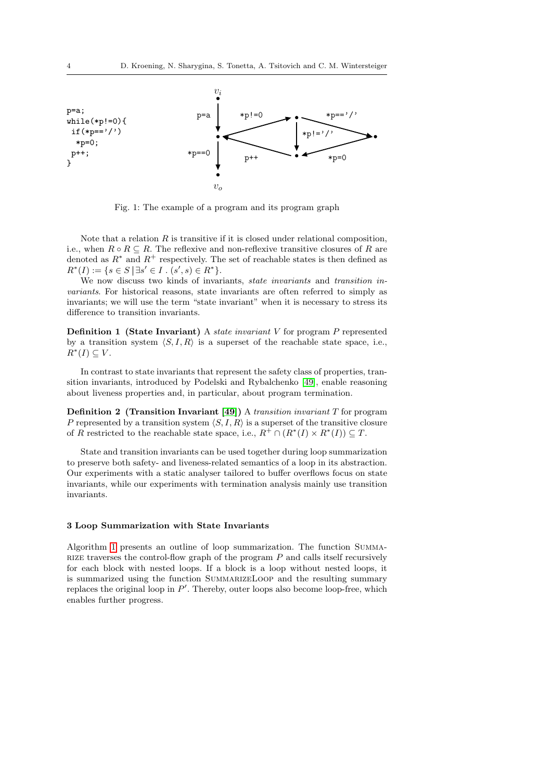<span id="page-3-1"></span>

Fig. 1: The example of a program and its program graph

Note that a relation  $R$  is transitive if it is closed under relational composition, i.e., when  $R \circ R \subseteq R$ . The reflexive and non-reflexive transitive closures of R are denoted as  $R^*$  and  $R^+$  respectively. The set of reachable states is then defined as  $R^*(I) := \{ s \in S \mid \exists s' \in I \ . \ (s', s) \in R^* \}.$ 

We now discuss two kinds of invariants, *state invariants* and *transition in*variants. For historical reasons, state invariants are often referred to simply as invariants; we will use the term "state invariant" when it is necessary to stress its difference to transition invariants.

**Definition 1 (State Invariant)** A *state invariant*  $V$  for program  $P$  represented by a transition system  $\langle S, I, R \rangle$  is a superset of the reachable state space, i.e.,  $R^*(I) \subseteq V$ .

In contrast to state invariants that represent the safety class of properties, transition invariants, introduced by Podelski and Rybalchenko [\[49\]](#page-42-0), enable reasoning about liveness properties and, in particular, about program termination.

<span id="page-3-2"></span>**Definition 2** (Transition Invariant [\[49\]](#page-42-0)) A transition invariant  $T$  for program P represented by a transition system  $\langle S, I, R \rangle$  is a superset of the transitive closure of R restricted to the reachable state space, i.e.,  $R^+ \cap (R^*(I) \times R^*(I)) \subseteq T$ .

State and transition invariants can be used together during loop summarization to preserve both safety- and liveness-related semantics of a loop in its abstraction. Our experiments with a static analyser tailored to buffer overflows focus on state invariants, while our experiments with termination analysis mainly use transition invariants.

# <span id="page-3-0"></span>3 Loop Summarization with State Invariants

Algorithm [1](#page-4-0) presents an outline of loop summarization. The function Summa-RIZE traverses the control-flow graph of the program  $P$  and calls itself recursively for each block with nested loops. If a block is a loop without nested loops, it is summarized using the function SummarizeLoop and the resulting summary replaces the original loop in  $P'$ . Thereby, outer loops also become loop-free, which enables further progress.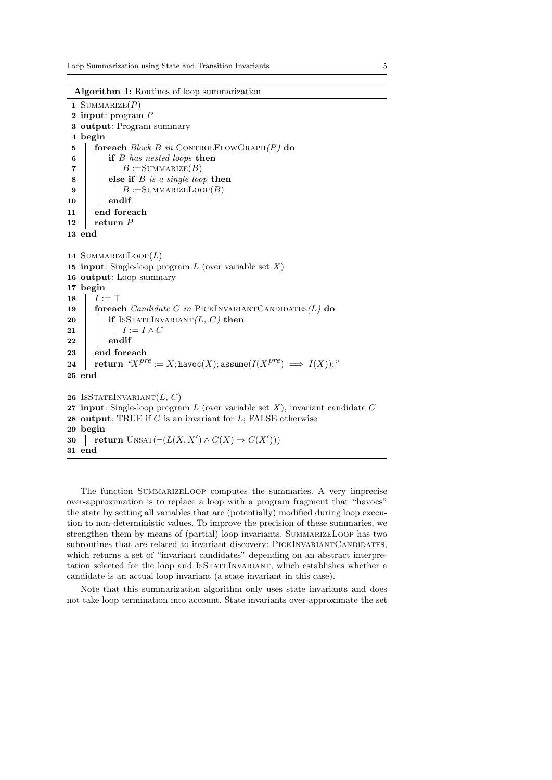Algorithm 1: Routines of loop summarization

1 SUMMARIZE $(P)$ 2 input: program P 3 output: Program summary 4 begin 5 | foreach  $Block B$  in CONTROLFLOWGRAPH $(P)$  do 6 if B has nested loops then 7 | |  $B := \text{SUMMARIZE}(B)$  $\bf{8}$  | else if *B* is a single loop then 9 | |  $B := \text{SUMMARIZELoop}(B)$  $10$  endif 11 end foreach 12 return  $P$ 13 end 14 SUMMARIZELOOP $(L)$ 15 input: Single-loop program  $L$  (over variable set  $X$ ) 16 output: Loop summary 17 begin 18  $I := T$ 19 foreach *Candidate C in* PICKINVARIANTCANDIDATES $(L)$  do 20 if ISSTATEINVARIANT $(L, C)$  then 21 | |  $I := I \wedge C$  $22$  endif 23 end foreach  ${\bf 24} \quad \left| \quad {\bf return} \ \ ^{\alpha}\! X^{pre} := X; {\tt havec}(X); {\tt assume}(I(X^{pre}) \implies I(X)); \ ^{\pi}\!\!$ 25 end 26 ISSTATEINVARIANT $(L, C)$ 27 input: Single-loop program  $L$  (over variable set  $X$ ), invariant candidate  $C$ 28 output: TRUE if  $C$  is an invariant for  $L$ ; FALSE otherwise 29 begin 30 | return UNSAT $(\neg(L(X, X') \land C(X) \Rightarrow C(X')))$ 31 end

<span id="page-4-0"></span>The function SummarizeLoop computes the summaries. A very imprecise over-approximation is to replace a loop with a program fragment that "havocs" the state by setting all variables that are (potentially) modified during loop execution to non-deterministic values. To improve the precision of these summaries, we strengthen them by means of (partial) loop invariants. SUMMARIZELOOP has two subroutines that are related to invariant discovery: PICKINVARIANTCANDIDATES, which returns a set of "invariant candidates" depending on an abstract interpretation selected for the loop and IsStateInvariant, which establishes whether a candidate is an actual loop invariant (a state invariant in this case).

Note that this summarization algorithm only uses state invariants and does not take loop termination into account. State invariants over-approximate the set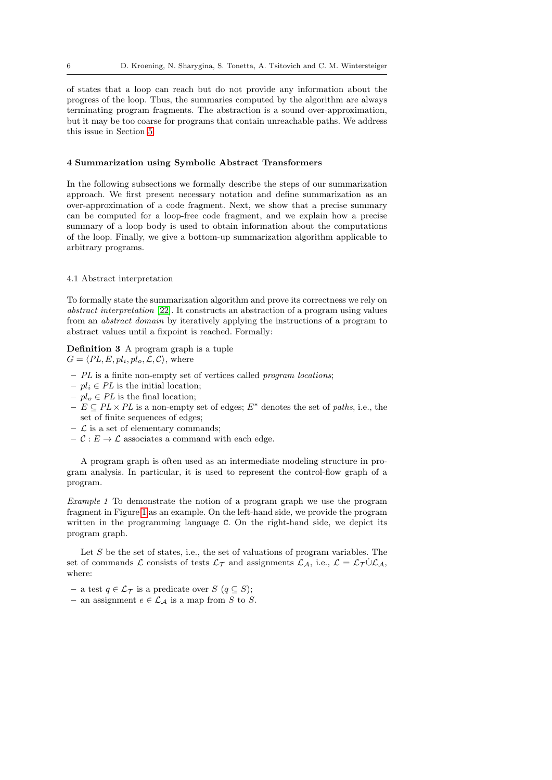of states that a loop can reach but do not provide any information about the progress of the loop. Thus, the summaries computed by the algorithm are always terminating program fragments. The abstraction is a sound over-approximation, but it may be too coarse for programs that contain unreachable paths. We address this issue in Section [5.](#page-13-0)

#### <span id="page-5-0"></span>4 Summarization using Symbolic Abstract Transformers

In the following subsections we formally describe the steps of our summarization approach. We first present necessary notation and define summarization as an over-approximation of a code fragment. Next, we show that a precise summary can be computed for a loop-free code fragment, and we explain how a precise summary of a loop body is used to obtain information about the computations of the loop. Finally, we give a bottom-up summarization algorithm applicable to arbitrary programs.

# <span id="page-5-1"></span>4.1 Abstract interpretation

To formally state the summarization algorithm and prove its correctness we rely on abstract interpretation [\[22\]](#page-40-0). It constructs an abstraction of a program using values from an abstract domain by iteratively applying the instructions of a program to abstract values until a fixpoint is reached. Formally:

# Definition 3 A program graph is a tuple  $G = \langle PL, E, pl_i, pl_o, \mathcal{L}, \mathcal{C} \rangle$ , where

- $-PL$  is a finite non-empty set of vertices called *program locations*;
- $pl_i \in PL$  is the initial location;
- $-pl_o \in PL$  is the final location;
- $E \subseteq PL \times PL$  is a non-empty set of edges;  $E^*$  denotes the set of paths, i.e., the set of finite sequences of edges;
- $\mathcal L$  is a set of elementary commands;
- $\mathcal{C}: E \to \mathcal{L}$  associates a command with each edge.

A program graph is often used as an intermediate modeling structure in program analysis. In particular, it is used to represent the control-flow graph of a program.

Example 1 To demonstrate the notion of a program graph we use the program fragment in Figure [1](#page-3-1) as an example. On the left-hand side, we provide the program written in the programming language C. On the right-hand side, we depict its program graph.

Let  $S$  be the set of states, i.e., the set of valuations of program variables. The set of commands L consists of tests  $\mathcal{L}_{\mathcal{T}}$  and assignments  $\mathcal{L}_{\mathcal{A}}$ , i.e.,  $\mathcal{L} = \mathcal{L}_{\mathcal{T}} \cup \mathcal{L}_{\mathcal{A}}$ , where:

- a test  $q \in \mathcal{L}_{\mathcal{T}}$  is a predicate over  $S$  ( $q \subseteq S$ );
- an assignment  $e \in \mathcal{L}_{\mathcal{A}}$  is a map from S to S.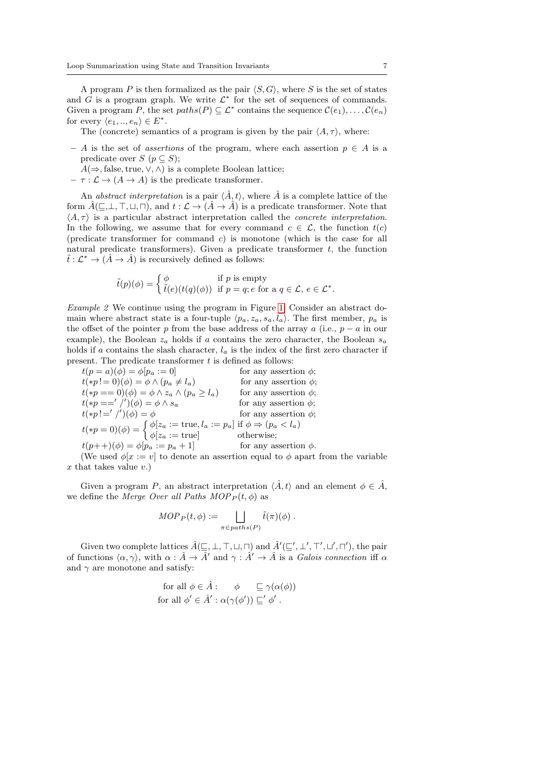A program P is then formalized as the pair  $\langle S, G \rangle$ , where S is the set of states and  $G$  is a program graph. We write  $\mathcal{L}^*$  for the set of sequences of commands. Given a program P, the set  $paths(P) \subseteq \mathcal{L}^*$  contains the sequence  $\mathcal{C}(e_1), \ldots, \mathcal{C}(e_n)$ for every  $\langle e_1, ..., e_n \rangle \in E^*$ .

The (concrete) semantics of a program is given by the pair  $\langle A, \tau \rangle$ , where:

- A is the set of *assertions* of the program, where each assertion  $p \in A$  is a predicate over  $S$  ( $p \subset S$ );
	- $A(\Rightarrow$ , false, true,  $\vee$ ,  $\wedge$ ) is a complete Boolean lattice;
- $\tau : \mathcal{L} \to (A \to A)$  is the predicate transformer.

An abstract interpretation is a pair  $\langle \hat{A}, t \rangle$ , where  $\hat{A}$  is a complete lattice of the form  $\hat{A}(\subseteq,\perp,\top,\sqcup,\sqcap)$ , and  $t : \mathcal{L} \to (\hat{A} \to \hat{A})$  is a predicate transformer. Note that  $\langle A, \tau \rangle$  is a particular abstract interpretation called the *concrete interpretation*. In the following, we assume that for every command  $c \in \mathcal{L}$ , the function  $t(c)$ (predicate transformer for command c) is monotone (which is the case for all natural predicate transformers). Given a predicate transformer  $t$ , the function  $\tilde{t}: \mathcal{L}^* \to (\hat{A} \to \hat{A})$  is recursively defined as follows:

$$
\tilde{t}(p)(\phi) = \begin{cases} \phi & \text{if } p \text{ is empty} \\ \tilde{t}(e)(t(q)(\phi)) & \text{if } p = q; e \text{ for a } q \in \mathcal{L}, e \in \mathcal{L}^*.\end{cases}
$$

<span id="page-6-0"></span>Example 2 We continue using the program in Figure [1.](#page-3-1) Consider an abstract domain where abstract state is a four-tuple  $\langle p_a, z_a, s_a, l_a \rangle$ . The first member,  $p_a$  is the offset of the pointer p from the base address of the array a (i.e.,  $p - a$  in our example), the Boolean  $z_a$  holds if a contains the zero character, the Boolean  $s_a$ holds if a contains the slash character,  $l_a$  is the index of the first zero character if present. The predicate transformer  $t$  is defined as follows:

 $t(p = a)(\phi) = \phi[p_a := 0]$  for any assertion  $\phi$ ;  $t(*p!=0)(\phi) = \phi \wedge (p_a \neq l_a)$  for any assertion  $\phi$ ;  $t(*p == 0)(\phi) = \phi \wedge z_a \wedge (p_a \ge l_a)$  for any assertion  $\phi$ ;  $t(*p =='')'$ for any assertion  $\phi$ ;  $t(*p!='$  /' for any assertion  $\phi$ ;  $t(*p = 0)(\phi) = \begin{cases} \phi[z_a := \text{true}, l_a := p_a] & \text{if } \phi \Rightarrow (p_a < l_a) \\ \frac{1}{a} & \text{then } \text{otherwise} \end{cases}$  $\phi[z_a := \text{true}]$  otherwise;  $t(p++)(\phi) = \phi[p_a := p_a + 1]$  for any assertion  $\phi$ .

(We used  $\phi[x := v]$  to denote an assertion equal to  $\phi$  apart from the variable  $x$  that takes value  $v.$ )

Given a program P, an abstract interpretation  $\langle \hat{A}, t \rangle$  and an element  $\phi \in \hat{A}$ , we define the Merge Over all Paths  $MOP<sub>P</sub>(t, \phi)$  as

$$
MOP_P(t, \phi) := \bigsqcup_{\pi \in paths(P)} \tilde{t}(\pi)(\phi) .
$$

Given two complete lattices  $\hat{A}(\subseteq, \perp, \top, \sqcup, \sqcap)$  and  $\hat{A}'(\subseteq', \perp', \top', \sqcup', \sqcap')$ , the pair of functions  $\langle \alpha, \gamma \rangle$ , with  $\alpha : \hat{A} \to \hat{A}'$  and  $\gamma : \hat{A}' \to \hat{A}$  is a Galois connection iff  $\alpha$ and  $\gamma$  are monotone and satisfy:

for all 
$$
\phi \in \hat{A}
$$
:  $\phi \subseteq \gamma(\alpha(\phi))$   
for all  $\phi' \in \hat{A}' : \alpha(\gamma(\phi')) \sqsubseteq' \phi'$ .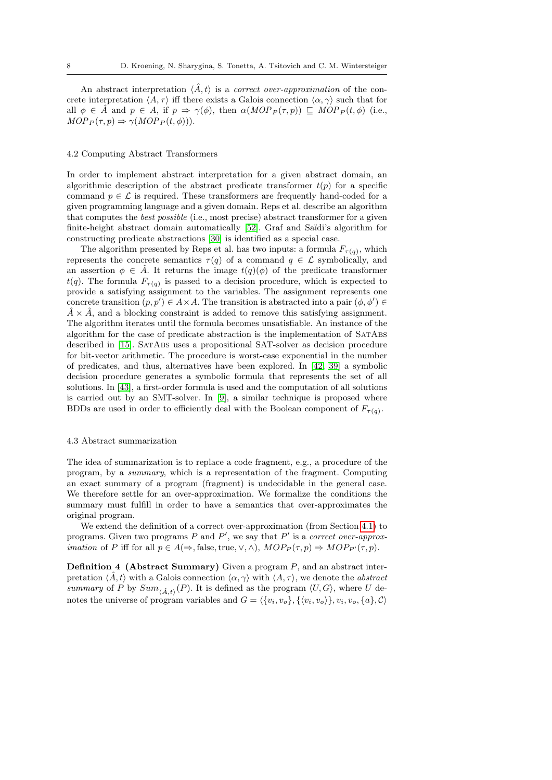An abstract interpretation  $\langle \hat{A}, t \rangle$  is a *correct over-approximation* of the concrete interpretation  $\langle A, \tau \rangle$  iff there exists a Galois connection  $\langle \alpha, \gamma \rangle$  such that for all  $\phi \in \hat{A}$  and  $p \in A$ , if  $p \Rightarrow \gamma(\phi)$ , then  $\alpha(MOP_P(\tau, p)) \subseteq MOP_P(t, \phi)$  (i.e.,  $MOP_P(\tau, p) \Rightarrow \gamma(MOP_P(t, \phi))$ .

#### <span id="page-7-1"></span>4.2 Computing Abstract Transformers

In order to implement abstract interpretation for a given abstract domain, an algorithmic description of the abstract predicate transformer  $t(p)$  for a specific command  $p \in \mathcal{L}$  is required. These transformers are frequently hand-coded for a given programming language and a given domain. Reps et al. describe an algorithm that computes the best possible (i.e., most precise) abstract transformer for a given finite-height abstract domain automatically [\[52\]](#page-42-1). Graf and Saïdi's algorithm for constructing predicate abstractions [\[30\]](#page-41-1) is identified as a special case.

The algorithm presented by Reps et al. has two inputs: a formula  $F_{\tau(q)}$ , which represents the concrete semantics  $\tau(q)$  of a command  $q \in \mathcal{L}$  symbolically, and an assertion  $\phi \in \hat{A}$ . It returns the image  $t(q)(\phi)$  of the predicate transformer  $t(q)$ . The formula  $F_{\tau(q)}$  is passed to a decision procedure, which is expected to provide a satisfying assignment to the variables. The assignment represents one concrete transition  $(p, p') \in A \times A$ . The transition is abstracted into a pair  $(\phi, \phi') \in A$  $\hat{A} \times \hat{A}$ , and a blocking constraint is added to remove this satisfying assignment. The algorithm iterates until the formula becomes unsatisfiable. An instance of the algorithm for the case of predicate abstraction is the implementation of SatAbs described in [\[15\]](#page-40-1). SatAbs uses a propositional SAT-solver as decision procedure for bit-vector arithmetic. The procedure is worst-case exponential in the number of predicates, and thus, alternatives have been explored. In [\[42,](#page-41-2) [39\]](#page-41-3) a symbolic decision procedure generates a symbolic formula that represents the set of all solutions. In [\[43\]](#page-41-4), a first-order formula is used and the computation of all solutions is carried out by an SMT-solver. In [\[9\]](#page-39-2), a similar technique is proposed where BDDs are used in order to efficiently deal with the Boolean component of  $F_{\tau(q)}$ .

#### 4.3 Abstract summarization

The idea of summarization is to replace a code fragment, e.g., a procedure of the program, by a summary, which is a representation of the fragment. Computing an exact summary of a program (fragment) is undecidable in the general case. We therefore settle for an over-approximation. We formalize the conditions the summary must fulfill in order to have a semantics that over-approximates the original program.

We extend the definition of a correct over-approximation (from Section [4.1\)](#page-5-1) to programs. Given two programs P and  $P'$ , we say that P' is a correct over-approx*imation* of P iff for all  $p \in A(\Rightarrow)$ , false, true,  $\vee, \wedge$ ),  $MOP_P(\tau, p) \Rightarrow MOP_{P'}(\tau, p)$ .

<span id="page-7-0"></span>**Definition 4 (Abstract Summary)** Given a program  $P$ , and an abstract interpretation  $\langle \hat{A}, t \rangle$  with a Galois connection  $\langle \alpha, \gamma \rangle$  with  $\langle A, \tau \rangle$ , we denote the *abstract* summary of P by  $Sum_{\langle \hat{A}, t \rangle}(P)$ . It is defined as the program  $\langle U, G \rangle$ , where U denotes the universe of program variables and  $G = \{ \{v_i, v_o\}, \{ \langle v_i, v_o \rangle \}, v_i, v_o, \{a\}, C \}$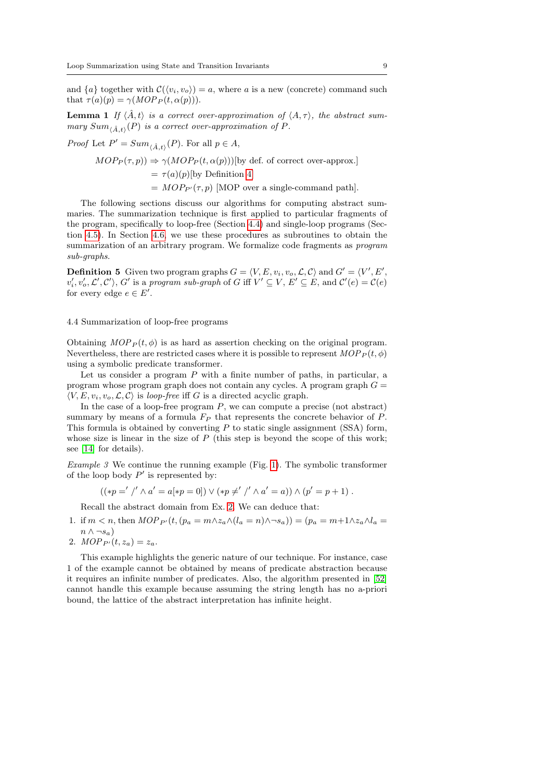and  $\{a\}$  together with  $\mathcal{C}(\langle v_i, v_o \rangle) = a$ , where a is a new (concrete) command such that  $\tau(a)(p) = \gamma(MOP_P(t, \alpha(p))).$ 

**Lemma 1** If  $\langle \hat{A}, t \rangle$  is a correct over-approximation of  $\langle A, \tau \rangle$ , the abstract summary  $Sum_{\langle \hat{A},t\rangle}(P)$  is a correct over-approximation of P.

*Proof* Let  $P' = Sum_{\langle \hat{A}, t \rangle}(P)$ . For all  $p \in A$ ,

 $MOP_P(\tau, p) \Rightarrow \gamma(MOP_P(t, \alpha(p)))$ [by def. of correct over-approx.]  $= \tau(a)(p)$ [by Definition [4\]](#page-7-0)  $= MOP_{P'}(\tau, p)$  [MOP over a single-command path].

The following sections discuss our algorithms for computing abstract summaries. The summarization technique is first applied to particular fragments of the program, specifically to loop-free (Section [4.4\)](#page-8-0) and single-loop programs (Section [4.5\)](#page-9-0). In Section [4.6,](#page-11-0) we use these procedures as subroutines to obtain the summarization of an arbitrary program. We formalize code fragments as program sub-graphs.

<span id="page-8-2"></span>**Definition 5** Given two program graphs  $G = \langle V, E, v_i, v_o, \mathcal{L}, \mathcal{C} \rangle$  and  $G' = \langle V', E', \mathcal{L}' \rangle$  $v'_i, v'_o, \mathcal{L}', \mathcal{C}'\rangle$ , G' is a program sub-graph of G iff  $V' \subseteq V$ ,  $E' \subseteq E$ , and  $\mathcal{C}'(e) = \mathcal{C}(e)$ for every edge  $e \in E'$ .

# <span id="page-8-0"></span>4.4 Summarization of loop-free programs

Obtaining  $MOP<sub>P</sub>(t, \phi)$  is as hard as assertion checking on the original program. Nevertheless, there are restricted cases where it is possible to represent  $MOP_P(t, \phi)$ using a symbolic predicate transformer.

Let us consider a program  $P$  with a finite number of paths, in particular, a program whose program graph does not contain any cycles. A program graph  $G =$  $\langle V, E, v_i, v_o, \mathcal{L}, \mathcal{C} \rangle$  is loop-free iff G is a directed acyclic graph.

In the case of a loop-free program  $P$ , we can compute a precise (not abstract) summary by means of a formula  $F_P$  that represents the concrete behavior of  $P$ . This formula is obtained by converting  $P$  to static single assignment (SSA) form, whose size is linear in the size of  $P$  (this step is beyond the scope of this work; see [\[14\]](#page-40-2) for details).

<span id="page-8-1"></span>*Example 3* We continue the running example (Fig. [1\)](#page-3-1). The symbolic transformer of the loop body  $P'$  is represented by:

$$
((\ast p = ' /' \land a' = a[\ast p = 0]) \lor (\ast p \neq ' /' \land a' = a)) \land (p' = p + 1).
$$

Recall the abstract domain from Ex. [2.](#page-6-0) We can deduce that:

- 1. if  $m < n$ , then  $MOP_{P'}(t, (p_a = m \wedge z_a \wedge (l_a = n) \wedge \neg s_a)) = (p_a = m + 1 \wedge z_a \wedge l_a =$  $n \wedge \neg s_a)$
- 2.  $MOP_{P}(t, z_a) = z_a$ .

This example highlights the generic nature of our technique. For instance, case 1 of the example cannot be obtained by means of predicate abstraction because it requires an infinite number of predicates. Also, the algorithm presented in [\[52\]](#page-42-1) cannot handle this example because assuming the string length has no a-priori bound, the lattice of the abstract interpretation has infinite height.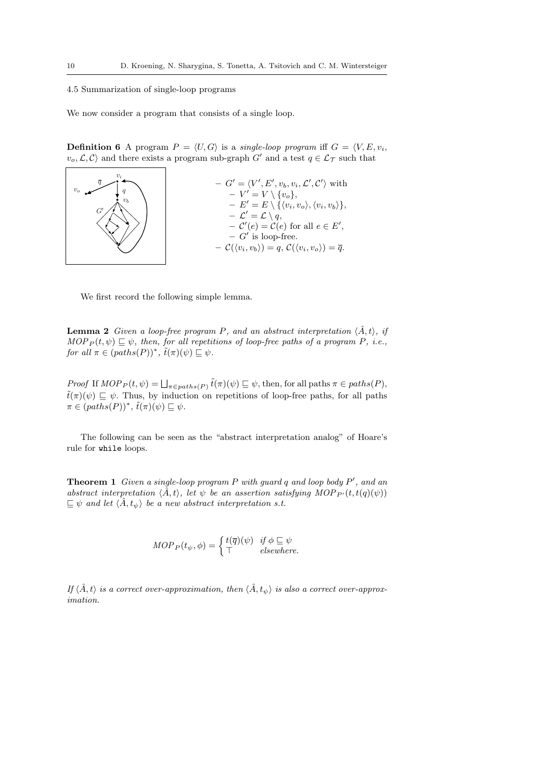# <span id="page-9-0"></span>4.5 Summarization of single-loop programs

We now consider a program that consists of a single loop.

**Definition 6** A program  $P = \langle U, G \rangle$  is a single-loop program iff  $G = \langle V, E, v_i, \rangle$  $\langle v_o, \mathcal{L}, \mathcal{C} \rangle$  and there exists a program sub-graph  $G'$  and a test  $q \in \mathcal{L}_{\mathcal{T}}$  such that



<span id="page-9-1"></span>We first record the following simple lemma.

**Lemma 2** Given a loop-free program P, and an abstract interpretation  $\langle \hat{A}, t \rangle$ , if  $MOP_P(t, \psi) \sqsubset \psi$ , then, for all repetitions of loop-free paths of a program P, i.e., for all  $\pi \in (paths(P))^*, \tilde{t}(\pi)(\psi) \sqsubseteq \psi$ .

Proof If  $MOP_P(t, \psi) = \bigsqcup_{\pi \in paths(P)} \tilde{t}(\pi) (\psi) \sqsubseteq \psi$ , then, for all paths  $\pi \in paths(P)$ ,  $\tilde{t}(\pi)(\psi) \sqsubseteq \psi$ . Thus, by induction on repetitions of loop-free paths, for all paths  $\pi \in (paths(P))^*, \tilde{t}(\pi)(\psi) \sqsubseteq \psi.$ 

<span id="page-9-2"></span>The following can be seen as the "abstract interpretation analog" of Hoare's rule for while loops.

**Theorem 1** Given a single-loop program  $P$  with guard  $q$  and loop body  $P'$ , and an abstract interpretation  $\langle \hat{A}, t \rangle$ , let  $\psi$  be an assertion satisfying MOP  $P^{\prime}(t, t(q)(\psi))$  $\subseteq \psi$  and let  $\langle \hat{A}, t_{\psi} \rangle$  be a new abstract interpretation s.t.

$$
MOP_P(t_{\psi}, \phi) = \begin{cases} t(\overline{q})(\psi) & \text{if } \phi \sqsubseteq \psi \\ \top & \text{elsewhere.} \end{cases}
$$

If  $\langle \hat{A}, t \rangle$  is a correct over-approximation, then  $\langle \hat{A}, t_{\psi} \rangle$  is also a correct over-approximation.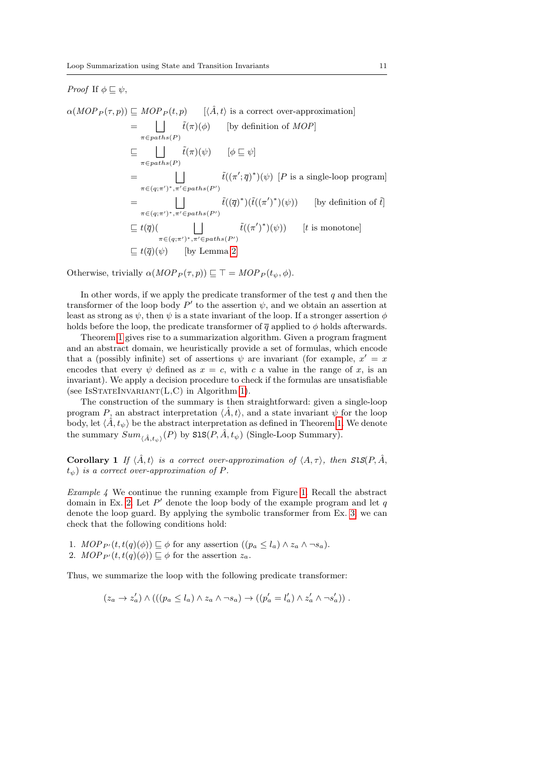# *Proof* If  $\phi \sqsubseteq \psi$ ,

 $\alpha(MOP_P(\tau, p)) \subseteq MOP_P(t, p)$  [ $\langle \hat{A}, t \rangle$  is a correct over-approximation]  $=$   $||$  $\pi \in paths(P)$  $\tilde{t}(\pi)(\phi)$  [by definition of *MOP*]  $\subseteq$   $||$  $\pi \in paths(P)$  $\tilde{t}(\pi)(\psi) \qquad [\phi \sqsubseteq \psi]$  $=$   $||$  $\pi \in (q; \pi')^*$ ,  $\pi' \in paths(P')$  $\tilde{t}((\pi'; \overline{q})^*)(\psi)$  [P is a single-loop program]  $=$   $||$  $\pi \in (q; \pi')^*$ ,  $\pi' \in paths(P')$  $\tilde{t}((\overline{q})^*)(\tilde{t}((\pi')^*)(\psi))$  [by definition of  $\tilde{t}$ ]  $\sqsubseteq t(\overline{q})$  |  $\pi \in (q; \pi')^*$ ,  $\pi' \in paths(P')$  $\tilde{t}((\pi')^*)(\psi))$  [t is monotone]  $\Box t(\overline{q})(\psi)$  [by Lemma [2\]](#page-9-1)

Otherwise, trivially  $\alpha(MOP_P(\tau, p)) \sqsubseteq \top = MOP_P(t_{\psi}, \phi)$ .

In other words, if we apply the predicate transformer of the test  $q$  and then the transformer of the loop body  $P'$  to the assertion  $\psi$ , and we obtain an assertion at least as strong as  $\psi$ , then  $\psi$  is a state invariant of the loop. If a stronger assertion  $\phi$ holds before the loop, the predicate transformer of  $\bar{q}$  applied to  $\phi$  holds afterwards.

Theorem [1](#page-9-2) gives rise to a summarization algorithm. Given a program fragment and an abstract domain, we heuristically provide a set of formulas, which encode that a (possibly infinite) set of assertions  $\psi$  are invariant (for example,  $x' = x$ encodes that every  $\psi$  defined as  $x = c$ , with c a value in the range of x, is an invariant). We apply a decision procedure to check if the formulas are unsatisfiable (see ISSTATEINVARIANT $(L, C)$  in Algorithm [1\)](#page-4-0).

The construction of the summary is then straightforward: given a single-loop program P, an abstract interpretation  $\langle \hat{A}, t \rangle$ , and a state invariant  $\psi$  for the loop body, let  $\langle \hat{A}, t_{\psi} \rangle$  be the abstract interpretation as defined in Theorem [1.](#page-9-2) We denote the summary  $Sum_{\langle \hat{A}, t_{\psi} \rangle}(P)$  by  $\texttt{SIS}(P, \hat{A}, t_{\psi})$  (Single-Loop Summary).

**Corollary 1** If  $\langle \hat{A}, t \rangle$  is a correct over-approximation of  $\langle A, \tau \rangle$ , then  $SIS(P, \hat{A}, \tau)$  $t_{\psi}$ ) is a correct over-approximation of P.

<span id="page-10-0"></span>*Example 4* We continue the running example from Figure [1.](#page-3-1) Recall the abstract domain in Ex. [2.](#page-6-0) Let  $P'$  denote the loop body of the example program and let  $q$ denote the loop guard. By applying the symbolic transformer from Ex. [3,](#page-8-1) we can check that the following conditions hold:

1.  $MOP_{P'}(t, t(q)(\phi)) \sqsubseteq \phi$  for any assertion  $((p_a \leq l_a) \land z_a \land \neg s_a)$ . 2.  $MOP_{P'}(t, t(q)(\phi)) \sqsubseteq \phi$  for the assertion  $z_a$ .

Thus, we summarize the loop with the following predicate transformer:

$$
(z_a \to z'_a) \land (((p_a \leq l_a) \land z_a \land \neg s_a) \to ((p'_a = l'_a) \land z'_a \land \neg s'_a)) .
$$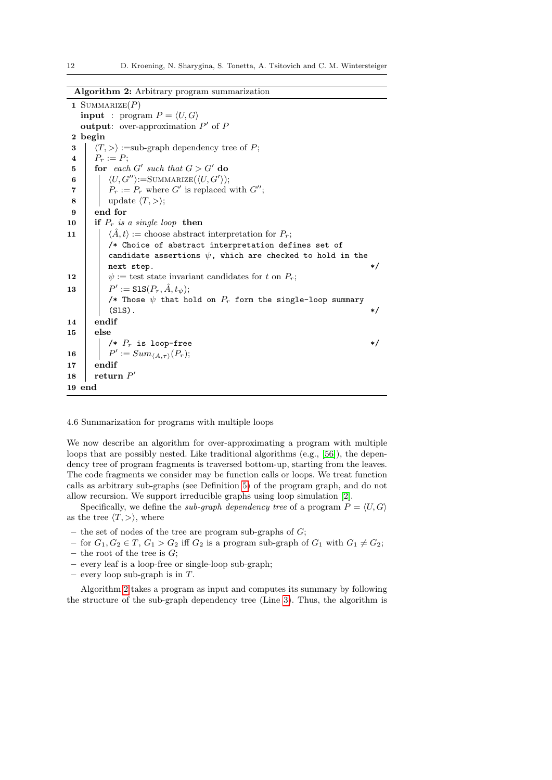|  |  |  |  | Algorithm 2: Arbitrary program summarization |
|--|--|--|--|----------------------------------------------|
|--|--|--|--|----------------------------------------------|

<span id="page-11-8"></span><span id="page-11-7"></span><span id="page-11-4"></span><span id="page-11-3"></span><span id="page-11-2"></span>1 SUMMARIZE $(P)$ **input** : program  $P = \langle U, G \rangle$ output: over-approximation  $P'$  of  $P$ 2 begin 3  $\langle T, \rangle :=$ sub-graph dependency tree of P; 4 |  $P_r := P;$ 5 for each  $G'$  such that  $G > G'$  do 6 |  $\langle U, G'' \rangle := \text{SUMMARIZE}(\langle U, G' \rangle);$ 7 |  $P_r := P_r$  where G' is replaced with G''; 8 | update  $\langle T, \rangle$ ; 9 end for 10 if  $P_r$  is a single loop then 11  $\langle \hat{A}, t \rangle :=$  choose abstract interpretation for  $P_r$ ; /\* Choice of abstract interpretation defines set of candidate assertions  $\psi$ , which are checked to hold in the next step.  $*/$ 12  $\vert \psi \rangle$  := test state invariant candidates for t on  $P_r$ ; **13**  $\mathcal{C} := \mathtt{Sls}(P_r, \hat{A}, t_{\psi});$ /\* Those  $\psi$  that hold on  $P_r$  form the single-loop summary  $\langle$ SlS).  $\star/$ 14 endif 15 else  $/* P_r$  is loop-free  $*/$  $16$  $' := Sum_{\langle A, \tau \rangle}(P_r);$ 17 endif 18 return  $P'$ 19 end

<span id="page-11-6"></span><span id="page-11-5"></span><span id="page-11-1"></span><span id="page-11-0"></span>4.6 Summarization for programs with multiple loops

We now describe an algorithm for over-approximating a program with multiple loops that are possibly nested. Like traditional algorithms (e.g., [\[56\]](#page-42-2)), the dependency tree of program fragments is traversed bottom-up, starting from the leaves. The code fragments we consider may be function calls or loops. We treat function calls as arbitrary sub-graphs (see Definition [5\)](#page-8-2) of the program graph, and do not allow recursion. We support irreducible graphs using loop simulation [\[2\]](#page-39-3).

Specifically, we define the *sub-graph dependency tree* of a program  $P = \langle U, G \rangle$ as the tree  $\langle T, \rangle$ , where

- the set of nodes of the tree are program sub-graphs of  $G$ ;
- for  $G_1, G_2 \in T$ ,  $G_1 > G_2$  iff  $G_2$  is a program sub-graph of  $G_1$  with  $G_1 \neq G_2$ ;
- the root of the tree is  $G$ ;
- every leaf is a loop-free or single-loop sub-graph;
- every loop sub-graph is in  $T$ .

Algorithm [2](#page-11-1) takes a program as input and computes its summary by following the structure of the sub-graph dependency tree (Line [3\)](#page-11-2). Thus, the algorithm is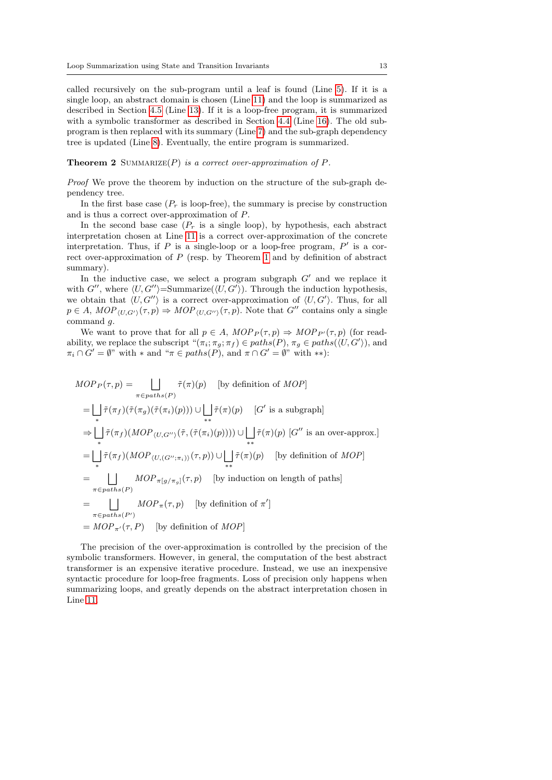called recursively on the sub-program until a leaf is found (Line [5\)](#page-11-3). If it is a single loop, an abstract domain is chosen (Line [11\)](#page-11-4) and the loop is summarized as described in Section [4.5](#page-9-0) (Line [13\)](#page-11-5). If it is a loop-free program, it is summarized with a symbolic transformer as described in Section [4.4](#page-8-0) (Line [16\)](#page-11-6). The old subprogram is then replaced with its summary (Line [7\)](#page-11-7) and the sub-graph dependency tree is updated (Line [8\)](#page-11-8). Eventually, the entire program is summarized.

**Theorem 2** SUMMARIZE $(P)$  is a correct over-approximation of  $P$ .

Proof We prove the theorem by induction on the structure of the sub-graph dependency tree.

In the first base case  $(P_r$  is loop-free), the summary is precise by construction and is thus a correct over-approximation of P.

In the second base case  $(P_r$  is a single loop), by hypothesis, each abstract interpretation chosen at Line [11](#page-11-4) is a correct over-approximation of the concrete interpretation. Thus, if  $P$  is a single-loop or a loop-free program,  $P'$  is a correct over-approximation of P (resp. by Theorem [1](#page-9-2) and by definition of abstract summary).

In the inductive case, we select a program subgraph  $G'$  and we replace it with G'', where  $\langle U, G'' \rangle = \text{Summarize}(\langle U, G' \rangle)$ . Through the induction hypothesis, we obtain that  $\langle U, G'' \rangle$  is a correct over-approximation of  $\langle U, G' \rangle$ . Thus, for all  $p \in A$ ,  $MOP_{\langle U, G' \rangle}(\tau, p) \Rightarrow MOP_{\langle U, G'' \rangle}(\tau, p)$ . Note that  $G''$  contains only a single command g.

We want to prove that for all  $p \in A$ ,  $MOP_P(\tau, p) \Rightarrow MOP_{P'}(\tau, p)$  (for readability, we replace the subscript  $\pi(\pi_i; \pi_g; \pi_f) \in paths(P), \pi_g \in paths(\langle U, G' \rangle)$ , and  $\pi_i \cap G' = \emptyset$ " with \* and " $\pi \in paths(P)$ , and  $\pi \cap G' = \emptyset$ " with \*\*):

$$
MOP_P(\tau, p) = \bigsqcup_{\pi \in paths(P)} \tilde{\tau}(\pi)(p) \quad \text{[by definition of } MOP] \\
= \bigsqcup_{\pi} \tilde{\tau}(\pi_f)(\tilde{\tau}(\pi_g)(\tilde{\tau}(\pi_i)(p))) \cup \bigsqcup_{\ast \ast} \tilde{\tau}(\pi)(p) \quad [G' \text{ is a subgraph}] \\
\Rightarrow \bigsqcup_{\ast} \tilde{\tau}(\pi_f)(MOP_{\langle U, G'' \rangle}(\tilde{\tau}, (\tilde{\tau}(\pi_i)(p)))) \cup \bigsqcup_{\ast \ast} \tilde{\tau}(\pi)(p) \quad [G'' \text{ is an over-approx.}] \\
= \bigsqcup_{\ast} \tilde{\tau}(\pi_f)(MOP_{\langle U, (G''; \pi_i) \rangle}(\tau, p)) \cup \bigsqcup_{\ast \ast} \tilde{\tau}(\pi)(p) \quad \text{[by definition of } MOP] \\
= \bigsqcup_{\pi \in paths(P)} MOP_{\pi}[g/\pi_g](\tau, p) \quad \text{[by induction on length of paths]} \\
= \bigsqcup_{\pi \in paths(P')} MOP_{\pi}(\tau, p) \quad \text{[by definition of } \pi'] \\
= MOP_{\pi'}(\tau, P) \quad \text{[by definition of } MOP]
$$

The precision of the over-approximation is controlled by the precision of the symbolic transformers. However, in general, the computation of the best abstract transformer is an expensive iterative procedure. Instead, we use an inexpensive syntactic procedure for loop-free fragments. Loss of precision only happens when summarizing loops, and greatly depends on the abstract interpretation chosen in Line [11.](#page-11-4)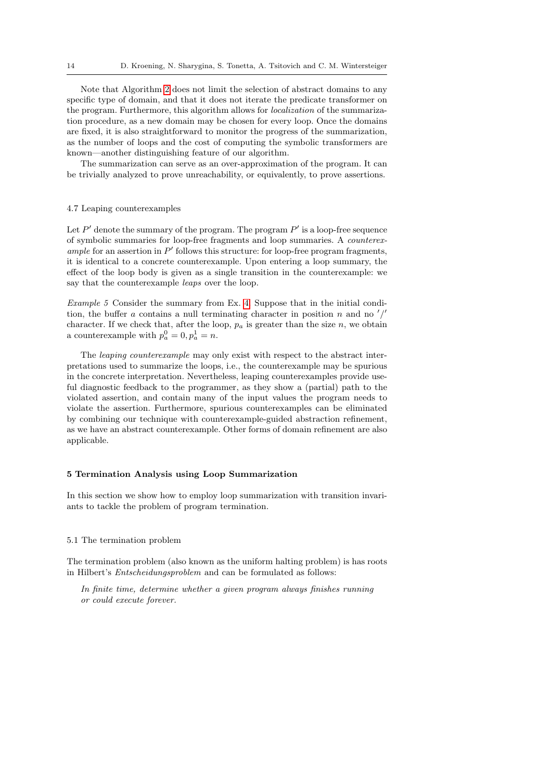Note that Algorithm [2](#page-11-1) does not limit the selection of abstract domains to any specific type of domain, and that it does not iterate the predicate transformer on the program. Furthermore, this algorithm allows for localization of the summarization procedure, as a new domain may be chosen for every loop. Once the domains are fixed, it is also straightforward to monitor the progress of the summarization, as the number of loops and the cost of computing the symbolic transformers are known—another distinguishing feature of our algorithm.

The summarization can serve as an over-approximation of the program. It can be trivially analyzed to prove unreachability, or equivalently, to prove assertions.

# 4.7 Leaping counterexamples

Let  $P'$  denote the summary of the program. The program  $P'$  is a loop-free sequence of symbolic summaries for loop-free fragments and loop summaries. A counterexample for an assertion in  $P'$  follows this structure: for loop-free program fragments, it is identical to a concrete counterexample. Upon entering a loop summary, the effect of the loop body is given as a single transition in the counterexample: we say that the counterexample *leaps* over the loop.

Example 5 Consider the summary from Ex. [4.](#page-10-0) Suppose that in the initial condition, the buffer a contains a null terminating character in position n and no  $\frac{1}{2}$ character. If we check that, after the loop,  $p_a$  is greater than the size n, we obtain a counterexample with  $p_a^0 = 0, p_a^1 = n$ .

The leaping counterexample may only exist with respect to the abstract interpretations used to summarize the loops, i.e., the counterexample may be spurious in the concrete interpretation. Nevertheless, leaping counterexamples provide useful diagnostic feedback to the programmer, as they show a (partial) path to the violated assertion, and contain many of the input values the program needs to violate the assertion. Furthermore, spurious counterexamples can be eliminated by combining our technique with counterexample-guided abstraction refinement, as we have an abstract counterexample. Other forms of domain refinement are also applicable.

# <span id="page-13-0"></span>5 Termination Analysis using Loop Summarization

In this section we show how to employ loop summarization with transition invariants to tackle the problem of program termination.

### 5.1 The termination problem

The termination problem (also known as the uniform halting problem) is has roots in Hilbert's Entscheidungsproblem and can be formulated as follows:

In finite time, determine whether a given program always finishes running or could execute forever.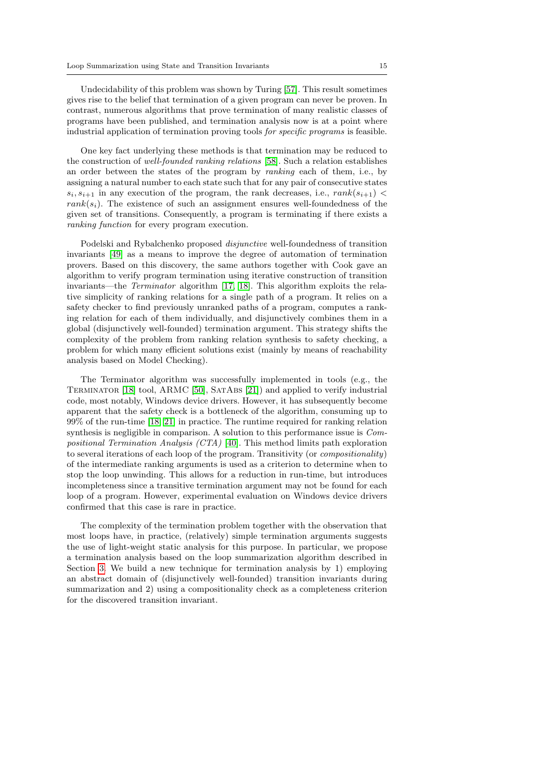Undecidability of this problem was shown by Turing [\[57\]](#page-42-3). This result sometimes gives rise to the belief that termination of a given program can never be proven. In contrast, numerous algorithms that prove termination of many realistic classes of programs have been published, and termination analysis now is at a point where industrial application of termination proving tools for specific programs is feasible.

One key fact underlying these methods is that termination may be reduced to the construction of well-founded ranking relations [\[58\]](#page-42-4). Such a relation establishes an order between the states of the program by ranking each of them, i.e., by assigning a natural number to each state such that for any pair of consecutive states  $s_i, s_{i+1}$  in any execution of the program, the rank decreases, i.e.,  $rank(s_{i+1})$  $rank(s_i)$ . The existence of such an assignment ensures well-foundedness of the given set of transitions. Consequently, a program is terminating if there exists a ranking function for every program execution.

Podelski and Rybalchenko proposed *disjunctive* well-foundedness of transition invariants [\[49\]](#page-42-0) as a means to improve the degree of automation of termination provers. Based on this discovery, the same authors together with Cook gave an algorithm to verify program termination using iterative construction of transition invariants—the Terminator algorithm [\[17,](#page-40-3) [18\]](#page-40-4). This algorithm exploits the relative simplicity of ranking relations for a single path of a program. It relies on a safety checker to find previously unranked paths of a program, computes a ranking relation for each of them individually, and disjunctively combines them in a global (disjunctively well-founded) termination argument. This strategy shifts the complexity of the problem from ranking relation synthesis to safety checking, a problem for which many efficient solutions exist (mainly by means of reachability analysis based on Model Checking).

The Terminator algorithm was successfully implemented in tools (e.g., the Terminator [\[18\]](#page-40-4) tool, ARMC [\[50\]](#page-42-5), SatAbs [\[21\]](#page-40-5)) and applied to verify industrial code, most notably, Windows device drivers. However, it has subsequently become apparent that the safety check is a bottleneck of the algorithm, consuming up to 99% of the run-time [\[18,](#page-40-4) [21\]](#page-40-5) in practice. The runtime required for ranking relation synthesis is negligible in comparison. A solution to this performance issue is Compositional Termination Analysis (CTA) [\[40\]](#page-41-5). This method limits path exploration to several iterations of each loop of the program. Transitivity (or compositionality) of the intermediate ranking arguments is used as a criterion to determine when to stop the loop unwinding. This allows for a reduction in run-time, but introduces incompleteness since a transitive termination argument may not be found for each loop of a program. However, experimental evaluation on Windows device drivers confirmed that this case is rare in practice.

The complexity of the termination problem together with the observation that most loops have, in practice, (relatively) simple termination arguments suggests the use of light-weight static analysis for this purpose. In particular, we propose a termination analysis based on the loop summarization algorithm described in Section [3.](#page-3-0) We build a new technique for termination analysis by 1) employing an abstract domain of (disjunctively well-founded) transition invariants during summarization and 2) using a compositionality check as a completeness criterion for the discovered transition invariant.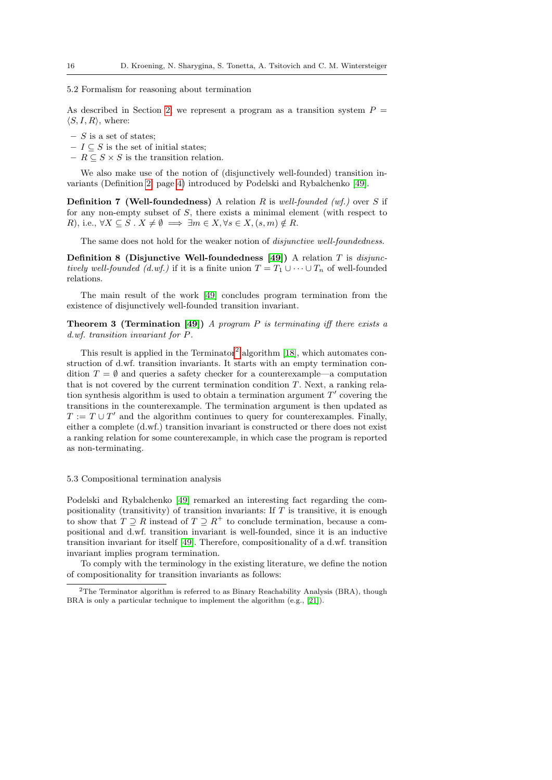#### 5.2 Formalism for reasoning about termination

As described in Section [2,](#page-2-0) we represent a program as a transition system  $P =$  $\langle S, I, R \rangle$ , where:

- $S$  is a set of states;
- $I \subseteq S$  is the set of initial states;
- $R \subseteq S \times S$  is the transition relation.

We also make use of the notion of (disjunctively well-founded) transition invariants (Definition [2,](#page-3-2) page [4\)](#page-3-2) introduced by Podelski and Rybalchenko [\[49\]](#page-42-0).

<span id="page-15-3"></span>**Definition 7 (Well-foundedness)** A relation  $R$  is well-founded (wf.) over  $S$  if for any non-empty subset of S, there exists a minimal element (with respect to R), i.e.,  $\forall X \subseteq S$ .  $X \neq \emptyset \implies \exists m \in X, \forall s \in X, (s, m) \notin R$ .

<span id="page-15-2"></span>The same does not hold for the weaker notion of *disjunctive well-foundedness*.

Definition 8 (Disjunctive Well-foundedness [\[49\]](#page-42-0)) A relation T is disjunctively well-founded (d.wf.) if it is a finite union  $T = T_1 \cup \cdots \cup T_n$  of well-founded relations.

The main result of the work [\[49\]](#page-42-0) concludes program termination from the existence of disjunctively well-founded transition invariant.

<span id="page-15-1"></span>**Theorem 3 (Termination [\[49\]](#page-42-0))** A program P is terminating iff there exists a d.wf. transition invariant for P.

This result is applied in the  $Terminator^2$  $Terminator^2$  algorithm [\[18\]](#page-40-4), which automates construction of d.wf. transition invariants. It starts with an empty termination condition  $T = \emptyset$  and queries a safety checker for a counterexample—a computation that is not covered by the current termination condition T. Next, a ranking relation synthesis algorithm is used to obtain a termination argument  $T'$  covering the transitions in the counterexample. The termination argument is then updated as  $T := T \cup T'$  and the algorithm continues to query for counterexamples. Finally, either a complete (d.wf.) transition invariant is constructed or there does not exist a ranking relation for some counterexample, in which case the program is reported as non-terminating.

#### 5.3 Compositional termination analysis

Podelski and Rybalchenko [\[49\]](#page-42-0) remarked an interesting fact regarding the compositionality (transitivity) of transition invariants: If  $T$  is transitive, it is enough to show that  $T \supseteq R$  instead of  $T \supseteq R^+$  to conclude termination, because a compositional and d.wf. transition invariant is well-founded, since it is an inductive transition invariant for itself [\[49\]](#page-42-0). Therefore, compositionality of a d.wf. transition invariant implies program termination.

<span id="page-15-4"></span>To comply with the terminology in the existing literature, we define the notion of compositionality for transition invariants as follows:

<span id="page-15-0"></span><sup>2</sup>The Terminator algorithm is referred to as Binary Reachability Analysis (BRA), though BRA is only a particular technique to implement the algorithm (e.g., [\[21\]](#page-40-5)).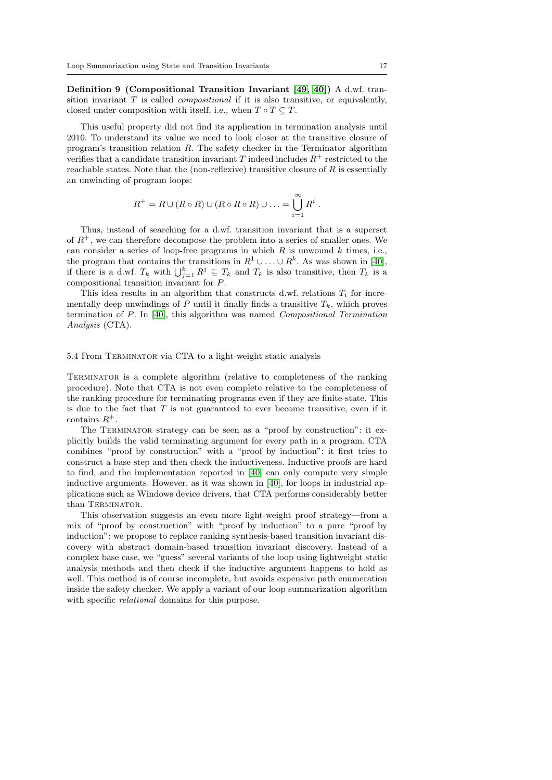Definition 9 (Compositional Transition Invariant [\[49,](#page-42-0) [40\]](#page-41-5)) A d.wf. transition invariant  $T$  is called *compositional* if it is also transitive, or equivalently, closed under composition with itself, i.e., when  $T \circ T \subseteq T$ .

This useful property did not find its application in termination analysis until 2010. To understand its value we need to look closer at the transitive closure of program's transition relation R. The safety checker in the Terminator algorithm verifies that a candidate transition invariant T indeed includes  $R^+$  restricted to the reachable states. Note that the (non-reflexive) transitive closure of  $R$  is essentially an unwinding of program loops:

$$
R^+ = R \cup (R \circ R) \cup (R \circ R \circ R) \cup \ldots = \bigcup_{i=1}^{\infty} R^i.
$$

Thus, instead of searching for a d.wf. transition invariant that is a superset of  $R^+$ , we can therefore decompose the problem into a series of smaller ones. We can consider a series of loop-free programs in which  $R$  is unwound  $k$  times, i.e., the program that contains the transitions in  $R^1 \cup \ldots \cup R^k$ . As was shown in [\[40\]](#page-41-5), if there is a d.wf.  $T_k$  with  $\bigcup_{j=1}^k R^j \subseteq T_k$  and  $T_k$  is also transitive, then  $T_k$  is a compositional transition invariant for P.

This idea results in an algorithm that constructs d.wf. relations  $T_i$  for incrementally deep unwindings of P until it finally finds a transitive  $T_k$ , which proves termination of P. In [\[40\]](#page-41-5), this algorithm was named Compositional Termination Analysis (CTA).

# 5.4 From Terminator via CTA to a light-weight static analysis

Terminator is a complete algorithm (relative to completeness of the ranking procedure). Note that CTA is not even complete relative to the completeness of the ranking procedure for terminating programs even if they are finite-state. This is due to the fact that  $T$  is not guaranteed to ever become transitive, even if it contains  $R^+$ .

The TERMINATOR strategy can be seen as a "proof by construction": it explicitly builds the valid terminating argument for every path in a program. CTA combines "proof by construction" with a "proof by induction": it first tries to construct a base step and then check the inductiveness. Inductive proofs are hard to find, and the implementation reported in [\[40\]](#page-41-5) can only compute very simple inductive arguments. However, as it was shown in [\[40\]](#page-41-5), for loops in industrial applications such as Windows device drivers, that CTA performs considerably better than TERMINATOR.

This observation suggests an even more light-weight proof strategy—from a mix of "proof by construction" with "proof by induction" to a pure "proof by induction": we propose to replace ranking synthesis-based transition invariant discovery with abstract domain-based transition invariant discovery. Instead of a complex base case, we "guess" several variants of the loop using lightweight static analysis methods and then check if the inductive argument happens to hold as well. This method is of course incomplete, but avoids expensive path enumeration inside the safety checker. We apply a variant of our loop summarization algorithm with specific *relational* domains for this purpose.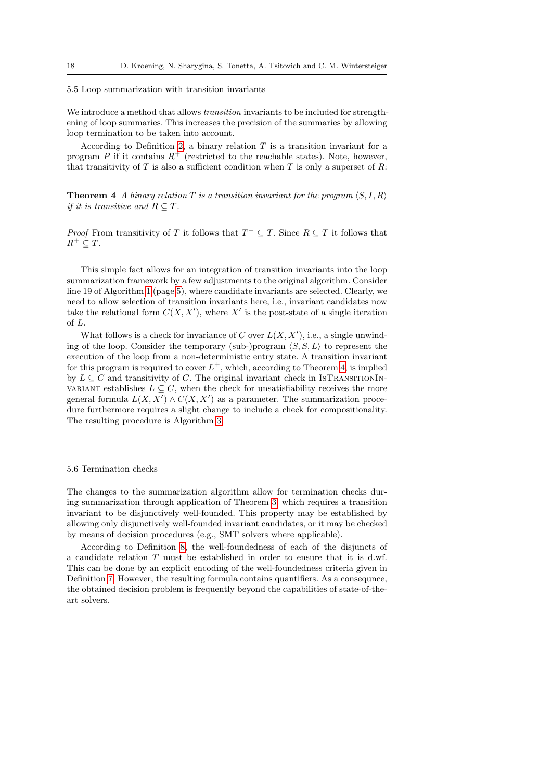#### 5.5 Loop summarization with transition invariants

We introduce a method that allows transition invariants to be included for strengthening of loop summaries. This increases the precision of the summaries by allowing loop termination to be taken into account.

According to Definition [2,](#page-3-2) a binary relation  $T$  is a transition invariant for a program P if it contains  $R^+$  (restricted to the reachable states). Note, however, that transitivity of  $T$  is also a sufficient condition when  $T$  is only a superset of  $R$ :

<span id="page-17-0"></span>**Theorem 4** A binary relation T is a transition invariant for the program  $\langle S, I, R \rangle$ if it is transitive and  $R \subseteq T$ .

*Proof* From transitivity of T it follows that  $T^+ \subseteq T$ . Since  $R \subseteq T$  it follows that  $R^+ \subseteq T$ .

This simple fact allows for an integration of transition invariants into the loop summarization framework by a few adjustments to the original algorithm. Consider line 19 of Algorithm [1](#page-4-0) (page [5\)](#page-4-0), where candidate invariants are selected. Clearly, we need to allow selection of transition invariants here, i.e., invariant candidates now take the relational form  $C(X, X')$ , where X' is the post-state of a single iteration of L.

What follows is a check for invariance of C over  $L(X, X')$ , i.e., a single unwinding of the loop. Consider the temporary (sub-)program  $\langle S, S, L \rangle$  to represent the execution of the loop from a non-deterministic entry state. A transition invariant for this program is required to cover  $L^+$ , which, according to Theorem [4,](#page-17-0) is implied by  $L \subseteq C$  and transitivity of C. The original invariant check in ISTRANSITIONINvariant establishes  $L \subseteq C$ , when the check for unsatisfiability receives the more general formula  $L(X, X') \wedge C(X, X')$  as a parameter. The summarization procedure furthermore requires a slight change to include a check for compositionality. The resulting procedure is Algorithm [3.](#page-18-0)

#### 5.6 Termination checks

The changes to the summarization algorithm allow for termination checks during summarization through application of Theorem [3,](#page-15-1) which requires a transition invariant to be disjunctively well-founded. This property may be established by allowing only disjunctively well-founded invariant candidates, or it may be checked by means of decision procedures (e.g., SMT solvers where applicable).

According to Definition [8,](#page-15-2) the well-foundedness of each of the disjuncts of a candidate relation  $T$  must be established in order to ensure that it is d.wf. This can be done by an explicit encoding of the well-foundedness criteria given in Definition [7.](#page-15-3) However, the resulting formula contains quantifiers. As a consequnce, the obtained decision problem is frequently beyond the capabilities of state-of-theart solvers.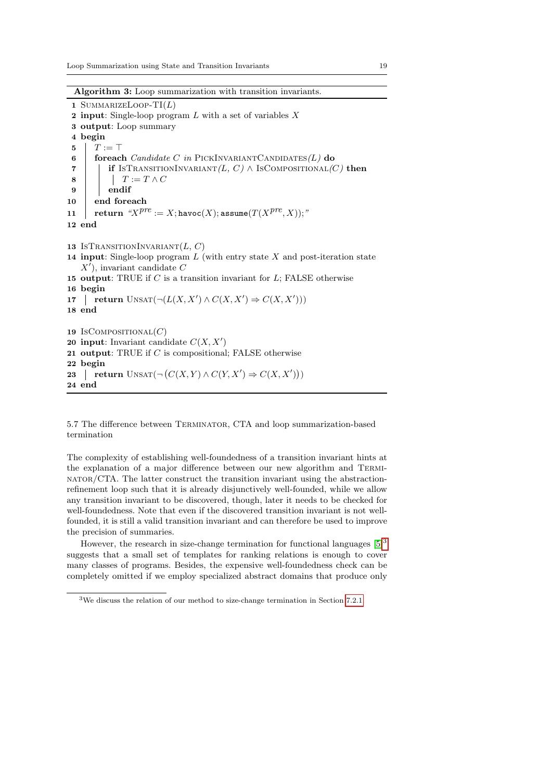Algorithm 3: Loop summarization with transition invariants.

```
1 SUMMARIZELOOP-TI(L)2 input: Single-loop program L with a set of variables X3 output: Loop summary
 4 begin
 5 \mid T := \top6 foreach Candidate C in PICKINVARIANTCANDIDATES(L) do
 7 if IsTRANSITIONINVARIANT(L, C) \wedge IsCOMPOSITIONAL(C) then
 \begin{array}{c|c|c|c|c} \mathbf{8} & \cdots & \cdots & T := T \wedge C \end{array}9 endif
10 end foreach
\begin{array}{ll} \texttt{11} & \texttt{return }\text{``}X^{pre} := X; \texttt{havoc}(X); \texttt{assume}(T(X^{pre},X)); \text{''} \end{array}12 end
13 ISTRANSITIONINVARIANT(L, C)14 input: Single-loop program L (with entry state X and post-iteration state
    X', invariant candidate C
15 output: TRUE if C is a transition invariant for L; FALSE otherwise
16 begin
17 | return \text{UNSAT}(\neg(L(X, X') \land C(X, X')) \Rightarrow C(X, X')))18 end
19 IsCompositional(C)20 input: Invariant candidate C(X, X')21 output: TRUE if C is compositional; FALSE otherwise
22 begin
23 return UNSAT(\neg(C(X, Y) \land C(Y, X')) \Rightarrow C(X, X'))24 end
```
<span id="page-18-0"></span>5.7 The difference between Terminator, CTA and loop summarization-based termination

The complexity of establishing well-foundedness of a transition invariant hints at the explanation of a major difference between our new algorithm and Terminator/CTA. The latter construct the transition invariant using the abstractionrefinement loop such that it is already disjunctively well-founded, while we allow any transition invariant to be discovered, though, later it needs to be checked for well-foundedness. Note that even if the discovered transition invariant is not wellfounded, it is still a valid transition invariant and can therefore be used to improve the precision of summaries.

However, the research in size-change termination for functional languages  $[5]^3$  $[5]^3$  $[5]^3$ suggests that a small set of templates for ranking relations is enough to cover many classes of programs. Besides, the expensive well-foundedness check can be completely omitted if we employ specialized abstract domains that produce only

<span id="page-18-1"></span><sup>3</sup>We discuss the relation of our method to size-change termination in Section [7.2.1.](#page-35-0)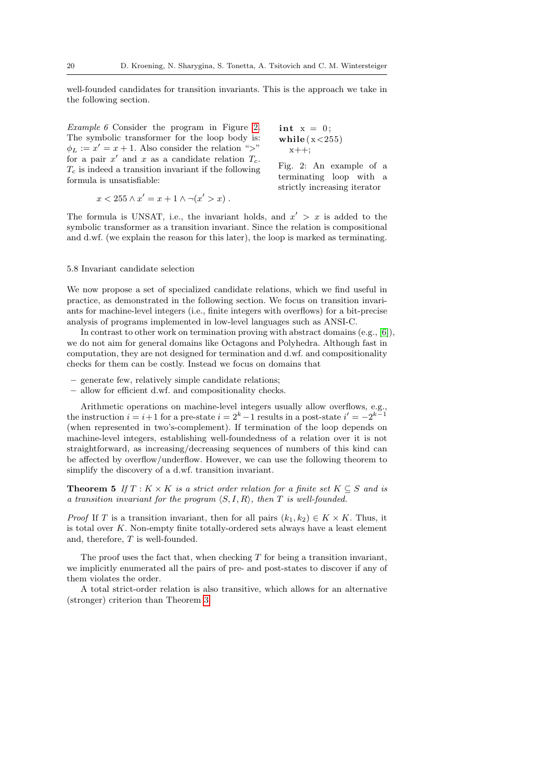<span id="page-19-1"></span>well-founded candidates for transition invariants. This is the approach we take in the following section.

Example 6 Consider the program in Figure [2.](#page-19-0) The symbolic transformer for the loop body is:  $\phi_L := x' = x + 1$ . Also consider the relation ">" for a pair  $x'$  and  $x$  as a candidate relation  $T_c$ .  $T_c$  is indeed a transition invariant if the following formula is unsatisfiable:

 $x++;$ Fig. 2: An example of a

<span id="page-19-0"></span>int  $x = 0$ ; while  $(x < 255)$ 

$$
x < 255 \land x' = x + 1 \land \neg(x' > x) \ .
$$

terminating loop with a strictly increasing iterator

The formula is UNSAT, i.e., the invariant holds, and  $x' > x$  is added to the symbolic transformer as a transition invariant. Since the relation is compositional and d.wf. (we explain the reason for this later), the loop is marked as terminating.

#### <span id="page-19-3"></span>5.8 Invariant candidate selection

We now propose a set of specialized candidate relations, which we find useful in practice, as demonstrated in the following section. We focus on transition invariants for machine-level integers (i.e., finite integers with overflows) for a bit-precise analysis of programs implemented in low-level languages such as ANSI-C.

In contrast to other work on termination proving with abstract domains  $(e.g., [6])$  $(e.g., [6])$  $(e.g., [6])$ , we do not aim for general domains like Octagons and Polyhedra. Although fast in computation, they are not designed for termination and d.wf. and compositionality checks for them can be costly. Instead we focus on domains that

- generate few, relatively simple candidate relations;
- allow for efficient d.wf. and compositionality checks.

Arithmetic operations on machine-level integers usually allow overflows, e.g., the instruction  $i = i+1$  for a pre-state  $i = 2<sup>k</sup> - 1$  results in a post-state  $i' = -2<sup>k-1</sup>$ (when represented in two's-complement). If termination of the loop depends on machine-level integers, establishing well-foundedness of a relation over it is not straightforward, as increasing/decreasing sequences of numbers of this kind can be affected by overflow/underflow. However, we can use the following theorem to simplify the discovery of a d.wf. transition invariant.

**Theorem 5** If  $T : K \times K$  is a strict order relation for a finite set  $K \subseteq S$  and is a transition invariant for the program  $\langle S, I, R \rangle$ , then T is well-founded.

*Proof* If T is a transition invariant, then for all pairs  $(k_1, k_2) \in K \times K$ . Thus, it is total over  $K$ . Non-empty finite totally-ordered sets always have a least element and, therefore, T is well-founded.

The proof uses the fact that, when checking  $T$  for being a transition invariant, we implicitly enumerated all the pairs of pre- and post-states to discover if any of them violates the order.

<span id="page-19-2"></span>A total strict-order relation is also transitive, which allows for an alternative (stronger) criterion than Theorem [3:](#page-15-1)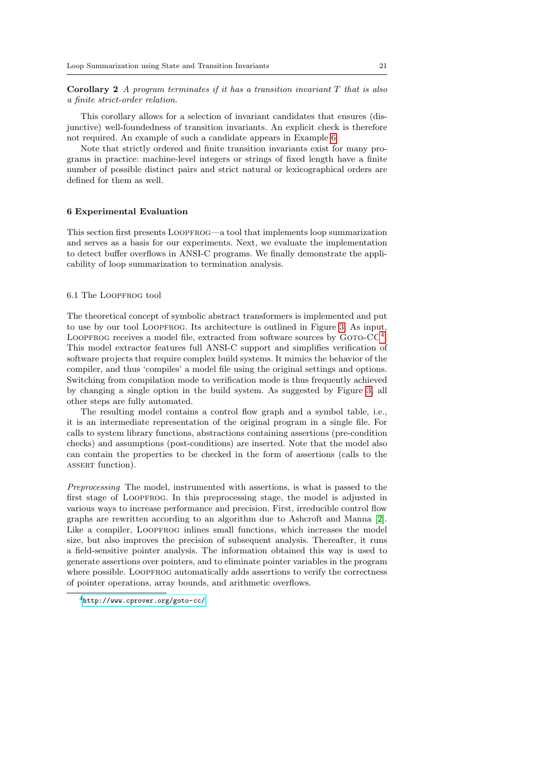**Corollary 2** A program terminates if it has a transition invariant  $T$  that is also a finite strict-order relation.

This corollary allows for a selection of invariant candidates that ensures (disjunctive) well-foundedness of transition invariants. An explicit check is therefore not required. An example of such a candidate appears in Example [6.](#page-19-1)

Note that strictly ordered and finite transition invariants exist for many programs in practice: machine-level integers or strings of fixed length have a finite number of possible distinct pairs and strict natural or lexicographical orders are defined for them as well.

# <span id="page-20-0"></span>6 Experimental Evaluation

This section first presents Loopfrog—a tool that implements loop summarization and serves as a basis for our experiments. Next, we evaluate the implementation to detect buffer overflows in ANSI-C programs. We finally demonstrate the applicability of loop summarization to termination analysis.

#### 6.1 The Loopfrog tool

The theoretical concept of symbolic abstract transformers is implemented and put to use by our tool Loopfrog. Its architecture is outlined in Figure [3.](#page-21-0) As input, LOOPFROG receives a model file, extracted from software sources by  $G$ OTO-CC<sup>[4](#page-20-1)</sup>. This model extractor features full ANSI-C support and simplifies verification of software projects that require complex build systems. It mimics the behavior of the compiler, and thus 'compiles' a model file using the original settings and options. Switching from compilation mode to verification mode is thus frequently achieved by changing a single option in the build system. As suggested by Figure [3,](#page-21-0) all other steps are fully automated.

The resulting model contains a control flow graph and a symbol table, i.e., it is an intermediate representation of the original program in a single file. For calls to system library functions, abstractions containing assertions (pre-condition checks) and assumptions (post-conditions) are inserted. Note that the model also can contain the properties to be checked in the form of assertions (calls to the ASSERT function).

Preprocessing The model, instrumented with assertions, is what is passed to the first stage of Loopfrog. In this preprocessing stage, the model is adjusted in various ways to increase performance and precision. First, irreducible control flow graphs are rewritten according to an algorithm due to Ashcroft and Manna [\[2\]](#page-39-3). Like a compiler, LOOPFROG inlines small functions, which increases the model size, but also improves the precision of subsequent analysis. Thereafter, it runs a field-sensitive pointer analysis. The information obtained this way is used to generate assertions over pointers, and to eliminate pointer variables in the program where possible. LOOPFROG automatically adds assertions to verify the correctness of pointer operations, array bounds, and arithmetic overflows.

<span id="page-20-1"></span><sup>4</sup><http://www.cprover.org/goto-cc/>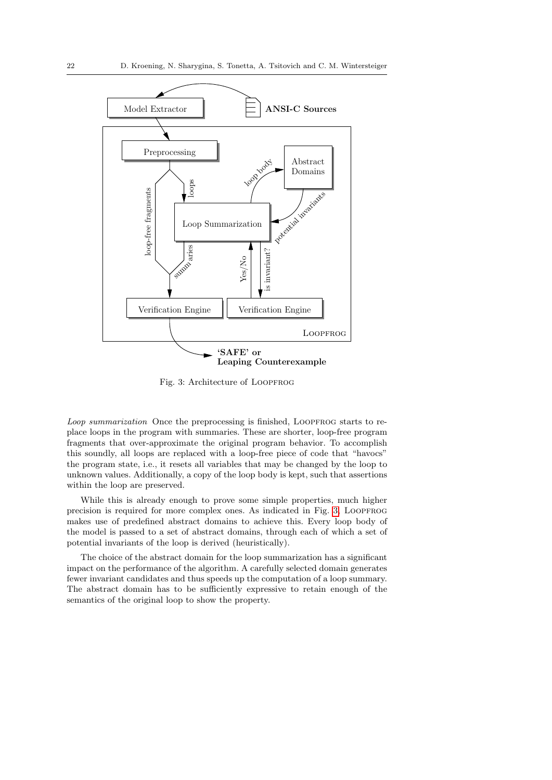<span id="page-21-0"></span>

Fig. 3: Architecture of LOOPFROG

Loop summarization Once the preprocessing is finished, LOOPFROG starts to replace loops in the program with summaries. These are shorter, loop-free program fragments that over-approximate the original program behavior. To accomplish this soundly, all loops are replaced with a loop-free piece of code that "havocs" the program state, i.e., it resets all variables that may be changed by the loop to unknown values. Additionally, a copy of the loop body is kept, such that assertions within the loop are preserved.

While this is already enough to prove some simple properties, much higher precision is required for more complex ones. As indicated in Fig. [3,](#page-21-0) LOOPFROG makes use of predefined abstract domains to achieve this. Every loop body of the model is passed to a set of abstract domains, through each of which a set of potential invariants of the loop is derived (heuristically).

The choice of the abstract domain for the loop summarization has a significant impact on the performance of the algorithm. A carefully selected domain generates fewer invariant candidates and thus speeds up the computation of a loop summary. The abstract domain has to be sufficiently expressive to retain enough of the semantics of the original loop to show the property.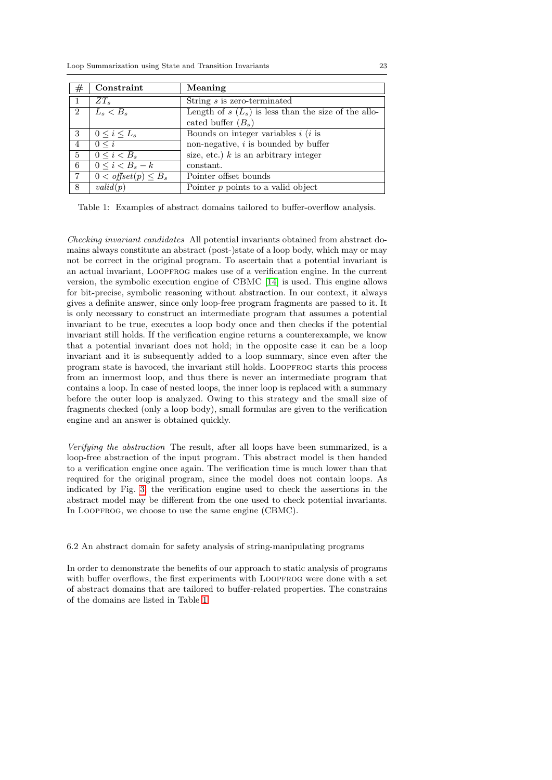<span id="page-22-0"></span>

| $^{\#}$        | Constraint                  | Meaning                                               |
|----------------|-----------------------------|-------------------------------------------------------|
|                | $ZT_s$                      | $\overline{\text{String}} s$ is zero-terminated       |
| 2              | $L_s < B_s$                 | Length of $s(L_s)$ is less than the size of the allo- |
|                |                             | cated buffer $(B_s)$                                  |
| 3              | $0 \leq i \leq L_s$         | Bounds on integer variables $i$ ( $i$ is              |
| $\overline{4}$ | $0 \leq i$                  | non-negative, $i$ is bounded by buffer                |
| 5              | $0 \le i \le B_s$           | size, etc.) $k$ is an arbitrary integer               |
| 6              | $0 \leq i < B_s - k$        | constant.                                             |
| $\overline{7}$ | $0 <$ offset $(p) \leq B_s$ | Pointer offset bounds                                 |
| 8              | valid(p)                    | Pointer p points to a valid object                    |

Table 1: Examples of abstract domains tailored to buffer-overflow analysis.

Checking invariant candidates All potential invariants obtained from abstract domains always constitute an abstract (post-)state of a loop body, which may or may not be correct in the original program. To ascertain that a potential invariant is an actual invariant, LOOPFROG makes use of a verification engine. In the current version, the symbolic execution engine of CBMC [\[14\]](#page-40-2) is used. This engine allows for bit-precise, symbolic reasoning without abstraction. In our context, it always gives a definite answer, since only loop-free program fragments are passed to it. It is only necessary to construct an intermediate program that assumes a potential invariant to be true, executes a loop body once and then checks if the potential invariant still holds. If the verification engine returns a counterexample, we know that a potential invariant does not hold; in the opposite case it can be a loop invariant and it is subsequently added to a loop summary, since even after the program state is havoced, the invariant still holds. Loopfrog starts this process from an innermost loop, and thus there is never an intermediate program that contains a loop. In case of nested loops, the inner loop is replaced with a summary before the outer loop is analyzed. Owing to this strategy and the small size of fragments checked (only a loop body), small formulas are given to the verification engine and an answer is obtained quickly.

Verifying the abstraction The result, after all loops have been summarized, is a loop-free abstraction of the input program. This abstract model is then handed to a verification engine once again. The verification time is much lower than that required for the original program, since the model does not contain loops. As indicated by Fig. [3,](#page-21-0) the verification engine used to check the assertions in the abstract model may be different from the one used to check potential invariants. In LOOPFROG, we choose to use the same engine (CBMC).

# 6.2 An abstract domain for safety analysis of string-manipulating programs

In order to demonstrate the benefits of our approach to static analysis of programs with buffer overflows, the first experiments with LOOPFROG were done with a set of abstract domains that are tailored to buffer-related properties. The constrains of the domains are listed in Table [1.](#page-22-0)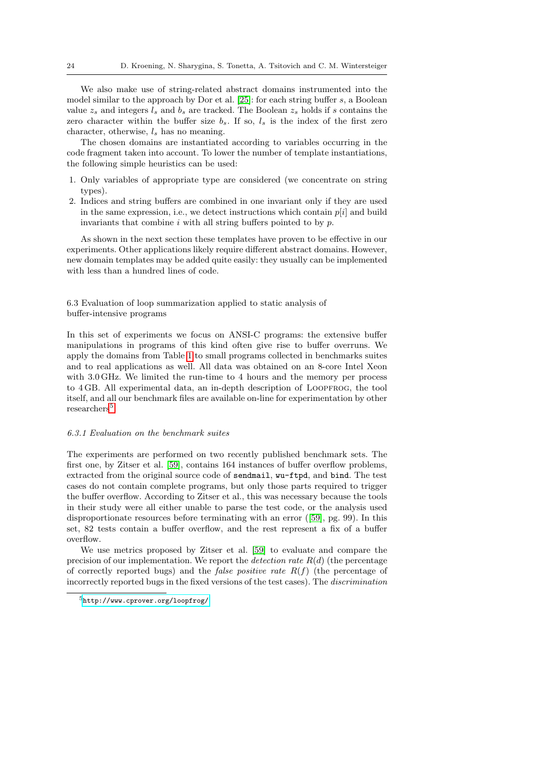We also make use of string-related abstract domains instrumented into the model similar to the approach by Dor et al. [\[25\]](#page-40-6): for each string buffer s, a Boolean value  $z_s$  and integers  $l_s$  and  $b_s$  are tracked. The Boolean  $z_s$  holds if s contains the zero character within the buffer size  $b_s$ . If so,  $l_s$  is the index of the first zero character, otherwise,  $l_s$  has no meaning.

The chosen domains are instantiated according to variables occurring in the code fragment taken into account. To lower the number of template instantiations, the following simple heuristics can be used:

- 1. Only variables of appropriate type are considered (we concentrate on string types).
- 2. Indices and string buffers are combined in one invariant only if they are used in the same expression, i.e., we detect instructions which contain  $p[i]$  and build invariants that combine  $i$  with all string buffers pointed to by  $p$ .

As shown in the next section these templates have proven to be effective in our experiments. Other applications likely require different abstract domains. However, new domain templates may be added quite easily: they usually can be implemented with less than a hundred lines of code.

# 6.3 Evaluation of loop summarization applied to static analysis of buffer-intensive programs

In this set of experiments we focus on ANSI-C programs: the extensive buffer manipulations in programs of this kind often give rise to buffer overruns. We apply the domains from Table [1](#page-22-0) to small programs collected in benchmarks suites and to real applications as well. All data was obtained on an 8-core Intel Xeon with 3.0 GHz. We limited the run-time to 4 hours and the memory per process to 4 GB. All experimental data, an in-depth description of Loopfrog, the tool itself, and all our benchmark files are available on-line for experimentation by other researchers<sup>[5](#page-23-0)</sup>.

#### 6.3.1 Evaluation on the benchmark suites

The experiments are performed on two recently published benchmark sets. The first one, by Zitser et al. [\[59\]](#page-42-6), contains 164 instances of buffer overflow problems, extracted from the original source code of sendmail, wu-ftpd, and bind. The test cases do not contain complete programs, but only those parts required to trigger the buffer overflow. According to Zitser et al., this was necessary because the tools in their study were all either unable to parse the test code, or the analysis used disproportionate resources before terminating with an error ([\[59\]](#page-42-6), pg. 99). In this set, 82 tests contain a buffer overflow, and the rest represent a fix of a buffer overflow.

We use metrics proposed by Zitser et al. [\[59\]](#page-42-6) to evaluate and compare the precision of our implementation. We report the *detection rate*  $R(d)$  (the percentage of correctly reported bugs) and the *false positive rate*  $R(f)$  (the percentage of incorrectly reported bugs in the fixed versions of the test cases). The discrimination

<span id="page-23-0"></span><sup>5</sup><http://www.cprover.org/loopfrog/>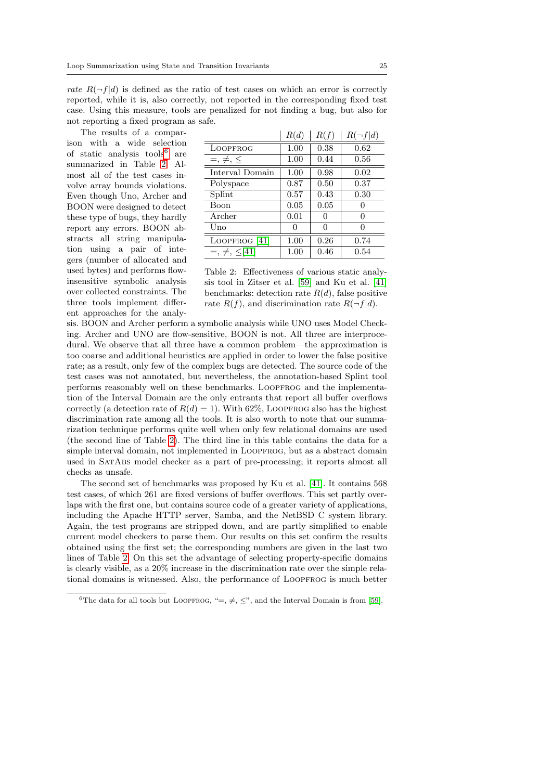rate  $R(\neg f|d)$  is defined as the ratio of test cases on which an error is correctly reported, while it is, also correctly, not reported in the corresponding fixed test case. Using this measure, tools are penalized for not finding a bug, but also for not reporting a fixed program as safe.

The results of a comparison with a wide selection of static analysis tools<sup>[6](#page-24-0)</sup> are summarized in Table [2.](#page-24-1) Almost all of the test cases involve array bounds violations. Even though Uno, Archer and BOON were designed to detect these type of bugs, they hardly report any errors. BOON abstracts all string manipulation using a pair of integers (number of allocated and used bytes) and performs flowinsensitive symbolic analysis over collected constraints. The three tools implement different approaches for the analy-

<span id="page-24-1"></span>

|                      | R(d) | R(f)     | $R(\neg f d)$ |
|----------------------|------|----------|---------------|
| LOOPFROG             | 1.00 | 0.38     | 0.62          |
| $=, \neq, \leq$      | 1.00 | 0.44     | 0.56          |
| Interval Domain      | 1.00 | 0.98     | 0.02          |
| Polyspace            | 0.87 | 0.50     | 0.37          |
| Splint               | 0.57 | 0.43     | 0.30          |
| Boon                 | 0.05 | 0.05     |               |
| Archer               | 0.01 | $\theta$ | $\mathcal{O}$ |
| Uno                  | 0    | 0        | $\mathcal{O}$ |
| LOOPFROG $[41]$      | 1.00 | 0.26     | 0.74          |
| $=, \neq, \leq [41]$ | 1.00 | 0.46     | 0.54          |

Table 2: Effectiveness of various static analysis tool in Zitser et al. [\[59\]](#page-42-6) and Ku et al. [\[41\]](#page-41-6) benchmarks: detection rate  $R(d)$ , false positive rate  $R(f)$ , and discrimination rate  $R(\neg f|d)$ .

sis. BOON and Archer perform a symbolic analysis while UNO uses Model Checking. Archer and UNO are flow-sensitive, BOON is not. All three are interprocedural. We observe that all three have a common problem—the approximation is too coarse and additional heuristics are applied in order to lower the false positive rate; as a result, only few of the complex bugs are detected. The source code of the test cases was not annotated, but nevertheless, the annotation-based Splint tool performs reasonably well on these benchmarks. Loopfrog and the implementation of the Interval Domain are the only entrants that report all buffer overflows correctly (a detection rate of  $R(d) = 1$ ). With 62%, LOOPFROG also has the highest discrimination rate among all the tools. It is also worth to note that our summarization technique performs quite well when only few relational domains are used (the second line of Table [2\)](#page-24-1). The third line in this table contains the data for a simple interval domain, not implemented in LOOPFROG, but as a abstract domain used in SatAbs model checker as a part of pre-processing; it reports almost all checks as unsafe.

The second set of benchmarks was proposed by Ku et al. [\[41\]](#page-41-6). It contains 568 test cases, of which 261 are fixed versions of buffer overflows. This set partly overlaps with the first one, but contains source code of a greater variety of applications, including the Apache HTTP server, Samba, and the NetBSD C system library. Again, the test programs are stripped down, and are partly simplified to enable current model checkers to parse them. Our results on this set confirm the results obtained using the first set; the corresponding numbers are given in the last two lines of Table [2.](#page-24-1) On this set the advantage of selecting property-specific domains is clearly visible, as a 20% increase in the discrimination rate over the simple relational domains is witnessed. Also, the performance of LOOPFROG is much better

<span id="page-24-0"></span><sup>&</sup>lt;sup>6</sup>The data for all tools but LOOPFROG, "=,  $\neq$ ,  $\leq$ ", and the Interval Domain is from [\[59\]](#page-42-6).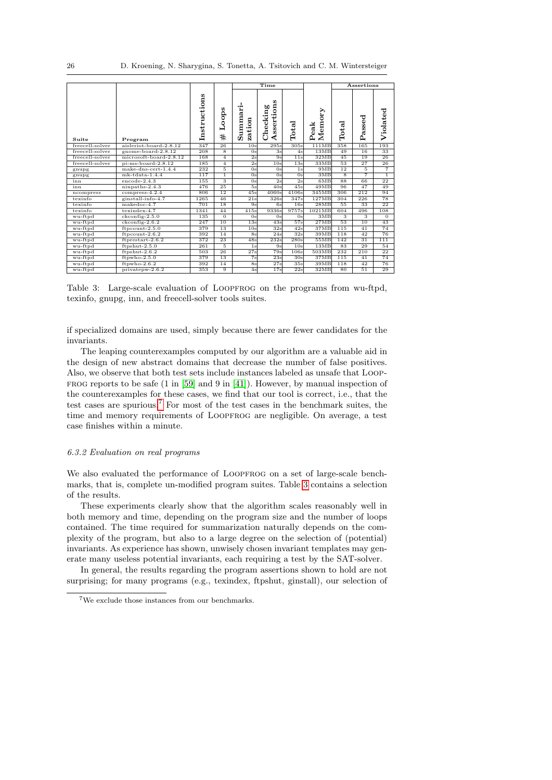<span id="page-25-1"></span>

|                 |                        |              |                 |                                     | Time                           |                |                |                         | Assertions     |                 |
|-----------------|------------------------|--------------|-----------------|-------------------------------------|--------------------------------|----------------|----------------|-------------------------|----------------|-----------------|
| Suite           | Program                | Instructions | Loops<br>#      | Summari-<br>$\overline{5}$<br>zatio | w<br>ssertion<br>Checking<br>∢ | $_{\rm Total}$ | Memory<br>Peak | Total                   | assed<br>Ñ     | Violated        |
| freecell-solver | aisleriot-board-2.8.12 | 347          | 26              | 10 <sub>s</sub>                     | 295s                           | 305s           | 111MB          | 358                     | 165            | 193             |
| freecell-solver | gnome-board-2.8.12     | 208          | 8               | 0s                                  | 3s                             | 4s             | 13MB           | 49                      | 16             | 33              |
| freecell-solver | microsoft-board-2.8.12 | 168          | $\overline{4}$  | 2s                                  | 9s                             | 11s            | 32MB           | 45                      | 19             | 26              |
| freecell-solver | $pi$ -ms-board-2.8.12  | 185          | $\overline{4}$  | 2s                                  | 10s                            | 13s            | 33MB           | 53                      | 27             | 26              |
| gnupg           | $make-dnscert-1.4.4$   | 232          | 5               | 0s                                  | 0s                             | 1s             | 9MB            | 12                      | 5              | $\overline{7}$  |
| gnupg           | $mk$ -tdata-1.4.4      | 117          | $\overline{1}$  | 0s                                  | 0 <sub>s</sub>                 | 0s             | 3MB            | $\overline{\mathbf{8}}$ | $\overline{7}$ | $\overline{1}$  |
| inn             | $encode-2.4.3$         | 155          | 3               | 0 <sub>s</sub>                      | 2s                             | 2s             | 6MB            | 88                      | 66             | 22              |
| inn             | $n$ inpaths-2.4.3      | 476          | 25              | 5s                                  | 40s                            | 45s            | 49MB           | 96                      | 47             | 49              |
| ncompress       | $compress-4.2.4$       | 806          | 12              | 45s                                 | 4060s                          | 4106s          | 345MB          | 306                     | 212            | 94              |
| texinfo         | ginstall-info-4.7      | 1265         | 46              | 21s                                 | 326s                           | 347s           | 127MB          | 304                     | 226            | 78              |
| texinfo         | makedoc-4.7            | 701          | $\overline{18}$ | 9s                                  | 6s                             | 16s            | 28MB           | 55                      | 33             | $\overline{22}$ |
| texinfo         | texindex-4.7           | 1341         | 44              | 415s                                | 9336s                          | 9757s          | 1021MB         | 604                     | 496            | 108             |
| wu-ftpd         | $ckconfig-2.5.0$       | 135          | $\theta$        | 0s                                  | 0 <sub>s</sub>                 | 0s             | 3MB            | 3                       | 3              | $\theta$        |
| wu-ftpd         | $ckconfig-2.6.2$       | 247          | 10              | 13s                                 | 43s                            | 57s            | 27MB           | 53                      | 10             | 43              |
| wu-ftpd         | $ft$ pcount- $2.5.0$   | 379          | 13              | 10 <sub>s</sub>                     | 32s                            | 42s            | 37MB           | 115                     | 41             | 74              |
| wu-ftpd         | $ft$ pcount-2.6.2      | 392          | 14              | 8s                                  | 24s                            | 32s            | 39MB           | 118                     | 42             | 76              |
| wu-ftpd         | $ftprestart-2.6.2$     | 372          | 23              | 48s                                 | 232s                           | 280s           | 55MB           | 142                     | 31             | 111             |
| wu-ftpd         | $ftpshut-2.5.0$        | 261          | 5               | 1 <sub>s</sub>                      | 9s                             | 10s            | 13MB           | 83                      | 29             | 54              |
| wu-ftpd         | $ftpshut-2.6.2$        | 503          | 26              | 27s                                 | 79s                            | 106s           | 503MB          | 232                     | 210            | 22              |
| wu-ftpd         | $ftpwho-2.5.0$         | 379          | 13              | 7s                                  | 23s                            | 30s            | 37MB           | 115                     | 41             | 74              |
| wu-ftpd         | $ftpwho-2.6.2$         | 392          | 14              | 8s                                  | 27s                            | 35s            | 39MB           | 118                     | 42             | 76              |
| wu-ftpd         | privatepw-2.6.2        | 353          | 9               | 4s                                  | 17s                            | 22s            | 32MB           | 80                      | 51             | 29              |

Table 3: Large-scale evaluation of LOOPFROG on the programs from wu-ftpd, texinfo, gnupg, inn, and freecell-solver tools suites.

if specialized domains are used, simply because there are fewer candidates for the invariants.

The leaping counterexamples computed by our algorithm are a valuable aid in the design of new abstract domains that decrease the number of false positives. Also, we observe that both test sets include instances labeled as unsafe that Loop-FROG reports to be safe  $(1 \text{ in } [59] \text{ and } 9 \text{ in } [41])$  $(1 \text{ in } [59] \text{ and } 9 \text{ in } [41])$  $(1 \text{ in } [59] \text{ and } 9 \text{ in } [41])$  $(1 \text{ in } [59] \text{ and } 9 \text{ in } [41])$  $(1 \text{ in } [59] \text{ and } 9 \text{ in } [41])$ . However, by manual inspection of the counterexamples for these cases, we find that our tool is correct, i.e., that the test cases are spurious.[7](#page-25-0) For most of the test cases in the benchmark suites, the time and memory requirements of LOOPFROG are negligible. On average, a test case finishes within a minute.

# 6.3.2 Evaluation on real programs

We also evaluated the performance of LOOPFROG on a set of large-scale benchmarks, that is, complete un-modified program suites. Table [3](#page-25-1) contains a selection of the results.

These experiments clearly show that the algorithm scales reasonably well in both memory and time, depending on the program size and the number of loops contained. The time required for summarization naturally depends on the complexity of the program, but also to a large degree on the selection of (potential) invariants. As experience has shown, unwisely chosen invariant templates may generate many useless potential invariants, each requiring a test by the SAT-solver.

In general, the results regarding the program assertions shown to hold are not surprising; for many programs (e.g., texindex, ftpshut, ginstall), our selection of

<span id="page-25-0"></span><sup>7</sup>We exclude those instances from our benchmarks.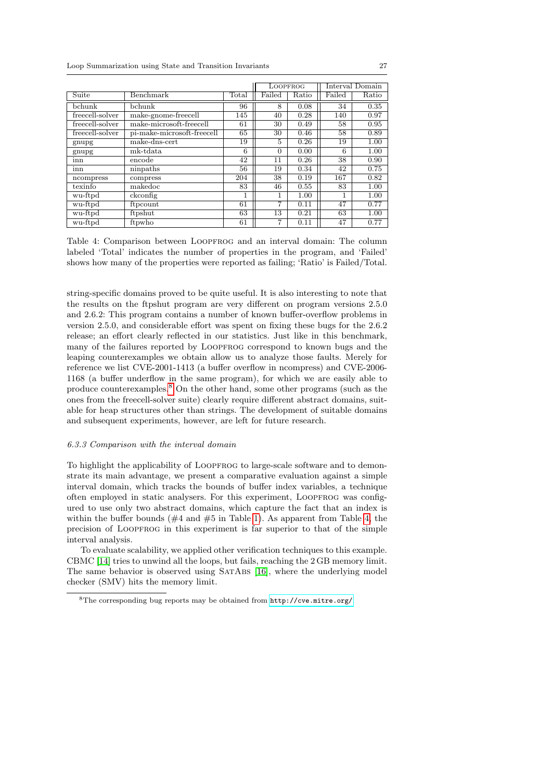<span id="page-26-1"></span>

|                 |                            |       | <b>LOOPFROG</b> |       | Interval Domain |       |
|-----------------|----------------------------|-------|-----------------|-------|-----------------|-------|
| Suite           | Benchmark                  | Total | Failed          | Ratio | Failed          | Ratio |
| bchunk          | bchunk                     | 96    | 8               | 0.08  | 34              | 0.35  |
| freecell-solver | make-gnome-freecell        | 145   | 40              | 0.28  | 140             | 0.97  |
| freecell-solver | make-microsoft-freecell    | 61    | 30              | 0.49  | 58              | 0.95  |
| freecell-solver | pi-make-microsoft-freecell | 65    | 30              | 0.46  | 58              | 0.89  |
| gnupg           | make-dns-cert              | 19    | 5               | 0.26  | 19              | 1.00  |
| gnupg           | mk-tdata                   | 6     | $\Omega$        | 0.00  | 6               | 1.00  |
| inn             | encode                     | 42    | 11              | 0.26  | 38              | 0.90  |
| inn             | ninpaths                   | 56    | 19              | 0.34  | 42              | 0.75  |
| ncompress       | compress                   | 204   | 38              | 0.19  | 167             | 0.82  |
| texinfo         | makedoc                    | 83    | 46              | 0.55  | 83              | 1.00  |
| wu-ftpd         | ckconfig                   |       |                 | 1.00  | 1               | 1.00  |
| wu-ftpd         | ftpcount                   | 61    | 7               | 0.11  | 47              | 0.77  |
| wu-ftpd         | ftpshut                    | 63    | 13              | 0.21  | 63              | 1.00  |
| wu-ftpd         | ftpwho                     | 61    | 7               | 0.11  | 47              | 0.77  |

Table 4: Comparison between Loopfrog and an interval domain: The column labeled 'Total' indicates the number of properties in the program, and 'Failed' shows how many of the properties were reported as failing; 'Ratio' is Failed/Total.

string-specific domains proved to be quite useful. It is also interesting to note that the results on the ftpshut program are very different on program versions 2.5.0 and 2.6.2: This program contains a number of known buffer-overflow problems in version 2.5.0, and considerable effort was spent on fixing these bugs for the 2.6.2 release; an effort clearly reflected in our statistics. Just like in this benchmark, many of the failures reported by LOOPFROG correspond to known bugs and the leaping counterexamples we obtain allow us to analyze those faults. Merely for reference we list CVE-2001-1413 (a buffer overflow in ncompress) and CVE-2006- 1168 (a buffer underflow in the same program), for which we are easily able to produce counterexamples.[8](#page-26-0) On the other hand, some other programs (such as the ones from the freecell-solver suite) clearly require different abstract domains, suitable for heap structures other than strings. The development of suitable domains and subsequent experiments, however, are left for future research.

# 6.3.3 Comparison with the interval domain

To highlight the applicability of LOOPFROG to large-scale software and to demonstrate its main advantage, we present a comparative evaluation against a simple interval domain, which tracks the bounds of buffer index variables, a technique often employed in static analysers. For this experiment, LOOPFROG was configured to use only two abstract domains, which capture the fact that an index is within the buffer bounds ( $#4$  and  $#5$  in Table [1\)](#page-22-0). As apparent from Table [4,](#page-26-1) the precision of Loopfrog in this experiment is far superior to that of the simple interval analysis.

To evaluate scalability, we applied other verification techniques to this example. CBMC [\[14\]](#page-40-2) tries to unwind all the loops, but fails, reaching the 2 GB memory limit. The same behavior is observed using SATABS [\[16\]](#page-40-7), where the underlying model checker (SMV) hits the memory limit.

<span id="page-26-0"></span><sup>8</sup>The corresponding bug reports may be obtained from <http://cve.mitre.org/>.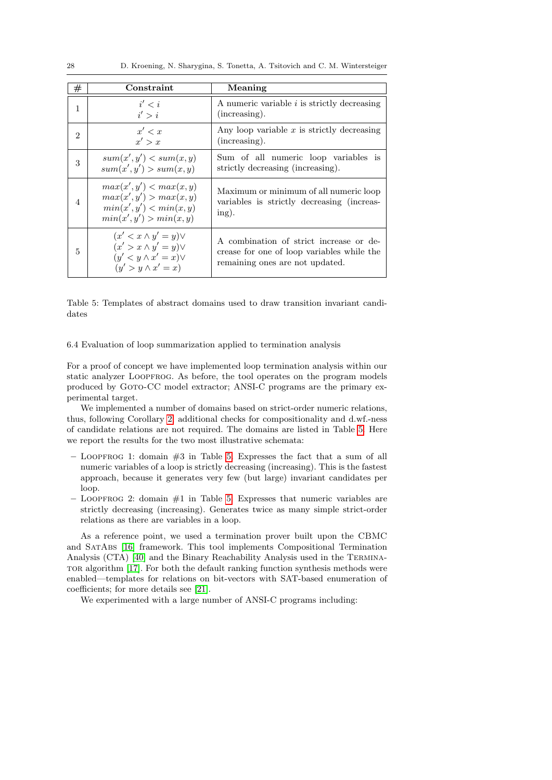<span id="page-27-0"></span>

| $^{\#}$        | Constraint                                                                                                                  | Meaning                                                                                                                  |
|----------------|-----------------------------------------------------------------------------------------------------------------------------|--------------------------------------------------------------------------------------------------------------------------|
| 1              | i' < i<br>i' > i                                                                                                            | A numeric variable <i>i</i> is strictly decreasing<br>(increasing).                                                      |
| $\mathfrak{D}$ | x' < x<br>x' > x                                                                                                            | Any loop variable $x$ is strictly decreasing<br>(increasing).                                                            |
| 3              | sum(x', y') < sum(x, y)<br>sum(x', y') > sum(x, y)                                                                          | Sum of all numeric loop variables is<br>strictly decreasing (increasing).                                                |
| 4              | max(x', y') < max(x, y)<br>max(x', y') > max(x, y)<br>min(x', y') < min(x, y)<br>min(x', y') > min(x, y)                    | Maximum or minimum of all numeric loop<br>variables is strictly decreasing (increas-<br>ing).                            |
| 5              | $(x' < x \wedge y' = y) \vee$<br>$(x' > x \wedge y' = y) \vee$<br>$(y' < y \wedge x' = x) \vee$<br>$(y' > y \wedge x' = x)$ | A combination of strict increase or de-<br>crease for one of loop variables while the<br>remaining ones are not updated. |

Table 5: Templates of abstract domains used to draw transition invariant candidates

6.4 Evaluation of loop summarization applied to termination analysis

For a proof of concept we have implemented loop termination analysis within our static analyzer LOOPFROG. As before, the tool operates on the program models produced by GOTO-CC model extractor; ANSI-C programs are the primary experimental target.

We implemented a number of domains based on strict-order numeric relations, thus, following Corollary [2,](#page-19-2) additional checks for compositionality and d.wf.-ness of candidate relations are not required. The domains are listed in Table [5.](#page-27-0) Here we report the results for the two most illustrative schemata:

- $-$  LOOPFROG 1: domain  $#3$  in Table [5.](#page-27-0) Expresses the fact that a sum of all numeric variables of a loop is strictly decreasing (increasing). This is the fastest approach, because it generates very few (but large) invariant candidates per loop.
- $-$  LOOPFROG 2: domain  $#1$  in Table [5.](#page-27-0) Expresses that numeric variables are strictly decreasing (increasing). Generates twice as many simple strict-order relations as there are variables in a loop.

As a reference point, we used a termination prover built upon the CBMC and SatAbs [\[16\]](#page-40-7) framework. This tool implements Compositional Termination Analysis (CTA) [\[40\]](#page-41-5) and the Binary Reachability Analysis used in the Termina-TOR algorithm [\[17\]](#page-40-3). For both the default ranking function synthesis methods were enabled—templates for relations on bit-vectors with SAT-based enumeration of coefficients; for more details see [\[21\]](#page-40-5).

We experimented with a large number of ANSI-C programs including: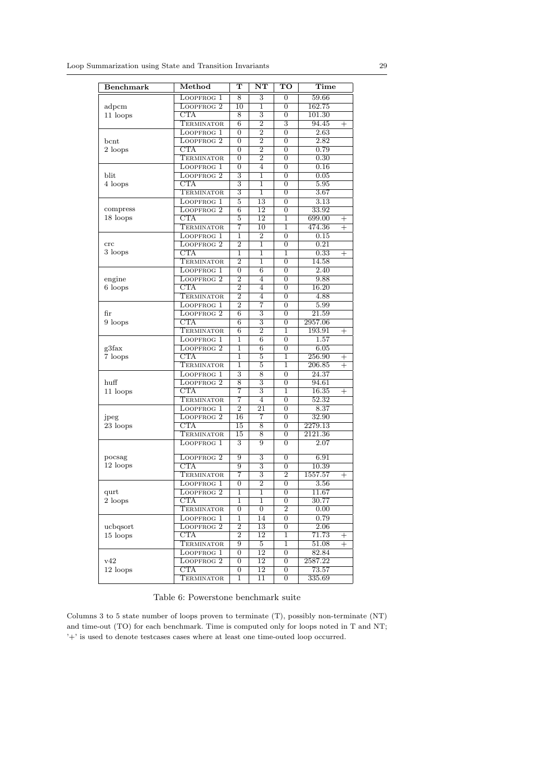<span id="page-28-0"></span>

| <b>Benchmark</b>                                                                                                                                                                                                                                                                                                                                                                | $\overline{\text{Method}}$                                                                                                                                                                                                                                                                                                                                                                                                                                                                                                                                                                                                                                                                                                                                                                                                                                                                                                                                                                                                                                                                                                                                            | т                  | $\overline{\text{NT}}$ | TO                                                                                                                                                                                                                                                                                                                                                                                                                                                                                                                                                                                                                                                                                                                                                                                                               | Time                             |
|---------------------------------------------------------------------------------------------------------------------------------------------------------------------------------------------------------------------------------------------------------------------------------------------------------------------------------------------------------------------------------|-----------------------------------------------------------------------------------------------------------------------------------------------------------------------------------------------------------------------------------------------------------------------------------------------------------------------------------------------------------------------------------------------------------------------------------------------------------------------------------------------------------------------------------------------------------------------------------------------------------------------------------------------------------------------------------------------------------------------------------------------------------------------------------------------------------------------------------------------------------------------------------------------------------------------------------------------------------------------------------------------------------------------------------------------------------------------------------------------------------------------------------------------------------------------|--------------------|------------------------|------------------------------------------------------------------------------------------------------------------------------------------------------------------------------------------------------------------------------------------------------------------------------------------------------------------------------------------------------------------------------------------------------------------------------------------------------------------------------------------------------------------------------------------------------------------------------------------------------------------------------------------------------------------------------------------------------------------------------------------------------------------------------------------------------------------|----------------------------------|
|                                                                                                                                                                                                                                                                                                                                                                                 | LOOPFROG 1                                                                                                                                                                                                                                                                                                                                                                                                                                                                                                                                                                                                                                                                                                                                                                                                                                                                                                                                                                                                                                                                                                                                                            | 8                  | 3                      | $\overline{0}$                                                                                                                                                                                                                                                                                                                                                                                                                                                                                                                                                                                                                                                                                                                                                                                                   | 59.66                            |
| adpcm                                                                                                                                                                                                                                                                                                                                                                           | LOOPFROG <sub>2</sub>                                                                                                                                                                                                                                                                                                                                                                                                                                                                                                                                                                                                                                                                                                                                                                                                                                                                                                                                                                                                                                                                                                                                                 | $\overline{10}$    | 1                      | $\overline{0}$                                                                                                                                                                                                                                                                                                                                                                                                                                                                                                                                                                                                                                                                                                                                                                                                   | 162.75                           |
| 11 loops                                                                                                                                                                                                                                                                                                                                                                        | CTA                                                                                                                                                                                                                                                                                                                                                                                                                                                                                                                                                                                                                                                                                                                                                                                                                                                                                                                                                                                                                                                                                                                                                                   | 8                  | 3                      | 0                                                                                                                                                                                                                                                                                                                                                                                                                                                                                                                                                                                                                                                                                                                                                                                                                | 101.30                           |
|                                                                                                                                                                                                                                                                                                                                                                                 |                                                                                                                                                                                                                                                                                                                                                                                                                                                                                                                                                                                                                                                                                                                                                                                                                                                                                                                                                                                                                                                                                                                                                                       | 6                  | $\overline{2}$         | 3                                                                                                                                                                                                                                                                                                                                                                                                                                                                                                                                                                                                                                                                                                                                                                                                                | 94.45<br>$^{+}$                  |
|                                                                                                                                                                                                                                                                                                                                                                                 | LOOPFROG 1                                                                                                                                                                                                                                                                                                                                                                                                                                                                                                                                                                                                                                                                                                                                                                                                                                                                                                                                                                                                                                                                                                                                                            | 0                  | $\overline{2}$         | 0                                                                                                                                                                                                                                                                                                                                                                                                                                                                                                                                                                                                                                                                                                                                                                                                                | 2.63                             |
| bcnt                                                                                                                                                                                                                                                                                                                                                                            | LOOPFROG <sub>2</sub>                                                                                                                                                                                                                                                                                                                                                                                                                                                                                                                                                                                                                                                                                                                                                                                                                                                                                                                                                                                                                                                                                                                                                 | $\overline{0}$     | $\overline{2}$         | $\overline{0}$                                                                                                                                                                                                                                                                                                                                                                                                                                                                                                                                                                                                                                                                                                                                                                                                   | 2.82                             |
| 2 loops                                                                                                                                                                                                                                                                                                                                                                         | $\overline{\text{CTA}}$                                                                                                                                                                                                                                                                                                                                                                                                                                                                                                                                                                                                                                                                                                                                                                                                                                                                                                                                                                                                                                                                                                                                               | 0                  | $\overline{2}$         | 0                                                                                                                                                                                                                                                                                                                                                                                                                                                                                                                                                                                                                                                                                                                                                                                                                |                                  |
|                                                                                                                                                                                                                                                                                                                                                                                 |                                                                                                                                                                                                                                                                                                                                                                                                                                                                                                                                                                                                                                                                                                                                                                                                                                                                                                                                                                                                                                                                                                                                                                       | $\overline{0}$     |                        | $\overline{0}$                                                                                                                                                                                                                                                                                                                                                                                                                                                                                                                                                                                                                                                                                                                                                                                                   | 0.30                             |
|                                                                                                                                                                                                                                                                                                                                                                                 | LOOPFROG 1                                                                                                                                                                                                                                                                                                                                                                                                                                                                                                                                                                                                                                                                                                                                                                                                                                                                                                                                                                                                                                                                                                                                                            | 0                  | 4                      | $\overline{0}$                                                                                                                                                                                                                                                                                                                                                                                                                                                                                                                                                                                                                                                                                                                                                                                                   | 0.16                             |
| blit                                                                                                                                                                                                                                                                                                                                                                            | LOOPFROG <sub>2</sub>                                                                                                                                                                                                                                                                                                                                                                                                                                                                                                                                                                                                                                                                                                                                                                                                                                                                                                                                                                                                                                                                                                                                                 | 3                  | 1                      | $\overline{0}$                                                                                                                                                                                                                                                                                                                                                                                                                                                                                                                                                                                                                                                                                                                                                                                                   | 0.05                             |
| 4 loops                                                                                                                                                                                                                                                                                                                                                                         |                                                                                                                                                                                                                                                                                                                                                                                                                                                                                                                                                                                                                                                                                                                                                                                                                                                                                                                                                                                                                                                                                                                                                                       |                    | 1                      | $\overline{0}$                                                                                                                                                                                                                                                                                                                                                                                                                                                                                                                                                                                                                                                                                                                                                                                                   | 5.95                             |
|                                                                                                                                                                                                                                                                                                                                                                                 |                                                                                                                                                                                                                                                                                                                                                                                                                                                                                                                                                                                                                                                                                                                                                                                                                                                                                                                                                                                                                                                                                                                                                                       |                    |                        |                                                                                                                                                                                                                                                                                                                                                                                                                                                                                                                                                                                                                                                                                                                                                                                                                  |                                  |
|                                                                                                                                                                                                                                                                                                                                                                                 | LOOPFROG 1                                                                                                                                                                                                                                                                                                                                                                                                                                                                                                                                                                                                                                                                                                                                                                                                                                                                                                                                                                                                                                                                                                                                                            | 5                  | 13                     | $\overline{0}$                                                                                                                                                                                                                                                                                                                                                                                                                                                                                                                                                                                                                                                                                                                                                                                                   | 3.13                             |
| compress                                                                                                                                                                                                                                                                                                                                                                        | LOOPFROG <sub>2</sub>                                                                                                                                                                                                                                                                                                                                                                                                                                                                                                                                                                                                                                                                                                                                                                                                                                                                                                                                                                                                                                                                                                                                                 | $\overline{6}$     |                        | 0                                                                                                                                                                                                                                                                                                                                                                                                                                                                                                                                                                                                                                                                                                                                                                                                                |                                  |
| 18 loops                                                                                                                                                                                                                                                                                                                                                                        |                                                                                                                                                                                                                                                                                                                                                                                                                                                                                                                                                                                                                                                                                                                                                                                                                                                                                                                                                                                                                                                                                                                                                                       | 5                  |                        | 1                                                                                                                                                                                                                                                                                                                                                                                                                                                                                                                                                                                                                                                                                                                                                                                                                | 699.00<br>$^+$                   |
|                                                                                                                                                                                                                                                                                                                                                                                 |                                                                                                                                                                                                                                                                                                                                                                                                                                                                                                                                                                                                                                                                                                                                                                                                                                                                                                                                                                                                                                                                                                                                                                       | 7                  | 10                     | 1                                                                                                                                                                                                                                                                                                                                                                                                                                                                                                                                                                                                                                                                                                                                                                                                                | $^{+}$                           |
|                                                                                                                                                                                                                                                                                                                                                                                 | LOOPFROG 1                                                                                                                                                                                                                                                                                                                                                                                                                                                                                                                                                                                                                                                                                                                                                                                                                                                                                                                                                                                                                                                                                                                                                            | 1                  |                        | $\overline{0}$                                                                                                                                                                                                                                                                                                                                                                                                                                                                                                                                                                                                                                                                                                                                                                                                   | 0.15                             |
| $_{\rm crc}$                                                                                                                                                                                                                                                                                                                                                                    | LOOPFROG <sub>2</sub>                                                                                                                                                                                                                                                                                                                                                                                                                                                                                                                                                                                                                                                                                                                                                                                                                                                                                                                                                                                                                                                                                                                                                 | $\overline{2}$     | 1                      | 0                                                                                                                                                                                                                                                                                                                                                                                                                                                                                                                                                                                                                                                                                                                                                                                                                |                                  |
| 3 loops                                                                                                                                                                                                                                                                                                                                                                         |                                                                                                                                                                                                                                                                                                                                                                                                                                                                                                                                                                                                                                                                                                                                                                                                                                                                                                                                                                                                                                                                                                                                                                       | 1                  | 1                      |                                                                                                                                                                                                                                                                                                                                                                                                                                                                                                                                                                                                                                                                                                                                                                                                                  | $^{+}$                           |
|                                                                                                                                                                                                                                                                                                                                                                                 |                                                                                                                                                                                                                                                                                                                                                                                                                                                                                                                                                                                                                                                                                                                                                                                                                                                                                                                                                                                                                                                                                                                                                                       |                    |                        |                                                                                                                                                                                                                                                                                                                                                                                                                                                                                                                                                                                                                                                                                                                                                                                                                  |                                  |
|                                                                                                                                                                                                                                                                                                                                                                                 | LOOPFROG 1                                                                                                                                                                                                                                                                                                                                                                                                                                                                                                                                                                                                                                                                                                                                                                                                                                                                                                                                                                                                                                                                                                                                                            | $\boldsymbol{0}$   | 6                      | 0                                                                                                                                                                                                                                                                                                                                                                                                                                                                                                                                                                                                                                                                                                                                                                                                                | 2.40                             |
| engine                                                                                                                                                                                                                                                                                                                                                                          | LOOPFROG <sub>2</sub>                                                                                                                                                                                                                                                                                                                                                                                                                                                                                                                                                                                                                                                                                                                                                                                                                                                                                                                                                                                                                                                                                                                                                 | $\overline{2}$     | $\overline{4}$         | $\overline{0}$                                                                                                                                                                                                                                                                                                                                                                                                                                                                                                                                                                                                                                                                                                                                                                                                   |                                  |
| 6 loops                                                                                                                                                                                                                                                                                                                                                                         |                                                                                                                                                                                                                                                                                                                                                                                                                                                                                                                                                                                                                                                                                                                                                                                                                                                                                                                                                                                                                                                                                                                                                                       | $\overline{2}$     | 4                      | 0                                                                                                                                                                                                                                                                                                                                                                                                                                                                                                                                                                                                                                                                                                                                                                                                                |                                  |
|                                                                                                                                                                                                                                                                                                                                                                                 |                                                                                                                                                                                                                                                                                                                                                                                                                                                                                                                                                                                                                                                                                                                                                                                                                                                                                                                                                                                                                                                                                                                                                                       |                    |                        | 0.79<br>$\overline{0}$<br>3.67<br>33.92<br>474.36<br>0.21<br>1<br>0.33<br>14.58<br>$\overline{0}$<br>9.88<br>16.20<br>$\overline{0}$<br>4.88<br>5.99<br>0<br>21.59<br>$\overline{0}$<br>2957.06<br>0<br>193.91<br>1<br>$\overline{0}$<br>1.57<br>$\overline{0}$<br>6.05<br>256.90<br>1<br>206.85<br>1<br>24.37<br>$\overline{0}$<br>$\overline{0}$<br>94.61<br>16.35<br>1<br>52.32<br>0<br>8.37<br>$\overline{0}$<br>32.90<br>$\overline{0}$<br>2279.13<br>$\overline{0}$<br>$\overline{0}$<br>2121.36<br>2.07<br>$\overline{0}$<br>6.91<br>0<br>10.39<br>$\overline{0}$<br>$\overline{2}$<br>1557.57<br>3.56<br>0<br>$\overline{0}$<br>11.67<br>30.77<br>0<br>$\overline{2}$<br>0.00<br>0.79<br>0<br>2.06<br>0<br>1<br>71.73<br>51.08<br>$\mathbf 1$<br>0<br>82.84<br>2587.22<br>0<br>73.57<br>0<br>335.69<br>0 |                                  |
|                                                                                                                                                                                                                                                                                                                                                                                 | LOOPFROG 1                                                                                                                                                                                                                                                                                                                                                                                                                                                                                                                                                                                                                                                                                                                                                                                                                                                                                                                                                                                                                                                                                                                                                            |                    |                        |                                                                                                                                                                                                                                                                                                                                                                                                                                                                                                                                                                                                                                                                                                                                                                                                                  |                                  |
| fir                                                                                                                                                                                                                                                                                                                                                                             | LOOPFROG <sub>2</sub>                                                                                                                                                                                                                                                                                                                                                                                                                                                                                                                                                                                                                                                                                                                                                                                                                                                                                                                                                                                                                                                                                                                                                 |                    |                        |                                                                                                                                                                                                                                                                                                                                                                                                                                                                                                                                                                                                                                                                                                                                                                                                                  |                                  |
|                                                                                                                                                                                                                                                                                                                                                                                 |                                                                                                                                                                                                                                                                                                                                                                                                                                                                                                                                                                                                                                                                                                                                                                                                                                                                                                                                                                                                                                                                                                                                                                       | 6                  |                        |                                                                                                                                                                                                                                                                                                                                                                                                                                                                                                                                                                                                                                                                                                                                                                                                                  |                                  |
|                                                                                                                                                                                                                                                                                                                                                                                 |                                                                                                                                                                                                                                                                                                                                                                                                                                                                                                                                                                                                                                                                                                                                                                                                                                                                                                                                                                                                                                                                                                                                                                       |                    |                        |                                                                                                                                                                                                                                                                                                                                                                                                                                                                                                                                                                                                                                                                                                                                                                                                                  | $\overline{+}$                   |
| $\overline{2}$<br><b>TERMINATOR</b><br>$\overline{4}$<br>$\overline{2}$<br>7<br>$\overline{6}$<br>3<br>$\overline{\overline{3}}$<br>CTA<br>9 loops<br>$\overline{2}$<br><b>TERMINATOR</b><br>6<br>1<br>6<br>LOOPFROG 1<br>ī<br>$\overline{6}$<br>LOOPFROG <sub>2</sub><br>g3fax<br>CTA<br>1<br>5<br>7 loops<br><b>TERMINATOR</b><br>$\overline{5}$<br>1<br>LOOPFROG 1<br>3<br>8 |                                                                                                                                                                                                                                                                                                                                                                                                                                                                                                                                                                                                                                                                                                                                                                                                                                                                                                                                                                                                                                                                                                                                                                       |                    |                        |                                                                                                                                                                                                                                                                                                                                                                                                                                                                                                                                                                                                                                                                                                                                                                                                                  |                                  |
|                                                                                                                                                                                                                                                                                                                                                                                 |                                                                                                                                                                                                                                                                                                                                                                                                                                                                                                                                                                                                                                                                                                                                                                                                                                                                                                                                                                                                                                                                                                                                                                       |                    |                        |                                                                                                                                                                                                                                                                                                                                                                                                                                                                                                                                                                                                                                                                                                                                                                                                                  |                                  |
|                                                                                                                                                                                                                                                                                                                                                                                 | <b>TERMINATOR</b><br>$\overline{2}$<br><b>TERMINATOR</b><br>CTA<br>$\overline{\overline{3}}$<br>$\overline{3}$<br><b>TERMINATOR</b><br>ī<br>$\overline{12}$<br>CTA<br>$\overline{12}$<br>TERMINATOR<br>$\overline{2}$<br>CTA<br>$\overline{2}$<br>TERMINATOR<br>1<br>CTA<br>8<br>3<br>LOOPFROG <sub>2</sub><br>3<br>CTA<br>7<br><b>TERMINATOR</b><br>7<br>$\overline{4}$<br>$\overline{2}$<br>21<br>LOOPFROG 1<br>LOOPFROG <sub>2</sub><br>16<br>7<br>$\overline{\text{CTA}}$<br>$\overline{15}$<br>8<br><b>TERMINATOR</b><br>$\overline{15}$<br>8<br>3<br>LOOPFROG 1<br>9<br>3<br>LOOPFROG <sub>2</sub><br>9<br>$\overline{3}$<br>CTA<br>$\overline{9}$<br>7<br>$\overline{\overline{3}}$<br><b>TERMINATOR</b><br>$\overline{2}$<br>LOOPFROG 1<br>0<br>LOOPFROG <sub>2</sub><br>1<br>1<br>$\overline{\text{CTA}}$<br>1<br>1<br>TERMINATOR<br>$\overline{0}$<br>$\overline{0}$<br>14<br>LOOPFROG 1<br>1<br>LOOPFROG <sub>2</sub><br>$\overline{2}$<br>$\overline{13}$<br>CTA<br>$\overline{2}$<br>12<br>$\overline{5}$<br><b>TERMINATOR</b><br>9<br>12<br>LOOPFROG 1<br>0<br>LOOPFROG <sub>2</sub><br>0<br>12<br>CTA<br>$\overline{12}$<br>0<br>TERMINATOR<br>1<br>11 | $\hspace{0.1mm} +$ |                        |                                                                                                                                                                                                                                                                                                                                                                                                                                                                                                                                                                                                                                                                                                                                                                                                                  |                                  |
|                                                                                                                                                                                                                                                                                                                                                                                 |                                                                                                                                                                                                                                                                                                                                                                                                                                                                                                                                                                                                                                                                                                                                                                                                                                                                                                                                                                                                                                                                                                                                                                       |                    |                        |                                                                                                                                                                                                                                                                                                                                                                                                                                                                                                                                                                                                                                                                                                                                                                                                                  | $^{+}$                           |
|                                                                                                                                                                                                                                                                                                                                                                                 |                                                                                                                                                                                                                                                                                                                                                                                                                                                                                                                                                                                                                                                                                                                                                                                                                                                                                                                                                                                                                                                                                                                                                                       |                    |                        |                                                                                                                                                                                                                                                                                                                                                                                                                                                                                                                                                                                                                                                                                                                                                                                                                  |                                  |
| huff                                                                                                                                                                                                                                                                                                                                                                            |                                                                                                                                                                                                                                                                                                                                                                                                                                                                                                                                                                                                                                                                                                                                                                                                                                                                                                                                                                                                                                                                                                                                                                       |                    |                        |                                                                                                                                                                                                                                                                                                                                                                                                                                                                                                                                                                                                                                                                                                                                                                                                                  |                                  |
| 11 loops                                                                                                                                                                                                                                                                                                                                                                        |                                                                                                                                                                                                                                                                                                                                                                                                                                                                                                                                                                                                                                                                                                                                                                                                                                                                                                                                                                                                                                                                                                                                                                       |                    |                        |                                                                                                                                                                                                                                                                                                                                                                                                                                                                                                                                                                                                                                                                                                                                                                                                                  | $\hspace{0.1mm} +$               |
|                                                                                                                                                                                                                                                                                                                                                                                 |                                                                                                                                                                                                                                                                                                                                                                                                                                                                                                                                                                                                                                                                                                                                                                                                                                                                                                                                                                                                                                                                                                                                                                       |                    |                        |                                                                                                                                                                                                                                                                                                                                                                                                                                                                                                                                                                                                                                                                                                                                                                                                                  |                                  |
|                                                                                                                                                                                                                                                                                                                                                                                 |                                                                                                                                                                                                                                                                                                                                                                                                                                                                                                                                                                                                                                                                                                                                                                                                                                                                                                                                                                                                                                                                                                                                                                       |                    |                        |                                                                                                                                                                                                                                                                                                                                                                                                                                                                                                                                                                                                                                                                                                                                                                                                                  |                                  |
| jpeg                                                                                                                                                                                                                                                                                                                                                                            |                                                                                                                                                                                                                                                                                                                                                                                                                                                                                                                                                                                                                                                                                                                                                                                                                                                                                                                                                                                                                                                                                                                                                                       |                    |                        |                                                                                                                                                                                                                                                                                                                                                                                                                                                                                                                                                                                                                                                                                                                                                                                                                  |                                  |
| 23 loops                                                                                                                                                                                                                                                                                                                                                                        |                                                                                                                                                                                                                                                                                                                                                                                                                                                                                                                                                                                                                                                                                                                                                                                                                                                                                                                                                                                                                                                                                                                                                                       |                    |                        |                                                                                                                                                                                                                                                                                                                                                                                                                                                                                                                                                                                                                                                                                                                                                                                                                  |                                  |
|                                                                                                                                                                                                                                                                                                                                                                                 |                                                                                                                                                                                                                                                                                                                                                                                                                                                                                                                                                                                                                                                                                                                                                                                                                                                                                                                                                                                                                                                                                                                                                                       |                    |                        |                                                                                                                                                                                                                                                                                                                                                                                                                                                                                                                                                                                                                                                                                                                                                                                                                  |                                  |
|                                                                                                                                                                                                                                                                                                                                                                                 |                                                                                                                                                                                                                                                                                                                                                                                                                                                                                                                                                                                                                                                                                                                                                                                                                                                                                                                                                                                                                                                                                                                                                                       |                    |                        |                                                                                                                                                                                                                                                                                                                                                                                                                                                                                                                                                                                                                                                                                                                                                                                                                  |                                  |
| pocsag                                                                                                                                                                                                                                                                                                                                                                          |                                                                                                                                                                                                                                                                                                                                                                                                                                                                                                                                                                                                                                                                                                                                                                                                                                                                                                                                                                                                                                                                                                                                                                       |                    |                        |                                                                                                                                                                                                                                                                                                                                                                                                                                                                                                                                                                                                                                                                                                                                                                                                                  |                                  |
| 12 loops                                                                                                                                                                                                                                                                                                                                                                        |                                                                                                                                                                                                                                                                                                                                                                                                                                                                                                                                                                                                                                                                                                                                                                                                                                                                                                                                                                                                                                                                                                                                                                       |                    |                        |                                                                                                                                                                                                                                                                                                                                                                                                                                                                                                                                                                                                                                                                                                                                                                                                                  |                                  |
|                                                                                                                                                                                                                                                                                                                                                                                 |                                                                                                                                                                                                                                                                                                                                                                                                                                                                                                                                                                                                                                                                                                                                                                                                                                                                                                                                                                                                                                                                                                                                                                       |                    |                        |                                                                                                                                                                                                                                                                                                                                                                                                                                                                                                                                                                                                                                                                                                                                                                                                                  | $^{+}$                           |
|                                                                                                                                                                                                                                                                                                                                                                                 |                                                                                                                                                                                                                                                                                                                                                                                                                                                                                                                                                                                                                                                                                                                                                                                                                                                                                                                                                                                                                                                                                                                                                                       |                    |                        |                                                                                                                                                                                                                                                                                                                                                                                                                                                                                                                                                                                                                                                                                                                                                                                                                  |                                  |
| qurt                                                                                                                                                                                                                                                                                                                                                                            |                                                                                                                                                                                                                                                                                                                                                                                                                                                                                                                                                                                                                                                                                                                                                                                                                                                                                                                                                                                                                                                                                                                                                                       |                    |                        |                                                                                                                                                                                                                                                                                                                                                                                                                                                                                                                                                                                                                                                                                                                                                                                                                  |                                  |
| 2 loops                                                                                                                                                                                                                                                                                                                                                                         |                                                                                                                                                                                                                                                                                                                                                                                                                                                                                                                                                                                                                                                                                                                                                                                                                                                                                                                                                                                                                                                                                                                                                                       |                    |                        |                                                                                                                                                                                                                                                                                                                                                                                                                                                                                                                                                                                                                                                                                                                                                                                                                  |                                  |
|                                                                                                                                                                                                                                                                                                                                                                                 |                                                                                                                                                                                                                                                                                                                                                                                                                                                                                                                                                                                                                                                                                                                                                                                                                                                                                                                                                                                                                                                                                                                                                                       |                    |                        |                                                                                                                                                                                                                                                                                                                                                                                                                                                                                                                                                                                                                                                                                                                                                                                                                  |                                  |
|                                                                                                                                                                                                                                                                                                                                                                                 |                                                                                                                                                                                                                                                                                                                                                                                                                                                                                                                                                                                                                                                                                                                                                                                                                                                                                                                                                                                                                                                                                                                                                                       |                    |                        |                                                                                                                                                                                                                                                                                                                                                                                                                                                                                                                                                                                                                                                                                                                                                                                                                  |                                  |
| ucbqsort                                                                                                                                                                                                                                                                                                                                                                        |                                                                                                                                                                                                                                                                                                                                                                                                                                                                                                                                                                                                                                                                                                                                                                                                                                                                                                                                                                                                                                                                                                                                                                       |                    |                        |                                                                                                                                                                                                                                                                                                                                                                                                                                                                                                                                                                                                                                                                                                                                                                                                                  |                                  |
| 15 loops                                                                                                                                                                                                                                                                                                                                                                        |                                                                                                                                                                                                                                                                                                                                                                                                                                                                                                                                                                                                                                                                                                                                                                                                                                                                                                                                                                                                                                                                                                                                                                       |                    |                        |                                                                                                                                                                                                                                                                                                                                                                                                                                                                                                                                                                                                                                                                                                                                                                                                                  | $\hspace{0.1mm} +\hspace{0.1mm}$ |
|                                                                                                                                                                                                                                                                                                                                                                                 |                                                                                                                                                                                                                                                                                                                                                                                                                                                                                                                                                                                                                                                                                                                                                                                                                                                                                                                                                                                                                                                                                                                                                                       |                    |                        |                                                                                                                                                                                                                                                                                                                                                                                                                                                                                                                                                                                                                                                                                                                                                                                                                  | $^{+}$                           |
|                                                                                                                                                                                                                                                                                                                                                                                 |                                                                                                                                                                                                                                                                                                                                                                                                                                                                                                                                                                                                                                                                                                                                                                                                                                                                                                                                                                                                                                                                                                                                                                       |                    |                        |                                                                                                                                                                                                                                                                                                                                                                                                                                                                                                                                                                                                                                                                                                                                                                                                                  |                                  |
| v42                                                                                                                                                                                                                                                                                                                                                                             |                                                                                                                                                                                                                                                                                                                                                                                                                                                                                                                                                                                                                                                                                                                                                                                                                                                                                                                                                                                                                                                                                                                                                                       |                    |                        |                                                                                                                                                                                                                                                                                                                                                                                                                                                                                                                                                                                                                                                                                                                                                                                                                  |                                  |
| 12 loops                                                                                                                                                                                                                                                                                                                                                                        |                                                                                                                                                                                                                                                                                                                                                                                                                                                                                                                                                                                                                                                                                                                                                                                                                                                                                                                                                                                                                                                                                                                                                                       |                    |                        |                                                                                                                                                                                                                                                                                                                                                                                                                                                                                                                                                                                                                                                                                                                                                                                                                  |                                  |
|                                                                                                                                                                                                                                                                                                                                                                                 |                                                                                                                                                                                                                                                                                                                                                                                                                                                                                                                                                                                                                                                                                                                                                                                                                                                                                                                                                                                                                                                                                                                                                                       |                    |                        |                                                                                                                                                                                                                                                                                                                                                                                                                                                                                                                                                                                                                                                                                                                                                                                                                  |                                  |

Table 6: Powerstone benchmark suite

Columns 3 to 5 state number of loops proven to terminate (T), possibly non-terminate (NT) and time-out (TO) for each benchmark. Time is computed only for loops noted in T and NT; '+' is used to denote testcases cases where at least one time-outed loop occurred.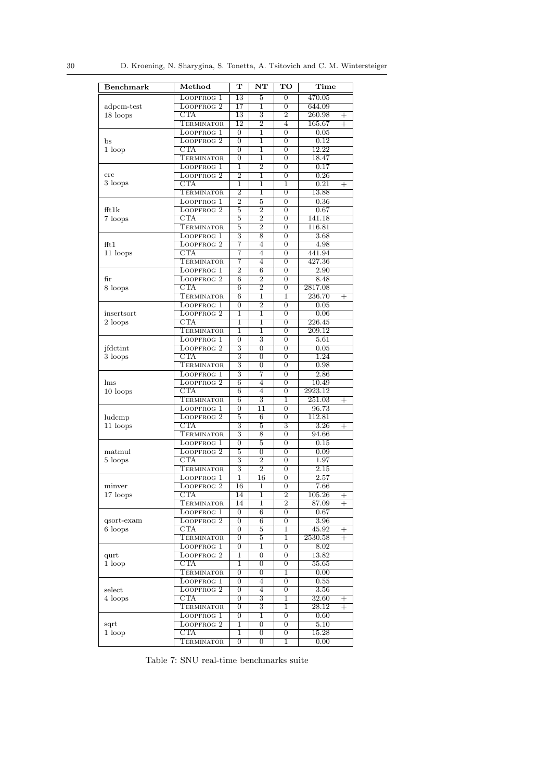<span id="page-29-0"></span>

| <b>Benchmark</b>                                                                                                                                                                                                                                                                                                                                                                                                                                                                                                                                                                                                                                                                                                                                                                                                                                                                                                                                                                                                                                                                                                                                                              | Method                                                                                                                                                                                                                                                                                                                                                                                                                                                                                                                                                                                                                                                                                                                                                                                                                                                                                                                                                                                                                                                                                                                                                                                                                                                                                                                                                                                                                                         | т                   | NT                                          | $\overline{\text{TO}}$ | Time                     |
|-------------------------------------------------------------------------------------------------------------------------------------------------------------------------------------------------------------------------------------------------------------------------------------------------------------------------------------------------------------------------------------------------------------------------------------------------------------------------------------------------------------------------------------------------------------------------------------------------------------------------------------------------------------------------------------------------------------------------------------------------------------------------------------------------------------------------------------------------------------------------------------------------------------------------------------------------------------------------------------------------------------------------------------------------------------------------------------------------------------------------------------------------------------------------------|------------------------------------------------------------------------------------------------------------------------------------------------------------------------------------------------------------------------------------------------------------------------------------------------------------------------------------------------------------------------------------------------------------------------------------------------------------------------------------------------------------------------------------------------------------------------------------------------------------------------------------------------------------------------------------------------------------------------------------------------------------------------------------------------------------------------------------------------------------------------------------------------------------------------------------------------------------------------------------------------------------------------------------------------------------------------------------------------------------------------------------------------------------------------------------------------------------------------------------------------------------------------------------------------------------------------------------------------------------------------------------------------------------------------------------------------|---------------------|---------------------------------------------|------------------------|--------------------------|
|                                                                                                                                                                                                                                                                                                                                                                                                                                                                                                                                                                                                                                                                                                                                                                                                                                                                                                                                                                                                                                                                                                                                                                               | LOOPFROG 1                                                                                                                                                                                                                                                                                                                                                                                                                                                                                                                                                                                                                                                                                                                                                                                                                                                                                                                                                                                                                                                                                                                                                                                                                                                                                                                                                                                                                                     | 13                  | 5                                           | $\overline{0}$         | 470.05                   |
| adpcm-test                                                                                                                                                                                                                                                                                                                                                                                                                                                                                                                                                                                                                                                                                                                                                                                                                                                                                                                                                                                                                                                                                                                                                                    | LOOPFROG <sub>2</sub>                                                                                                                                                                                                                                                                                                                                                                                                                                                                                                                                                                                                                                                                                                                                                                                                                                                                                                                                                                                                                                                                                                                                                                                                                                                                                                                                                                                                                          | $\overline{17}$     | 1                                           | $\overline{0}$         | 644.09                   |
| 18 loops                                                                                                                                                                                                                                                                                                                                                                                                                                                                                                                                                                                                                                                                                                                                                                                                                                                                                                                                                                                                                                                                                                                                                                      | CTA                                                                                                                                                                                                                                                                                                                                                                                                                                                                                                                                                                                                                                                                                                                                                                                                                                                                                                                                                                                                                                                                                                                                                                                                                                                                                                                                                                                                                                            | 13                  | 3                                           | $\overline{2}$         | 260.98<br>$^+$           |
|                                                                                                                                                                                                                                                                                                                                                                                                                                                                                                                                                                                                                                                                                                                                                                                                                                                                                                                                                                                                                                                                                                                                                                               | TERMINATOR                                                                                                                                                                                                                                                                                                                                                                                                                                                                                                                                                                                                                                                                                                                                                                                                                                                                                                                                                                                                                                                                                                                                                                                                                                                                                                                                                                                                                                     | $\overline{12}$     | $\overline{2}$                              | $\overline{4}$         | 165.67<br>$^{+}$         |
|                                                                                                                                                                                                                                                                                                                                                                                                                                                                                                                                                                                                                                                                                                                                                                                                                                                                                                                                                                                                                                                                                                                                                                               | LOOPFROG 1                                                                                                                                                                                                                                                                                                                                                                                                                                                                                                                                                                                                                                                                                                                                                                                                                                                                                                                                                                                                                                                                                                                                                                                                                                                                                                                                                                                                                                     | $\overline{0}$      | 1                                           | $\overline{0}$         | 0.05                     |
| bs                                                                                                                                                                                                                                                                                                                                                                                                                                                                                                                                                                                                                                                                                                                                                                                                                                                                                                                                                                                                                                                                                                                                                                            | LOOPFROG <sub>2</sub>                                                                                                                                                                                                                                                                                                                                                                                                                                                                                                                                                                                                                                                                                                                                                                                                                                                                                                                                                                                                                                                                                                                                                                                                                                                                                                                                                                                                                          | $\overline{0}$      | 1                                           | $\overline{0}$         | 0.12                     |
| 1 loop                                                                                                                                                                                                                                                                                                                                                                                                                                                                                                                                                                                                                                                                                                                                                                                                                                                                                                                                                                                                                                                                                                                                                                        | CTA                                                                                                                                                                                                                                                                                                                                                                                                                                                                                                                                                                                                                                                                                                                                                                                                                                                                                                                                                                                                                                                                                                                                                                                                                                                                                                                                                                                                                                            | $\overline{0}$      | $\overline{1}$                              | $\overline{0}$         | 12.22                    |
|                                                                                                                                                                                                                                                                                                                                                                                                                                                                                                                                                                                                                                                                                                                                                                                                                                                                                                                                                                                                                                                                                                                                                                               | TERMINATOR                                                                                                                                                                                                                                                                                                                                                                                                                                                                                                                                                                                                                                                                                                                                                                                                                                                                                                                                                                                                                                                                                                                                                                                                                                                                                                                                                                                                                                     | $\Omega$            | ī                                           | $\Omega$               | 18.47                    |
|                                                                                                                                                                                                                                                                                                                                                                                                                                                                                                                                                                                                                                                                                                                                                                                                                                                                                                                                                                                                                                                                                                                                                                               | LOOPFROG 1                                                                                                                                                                                                                                                                                                                                                                                                                                                                                                                                                                                                                                                                                                                                                                                                                                                                                                                                                                                                                                                                                                                                                                                                                                                                                                                                                                                                                                     | 1                   | $\overline{2}$                              | $\overline{0}$         | 0.17                     |
| $_{\rm{crc}}$                                                                                                                                                                                                                                                                                                                                                                                                                                                                                                                                                                                                                                                                                                                                                                                                                                                                                                                                                                                                                                                                                                                                                                 | LOOPFROG <sub>2</sub>                                                                                                                                                                                                                                                                                                                                                                                                                                                                                                                                                                                                                                                                                                                                                                                                                                                                                                                                                                                                                                                                                                                                                                                                                                                                                                                                                                                                                          | $\overline{2}$      | 1                                           | $\overline{0}$         | 0.26                     |
| 3 loops                                                                                                                                                                                                                                                                                                                                                                                                                                                                                                                                                                                                                                                                                                                                                                                                                                                                                                                                                                                                                                                                                                                                                                       | CTA                                                                                                                                                                                                                                                                                                                                                                                                                                                                                                                                                                                                                                                                                                                                                                                                                                                                                                                                                                                                                                                                                                                                                                                                                                                                                                                                                                                                                                            | 1                   | 1                                           | 1                      | 0.21<br>$^{+}$           |
|                                                                                                                                                                                                                                                                                                                                                                                                                                                                                                                                                                                                                                                                                                                                                                                                                                                                                                                                                                                                                                                                                                                                                                               | <b>TERMINATOR</b>                                                                                                                                                                                                                                                                                                                                                                                                                                                                                                                                                                                                                                                                                                                                                                                                                                                                                                                                                                                                                                                                                                                                                                                                                                                                                                                                                                                                                              | $\overline{2}$      | 1                                           | $\overline{0}$         | 13.88                    |
|                                                                                                                                                                                                                                                                                                                                                                                                                                                                                                                                                                                                                                                                                                                                                                                                                                                                                                                                                                                                                                                                                                                                                                               | LOOPFROG 1                                                                                                                                                                                                                                                                                                                                                                                                                                                                                                                                                                                                                                                                                                                                                                                                                                                                                                                                                                                                                                                                                                                                                                                                                                                                                                                                                                                                                                     | $\overline{2}$      | 5                                           | $\overline{0}$         | 0.36                     |
| fft1k                                                                                                                                                                                                                                                                                                                                                                                                                                                                                                                                                                                                                                                                                                                                                                                                                                                                                                                                                                                                                                                                                                                                                                         |                                                                                                                                                                                                                                                                                                                                                                                                                                                                                                                                                                                                                                                                                                                                                                                                                                                                                                                                                                                                                                                                                                                                                                                                                                                                                                                                                                                                                                                |                     |                                             |                        |                          |
| 7 loops                                                                                                                                                                                                                                                                                                                                                                                                                                                                                                                                                                                                                                                                                                                                                                                                                                                                                                                                                                                                                                                                                                                                                                       |                                                                                                                                                                                                                                                                                                                                                                                                                                                                                                                                                                                                                                                                                                                                                                                                                                                                                                                                                                                                                                                                                                                                                                                                                                                                                                                                                                                                                                                |                     |                                             |                        |                          |
|                                                                                                                                                                                                                                                                                                                                                                                                                                                                                                                                                                                                                                                                                                                                                                                                                                                                                                                                                                                                                                                                                                                                                                               |                                                                                                                                                                                                                                                                                                                                                                                                                                                                                                                                                                                                                                                                                                                                                                                                                                                                                                                                                                                                                                                                                                                                                                                                                                                                                                                                                                                                                                                |                     |                                             |                        |                          |
|                                                                                                                                                                                                                                                                                                                                                                                                                                                                                                                                                                                                                                                                                                                                                                                                                                                                                                                                                                                                                                                                                                                                                                               |                                                                                                                                                                                                                                                                                                                                                                                                                                                                                                                                                                                                                                                                                                                                                                                                                                                                                                                                                                                                                                                                                                                                                                                                                                                                                                                                                                                                                                                |                     |                                             |                        |                          |
| fft1                                                                                                                                                                                                                                                                                                                                                                                                                                                                                                                                                                                                                                                                                                                                                                                                                                                                                                                                                                                                                                                                                                                                                                          |                                                                                                                                                                                                                                                                                                                                                                                                                                                                                                                                                                                                                                                                                                                                                                                                                                                                                                                                                                                                                                                                                                                                                                                                                                                                                                                                                                                                                                                |                     |                                             |                        |                          |
| 11 loops                                                                                                                                                                                                                                                                                                                                                                                                                                                                                                                                                                                                                                                                                                                                                                                                                                                                                                                                                                                                                                                                                                                                                                      |                                                                                                                                                                                                                                                                                                                                                                                                                                                                                                                                                                                                                                                                                                                                                                                                                                                                                                                                                                                                                                                                                                                                                                                                                                                                                                                                                                                                                                                |                     |                                             |                        |                          |
|                                                                                                                                                                                                                                                                                                                                                                                                                                                                                                                                                                                                                                                                                                                                                                                                                                                                                                                                                                                                                                                                                                                                                                               |                                                                                                                                                                                                                                                                                                                                                                                                                                                                                                                                                                                                                                                                                                                                                                                                                                                                                                                                                                                                                                                                                                                                                                                                                                                                                                                                                                                                                                                |                     |                                             |                        |                          |
|                                                                                                                                                                                                                                                                                                                                                                                                                                                                                                                                                                                                                                                                                                                                                                                                                                                                                                                                                                                                                                                                                                                                                                               |                                                                                                                                                                                                                                                                                                                                                                                                                                                                                                                                                                                                                                                                                                                                                                                                                                                                                                                                                                                                                                                                                                                                                                                                                                                                                                                                                                                                                                                |                     |                                             |                        |                          |
|                                                                                                                                                                                                                                                                                                                                                                                                                                                                                                                                                                                                                                                                                                                                                                                                                                                                                                                                                                                                                                                                                                                                                                               |                                                                                                                                                                                                                                                                                                                                                                                                                                                                                                                                                                                                                                                                                                                                                                                                                                                                                                                                                                                                                                                                                                                                                                                                                                                                                                                                                                                                                                                |                     |                                             |                        |                          |
|                                                                                                                                                                                                                                                                                                                                                                                                                                                                                                                                                                                                                                                                                                                                                                                                                                                                                                                                                                                                                                                                                                                                                                               |                                                                                                                                                                                                                                                                                                                                                                                                                                                                                                                                                                                                                                                                                                                                                                                                                                                                                                                                                                                                                                                                                                                                                                                                                                                                                                                                                                                                                                                |                     |                                             |                        | $^{+}$                   |
|                                                                                                                                                                                                                                                                                                                                                                                                                                                                                                                                                                                                                                                                                                                                                                                                                                                                                                                                                                                                                                                                                                                                                                               |                                                                                                                                                                                                                                                                                                                                                                                                                                                                                                                                                                                                                                                                                                                                                                                                                                                                                                                                                                                                                                                                                                                                                                                                                                                                                                                                                                                                                                                |                     |                                             |                        |                          |
|                                                                                                                                                                                                                                                                                                                                                                                                                                                                                                                                                                                                                                                                                                                                                                                                                                                                                                                                                                                                                                                                                                                                                                               |                                                                                                                                                                                                                                                                                                                                                                                                                                                                                                                                                                                                                                                                                                                                                                                                                                                                                                                                                                                                                                                                                                                                                                                                                                                                                                                                                                                                                                                |                     |                                             |                        |                          |
|                                                                                                                                                                                                                                                                                                                                                                                                                                                                                                                                                                                                                                                                                                                                                                                                                                                                                                                                                                                                                                                                                                                                                                               |                                                                                                                                                                                                                                                                                                                                                                                                                                                                                                                                                                                                                                                                                                                                                                                                                                                                                                                                                                                                                                                                                                                                                                                                                                                                                                                                                                                                                                                |                     |                                             |                        |                          |
|                                                                                                                                                                                                                                                                                                                                                                                                                                                                                                                                                                                                                                                                                                                                                                                                                                                                                                                                                                                                                                                                                                                                                                               |                                                                                                                                                                                                                                                                                                                                                                                                                                                                                                                                                                                                                                                                                                                                                                                                                                                                                                                                                                                                                                                                                                                                                                                                                                                                                                                                                                                                                                                |                     |                                             |                        |                          |
|                                                                                                                                                                                                                                                                                                                                                                                                                                                                                                                                                                                                                                                                                                                                                                                                                                                                                                                                                                                                                                                                                                                                                                               |                                                                                                                                                                                                                                                                                                                                                                                                                                                                                                                                                                                                                                                                                                                                                                                                                                                                                                                                                                                                                                                                                                                                                                                                                                                                                                                                                                                                                                                |                     |                                             |                        |                          |
|                                                                                                                                                                                                                                                                                                                                                                                                                                                                                                                                                                                                                                                                                                                                                                                                                                                                                                                                                                                                                                                                                                                                                                               |                                                                                                                                                                                                                                                                                                                                                                                                                                                                                                                                                                                                                                                                                                                                                                                                                                                                                                                                                                                                                                                                                                                                                                                                                                                                                                                                                                                                                                                |                     |                                             |                        |                          |
|                                                                                                                                                                                                                                                                                                                                                                                                                                                                                                                                                                                                                                                                                                                                                                                                                                                                                                                                                                                                                                                                                                                                                                               |                                                                                                                                                                                                                                                                                                                                                                                                                                                                                                                                                                                                                                                                                                                                                                                                                                                                                                                                                                                                                                                                                                                                                                                                                                                                                                                                                                                                                                                |                     |                                             |                        |                          |
|                                                                                                                                                                                                                                                                                                                                                                                                                                                                                                                                                                                                                                                                                                                                                                                                                                                                                                                                                                                                                                                                                                                                                                               |                                                                                                                                                                                                                                                                                                                                                                                                                                                                                                                                                                                                                                                                                                                                                                                                                                                                                                                                                                                                                                                                                                                                                                                                                                                                                                                                                                                                                                                |                     |                                             |                        |                          |
|                                                                                                                                                                                                                                                                                                                                                                                                                                                                                                                                                                                                                                                                                                                                                                                                                                                                                                                                                                                                                                                                                                                                                                               |                                                                                                                                                                                                                                                                                                                                                                                                                                                                                                                                                                                                                                                                                                                                                                                                                                                                                                                                                                                                                                                                                                                                                                                                                                                                                                                                                                                                                                                |                     |                                             |                        |                          |
| $\overline{2}$<br>LOOPFROG <sub>2</sub><br>$\overline{6}$<br>$\overline{0}$<br>fir<br>CTA<br>$\overline{2}$<br>6<br>$\overline{0}$<br>8 loops<br><b>TERMINATOR</b><br>6<br>1<br>1<br>LOOPFROG <sub>1</sub><br>$\overline{2}$<br>0<br>$\overline{0}$<br>LOOPFROG <sub>2</sub><br>ī<br>ī<br>$\overline{0}$<br>insertsort<br>$\overline{\text{CTA}}$<br>1<br>1<br>$\overline{0}$<br>2 loops<br><b>TERMINATOR</b><br>1<br>1<br>$\overline{0}$<br>LOOPFROG 1<br>3<br>0<br>$\overline{0}$<br>3<br>LOOPFROG <sub>2</sub><br>$\overline{0}$<br>$\overline{0}$<br>jfdctint<br>CTA<br>3<br>$\overline{0}$<br>$\overline{0}$<br>3 loops<br>$\overline{\overline{3}}$<br>TERMINATOR<br>$\overline{0}$<br>$\overline{0}$<br>3<br>7<br>LOOPFROG 1<br>$\overline{0}$<br>LOOPFROG <sub>2</sub><br>$\overline{6}$<br>4<br>$\overline{0}$<br>lms<br>CTA<br>6<br>4<br>$\overline{0}$<br>10 loops<br><b>TERMINATOR</b><br>3<br>6<br>1<br>11<br>LOOPFROG 1<br>$\overline{0}$<br>$\overline{0}$<br>LOOPFROG <sub>2</sub><br>5<br>6<br>$\overline{0}$<br>ludcmp<br>CTA<br>3<br>$\overline{5}$<br>3<br>11 loops<br>TERMINATOR<br>3<br>8<br>$\overline{0}$<br>LOOPFROG 1<br>5<br>$\boldsymbol{0}$<br>0 |                                                                                                                                                                                                                                                                                                                                                                                                                                                                                                                                                                                                                                                                                                                                                                                                                                                                                                                                                                                                                                                                                                                                                                                                                                                                                                                                                                                                                                                |                     |                                             |                        |                          |
|                                                                                                                                                                                                                                                                                                                                                                                                                                                                                                                                                                                                                                                                                                                                                                                                                                                                                                                                                                                                                                                                                                                                                                               |                                                                                                                                                                                                                                                                                                                                                                                                                                                                                                                                                                                                                                                                                                                                                                                                                                                                                                                                                                                                                                                                                                                                                                                                                                                                                                                                                                                                                                                |                     |                                             |                        |                          |
|                                                                                                                                                                                                                                                                                                                                                                                                                                                                                                                                                                                                                                                                                                                                                                                                                                                                                                                                                                                                                                                                                                                                                                               |                                                                                                                                                                                                                                                                                                                                                                                                                                                                                                                                                                                                                                                                                                                                                                                                                                                                                                                                                                                                                                                                                                                                                                                                                                                                                                                                                                                                                                                |                     |                                             |                        | $^{+}$                   |
|                                                                                                                                                                                                                                                                                                                                                                                                                                                                                                                                                                                                                                                                                                                                                                                                                                                                                                                                                                                                                                                                                                                                                                               |                                                                                                                                                                                                                                                                                                                                                                                                                                                                                                                                                                                                                                                                                                                                                                                                                                                                                                                                                                                                                                                                                                                                                                                                                                                                                                                                                                                                                                                |                     |                                             |                        |                          |
|                                                                                                                                                                                                                                                                                                                                                                                                                                                                                                                                                                                                                                                                                                                                                                                                                                                                                                                                                                                                                                                                                                                                                                               |                                                                                                                                                                                                                                                                                                                                                                                                                                                                                                                                                                                                                                                                                                                                                                                                                                                                                                                                                                                                                                                                                                                                                                                                                                                                                                                                                                                                                                                |                     |                                             |                        | 112.81                   |
|                                                                                                                                                                                                                                                                                                                                                                                                                                                                                                                                                                                                                                                                                                                                                                                                                                                                                                                                                                                                                                                                                                                                                                               |                                                                                                                                                                                                                                                                                                                                                                                                                                                                                                                                                                                                                                                                                                                                                                                                                                                                                                                                                                                                                                                                                                                                                                                                                                                                                                                                                                                                                                                |                     |                                             |                        | 3.26<br>$^{+}$           |
|                                                                                                                                                                                                                                                                                                                                                                                                                                                                                                                                                                                                                                                                                                                                                                                                                                                                                                                                                                                                                                                                                                                                                                               |                                                                                                                                                                                                                                                                                                                                                                                                                                                                                                                                                                                                                                                                                                                                                                                                                                                                                                                                                                                                                                                                                                                                                                                                                                                                                                                                                                                                                                                |                     |                                             |                        | 94.66                    |
|                                                                                                                                                                                                                                                                                                                                                                                                                                                                                                                                                                                                                                                                                                                                                                                                                                                                                                                                                                                                                                                                                                                                                                               |                                                                                                                                                                                                                                                                                                                                                                                                                                                                                                                                                                                                                                                                                                                                                                                                                                                                                                                                                                                                                                                                                                                                                                                                                                                                                                                                                                                                                                                |                     |                                             |                        | 0.15                     |
| matmul                                                                                                                                                                                                                                                                                                                                                                                                                                                                                                                                                                                                                                                                                                                                                                                                                                                                                                                                                                                                                                                                                                                                                                        | LOOPFROG <sub>2</sub>                                                                                                                                                                                                                                                                                                                                                                                                                                                                                                                                                                                                                                                                                                                                                                                                                                                                                                                                                                                                                                                                                                                                                                                                                                                                                                                                                                                                                          | 5                   | $\overline{0}$                              | $\overline{0}$         | 0.09                     |
| 5 loops                                                                                                                                                                                                                                                                                                                                                                                                                                                                                                                                                                                                                                                                                                                                                                                                                                                                                                                                                                                                                                                                                                                                                                       | <b>CTA</b>                                                                                                                                                                                                                                                                                                                                                                                                                                                                                                                                                                                                                                                                                                                                                                                                                                                                                                                                                                                                                                                                                                                                                                                                                                                                                                                                                                                                                                     | 3                   | $\overline{2}$                              | 0                      | 1.97                     |
|                                                                                                                                                                                                                                                                                                                                                                                                                                                                                                                                                                                                                                                                                                                                                                                                                                                                                                                                                                                                                                                                                                                                                                               | TERMINATOR                                                                                                                                                                                                                                                                                                                                                                                                                                                                                                                                                                                                                                                                                                                                                                                                                                                                                                                                                                                                                                                                                                                                                                                                                                                                                                                                                                                                                                     | $\overline{3}$      | $\overline{2}$                              | $\overline{0}$         | 2.15                     |
|                                                                                                                                                                                                                                                                                                                                                                                                                                                                                                                                                                                                                                                                                                                                                                                                                                                                                                                                                                                                                                                                                                                                                                               | LOOPFROG 1                                                                                                                                                                                                                                                                                                                                                                                                                                                                                                                                                                                                                                                                                                                                                                                                                                                                                                                                                                                                                                                                                                                                                                                                                                                                                                                                                                                                                                     | 1                   | 16                                          | $\overline{0}$         | 2.57                     |
| minver                                                                                                                                                                                                                                                                                                                                                                                                                                                                                                                                                                                                                                                                                                                                                                                                                                                                                                                                                                                                                                                                                                                                                                        |                                                                                                                                                                                                                                                                                                                                                                                                                                                                                                                                                                                                                                                                                                                                                                                                                                                                                                                                                                                                                                                                                                                                                                                                                                                                                                                                                                                                                                                |                     | 1                                           |                        |                          |
| 17 loops                                                                                                                                                                                                                                                                                                                                                                                                                                                                                                                                                                                                                                                                                                                                                                                                                                                                                                                                                                                                                                                                                                                                                                      | CTA                                                                                                                                                                                                                                                                                                                                                                                                                                                                                                                                                                                                                                                                                                                                                                                                                                                                                                                                                                                                                                                                                                                                                                                                                                                                                                                                                                                                                                            | 14                  | 1                                           | 2                      | 105.26<br>$^+$           |
|                                                                                                                                                                                                                                                                                                                                                                                                                                                                                                                                                                                                                                                                                                                                                                                                                                                                                                                                                                                                                                                                                                                                                                               |                                                                                                                                                                                                                                                                                                                                                                                                                                                                                                                                                                                                                                                                                                                                                                                                                                                                                                                                                                                                                                                                                                                                                                                                                                                                                                                                                                                                                                                | 14                  |                                             |                        | $^{+}$                   |
|                                                                                                                                                                                                                                                                                                                                                                                                                                                                                                                                                                                                                                                                                                                                                                                                                                                                                                                                                                                                                                                                                                                                                                               |                                                                                                                                                                                                                                                                                                                                                                                                                                                                                                                                                                                                                                                                                                                                                                                                                                                                                                                                                                                                                                                                                                                                                                                                                                                                                                                                                                                                                                                |                     |                                             |                        |                          |
| qsort-exam                                                                                                                                                                                                                                                                                                                                                                                                                                                                                                                                                                                                                                                                                                                                                                                                                                                                                                                                                                                                                                                                                                                                                                    |                                                                                                                                                                                                                                                                                                                                                                                                                                                                                                                                                                                                                                                                                                                                                                                                                                                                                                                                                                                                                                                                                                                                                                                                                                                                                                                                                                                                                                                |                     |                                             |                        |                          |
| 6 loops                                                                                                                                                                                                                                                                                                                                                                                                                                                                                                                                                                                                                                                                                                                                                                                                                                                                                                                                                                                                                                                                                                                                                                       |                                                                                                                                                                                                                                                                                                                                                                                                                                                                                                                                                                                                                                                                                                                                                                                                                                                                                                                                                                                                                                                                                                                                                                                                                                                                                                                                                                                                                                                |                     |                                             |                        | $^{+}$                   |
|                                                                                                                                                                                                                                                                                                                                                                                                                                                                                                                                                                                                                                                                                                                                                                                                                                                                                                                                                                                                                                                                                                                                                                               |                                                                                                                                                                                                                                                                                                                                                                                                                                                                                                                                                                                                                                                                                                                                                                                                                                                                                                                                                                                                                                                                                                                                                                                                                                                                                                                                                                                                                                                |                     |                                             |                        | $^{+}$                   |
|                                                                                                                                                                                                                                                                                                                                                                                                                                                                                                                                                                                                                                                                                                                                                                                                                                                                                                                                                                                                                                                                                                                                                                               |                                                                                                                                                                                                                                                                                                                                                                                                                                                                                                                                                                                                                                                                                                                                                                                                                                                                                                                                                                                                                                                                                                                                                                                                                                                                                                                                                                                                                                                |                     |                                             |                        |                          |
| qurt                                                                                                                                                                                                                                                                                                                                                                                                                                                                                                                                                                                                                                                                                                                                                                                                                                                                                                                                                                                                                                                                                                                                                                          | LOOPFROG <sub>2</sub><br>$\overline{2}$<br>0.67<br>5<br>$\overline{0}$<br>CTA<br>$\overline{2}$<br>141.18<br>5<br>$\overline{0}$<br>116.81<br><b>TERMINATOR</b><br>$\overline{2}$<br>5<br>$\overline{0}$<br>$\overline{\overline{3}}$<br>8<br>3.68<br>LOOPFROG 1<br>$\Omega$<br>LOOPFROG <sub>2</sub><br>4.98<br>7<br>$\overline{4}$<br>$\overline{0}$<br>7<br>CTA<br>4<br>441.94<br>$\overline{0}$<br><b>TERMINATOR</b><br>427.36<br>7<br>4<br>$\overline{0}$<br>LOOPFROG 1<br>$\overline{2}$<br>6<br>$\overline{0}$<br>2.90<br>8.48<br>2817.08<br>236.70<br>0.05<br>0.06<br>226.45<br>209.12<br>5.61<br>0.05<br>1.24<br>0.98<br>2.86<br>10.49<br>2923.12<br>251.03<br>96.73<br>16<br>$\overline{0}$<br>7.66<br>LOOPFROG <sub>2</sub><br><b>TERMINATOR</b><br>1<br>$\overline{2}$<br>87.09<br>$\boldsymbol{0}$<br>LOOPFROG 1<br>6<br>0<br>0.67<br>$\overline{0}$<br>$\overline{6}$<br>$\overline{0}$<br>3.96<br>LOOPFROG <sub>2</sub><br>CTA<br>$\overline{0}$<br>$\overline{5}$<br>45.92<br>1<br><b>TERMINATOR</b><br>$\overline{5}$<br>2530.58<br>0<br>1<br>LOOPFROG 1<br>$\boldsymbol{0}$<br>1<br>0<br>8.02<br>13.82<br>LOOPFROG <sub>2</sub><br>1<br>$\boldsymbol{0}$<br>0<br>CTA<br>1<br>$\overline{0}$<br>$\overline{0}$<br>55.65<br><b>TERMINATOR</b><br>0<br>$\boldsymbol{0}$<br>1<br>0.00<br>$\overline{0}$<br>$\boldsymbol{0}$<br>0.55<br>LOOPFROG 1<br>$\overline{4}$<br>LOOPFROG <sub>2</sub><br>0<br>$\overline{4}$<br>0<br>3.56 |                     |                                             |                        |                          |
| 1 loop                                                                                                                                                                                                                                                                                                                                                                                                                                                                                                                                                                                                                                                                                                                                                                                                                                                                                                                                                                                                                                                                                                                                                                        |                                                                                                                                                                                                                                                                                                                                                                                                                                                                                                                                                                                                                                                                                                                                                                                                                                                                                                                                                                                                                                                                                                                                                                                                                                                                                                                                                                                                                                                |                     |                                             |                        |                          |
|                                                                                                                                                                                                                                                                                                                                                                                                                                                                                                                                                                                                                                                                                                                                                                                                                                                                                                                                                                                                                                                                                                                                                                               |                                                                                                                                                                                                                                                                                                                                                                                                                                                                                                                                                                                                                                                                                                                                                                                                                                                                                                                                                                                                                                                                                                                                                                                                                                                                                                                                                                                                                                                |                     |                                             |                        |                          |
|                                                                                                                                                                                                                                                                                                                                                                                                                                                                                                                                                                                                                                                                                                                                                                                                                                                                                                                                                                                                                                                                                                                                                                               |                                                                                                                                                                                                                                                                                                                                                                                                                                                                                                                                                                                                                                                                                                                                                                                                                                                                                                                                                                                                                                                                                                                                                                                                                                                                                                                                                                                                                                                |                     |                                             |                        |                          |
| select                                                                                                                                                                                                                                                                                                                                                                                                                                                                                                                                                                                                                                                                                                                                                                                                                                                                                                                                                                                                                                                                                                                                                                        | CTA                                                                                                                                                                                                                                                                                                                                                                                                                                                                                                                                                                                                                                                                                                                                                                                                                                                                                                                                                                                                                                                                                                                                                                                                                                                                                                                                                                                                                                            |                     |                                             |                        |                          |
| 4 loops                                                                                                                                                                                                                                                                                                                                                                                                                                                                                                                                                                                                                                                                                                                                                                                                                                                                                                                                                                                                                                                                                                                                                                       | <b>TERMINATOR</b>                                                                                                                                                                                                                                                                                                                                                                                                                                                                                                                                                                                                                                                                                                                                                                                                                                                                                                                                                                                                                                                                                                                                                                                                                                                                                                                                                                                                                              | 0<br>$\overline{0}$ | $\overline{\overline{3}}$<br>$\overline{3}$ | 1<br>1                 | 32.60<br>$^{+}$<br>28.12 |
|                                                                                                                                                                                                                                                                                                                                                                                                                                                                                                                                                                                                                                                                                                                                                                                                                                                                                                                                                                                                                                                                                                                                                                               | LOOPFROG 1                                                                                                                                                                                                                                                                                                                                                                                                                                                                                                                                                                                                                                                                                                                                                                                                                                                                                                                                                                                                                                                                                                                                                                                                                                                                                                                                                                                                                                     | 0                   | 1                                           |                        | $^{+}$                   |
|                                                                                                                                                                                                                                                                                                                                                                                                                                                                                                                                                                                                                                                                                                                                                                                                                                                                                                                                                                                                                                                                                                                                                                               | LOOPFROG <sub>2</sub>                                                                                                                                                                                                                                                                                                                                                                                                                                                                                                                                                                                                                                                                                                                                                                                                                                                                                                                                                                                                                                                                                                                                                                                                                                                                                                                                                                                                                          | 1                   | $\overline{0}$                              | 0<br>$\overline{0}$    | 0.60<br>5.10             |
| sqrt<br>1 loop                                                                                                                                                                                                                                                                                                                                                                                                                                                                                                                                                                                                                                                                                                                                                                                                                                                                                                                                                                                                                                                                                                                                                                | <b>CTA</b>                                                                                                                                                                                                                                                                                                                                                                                                                                                                                                                                                                                                                                                                                                                                                                                                                                                                                                                                                                                                                                                                                                                                                                                                                                                                                                                                                                                                                                     | 1                   | $\boldsymbol{0}$                            | 0                      | 15.28                    |
|                                                                                                                                                                                                                                                                                                                                                                                                                                                                                                                                                                                                                                                                                                                                                                                                                                                                                                                                                                                                                                                                                                                                                                               | TERMINATOR                                                                                                                                                                                                                                                                                                                                                                                                                                                                                                                                                                                                                                                                                                                                                                                                                                                                                                                                                                                                                                                                                                                                                                                                                                                                                                                                                                                                                                     | $\overline{0}$      | $\overline{0}$                              | 1                      | 0.00                     |
|                                                                                                                                                                                                                                                                                                                                                                                                                                                                                                                                                                                                                                                                                                                                                                                                                                                                                                                                                                                                                                                                                                                                                                               |                                                                                                                                                                                                                                                                                                                                                                                                                                                                                                                                                                                                                                                                                                                                                                                                                                                                                                                                                                                                                                                                                                                                                                                                                                                                                                                                                                                                                                                |                     |                                             |                        |                          |

Table 7: SNU real-time benchmarks suite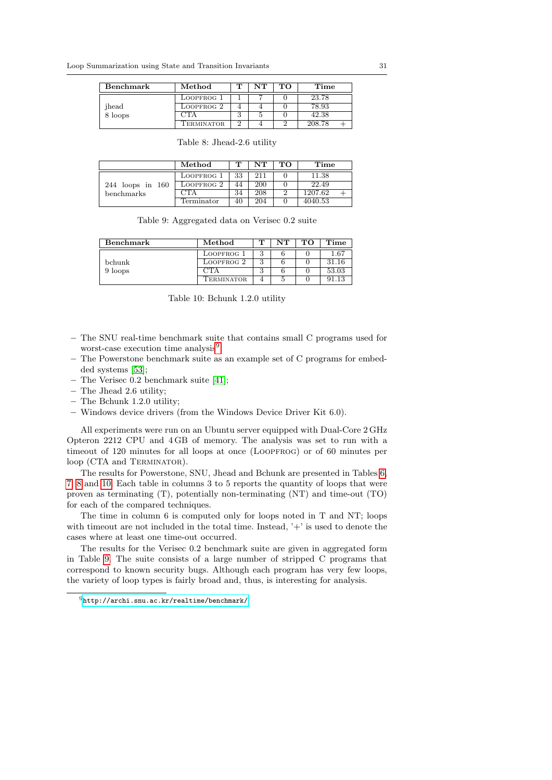<span id="page-30-1"></span>

| Benchmark | Method     |          | $_{\rm NT}$ | TО | Time   |
|-----------|------------|----------|-------------|----|--------|
|           | LOOPFROG 1 |          |             |    | 23.78  |
| ihead     | LOOPFROG 2 |          |             |    | 78.93  |
| loops     |            | ാ        | 5           |    | 42.38  |
|           | TERMINATOR | $\Omega$ |             |    | 208.78 |

Table 8: Jhead-2.6 utility

|                    | Method     |    | $\bf N T$ | тΩ | Time    |
|--------------------|------------|----|-----------|----|---------|
|                    | LOOPFROG 1 | 33 | 211       |    | 11.38   |
| $244$ loops in 160 | LOOPFROG 2 | 44 | 200       |    | 22.49   |
| benchmarks         | CTA        | 34 | 208       |    | 1207.62 |
|                    | Terminator | 40 | 204       |    | 4040.53 |

Table 9: Aggregated data on Verisec 0.2 suite

| Benchmark | Method     |        | $\bf\rm{N}$ T | то | Time  |
|-----------|------------|--------|---------------|----|-------|
|           | LOOPFROG 1 |        |               |    | 1.67  |
| bchunk    | LOOPFROG 2 | २      |               |    |       |
| 9 loops   |            | ຕ<br>u |               |    | 53.03 |
|           | TERMINATOR |        |               |    |       |

Table 10: Bchunk 1.2.0 utility

- The SNU real-time benchmark suite that contains small C programs used for worst-case execution time analysis<sup>[9](#page-30-0)</sup>;
- The Powerstone benchmark suite as an example set of C programs for embedded systems [\[53\]](#page-42-7);
- The Verisec 0.2 benchmark suite [\[41\]](#page-41-6);
- The Jhead 2.6 utility;
- The Bchunk 1.2.0 utility;
- Windows device drivers (from the Windows Device Driver Kit 6.0).

All experiments were run on an Ubuntu server equipped with Dual-Core 2 GHz Opteron 2212 CPU and 4 GB of memory. The analysis was set to run with a timeout of 120 minutes for all loops at once (Loopfrog) or of 60 minutes per loop (CTA and TERMINATOR).

The results for Powerstone, SNU, Jhead and Bchunk are presented in Tables [6,](#page-28-0) [7,](#page-29-0) [8](#page-30-1) and [10.](#page-30-1) Each table in columns 3 to 5 reports the quantity of loops that were proven as terminating (T), potentially non-terminating (NT) and time-out (TO) for each of the compared techniques.

The time in column 6 is computed only for loops noted in T and NT; loops with timeout are not included in the total time. Instead, '+' is used to denote the cases where at least one time-out occurred.

The results for the Verisec 0.2 benchmark suite are given in aggregated form in Table [9.](#page-30-1) The suite consists of a large number of stripped C programs that correspond to known security bugs. Although each program has very few loops, the variety of loop types is fairly broad and, thus, is interesting for analysis.

<span id="page-30-0"></span> $^{9}$ <http://archi.snu.ac.kr/realtime/benchmark/>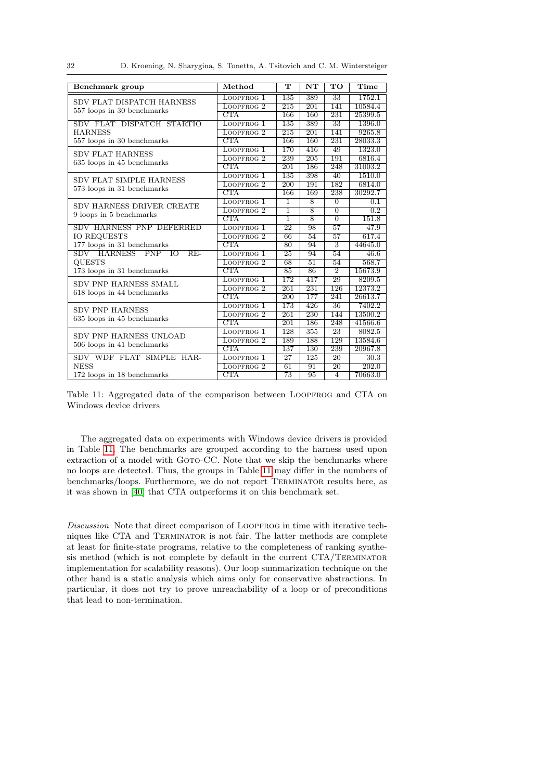32 D. Kroening, N. Sharygina, S. Tonetta, A. Tsitovich and C. M. Wintersteiger

<span id="page-31-0"></span>

| Benchmark group                                      | Method                  | $\overline{\text{T}}$                                                                                                                               | $\overline{\text{NT}}$                                                                                                                                                  | $\overline{\text{TO}}$ | Time             |
|------------------------------------------------------|-------------------------|-----------------------------------------------------------------------------------------------------------------------------------------------------|-------------------------------------------------------------------------------------------------------------------------------------------------------------------------|------------------------|------------------|
| SDV FLAT DISPATCH HARNESS                            | LOOPFROG 1              | 135                                                                                                                                                 | 389                                                                                                                                                                     | 33                     | 1752.1           |
| 557 loops in 30 benchmarks                           | LOOPFROG <sub>2</sub>   | $\overline{215}$                                                                                                                                    | $\overline{201}$                                                                                                                                                        | 141                    | 10584.4          |
|                                                      | CTA                     | 166                                                                                                                                                 | 160                                                                                                                                                                     | 231                    | 25399.5          |
| SDV FLAT DISPATCH STARTIO                            | LOOPFROG 1              | 135                                                                                                                                                 | 389                                                                                                                                                                     | $\overline{33}$        | 1396.0           |
| <b>HARNESS</b>                                       | LOOPFROG <sub>2</sub>   | 215                                                                                                                                                 | 201                                                                                                                                                                     | 141                    | 9265.8           |
| 557 loops in 30 benchmarks                           | CTA                     | 166                                                                                                                                                 | 160                                                                                                                                                                     | 231                    | 28033.3          |
| <b>SDV FLAT HARNESS</b>                              | LOOPFROG 1              | 170                                                                                                                                                 | 416                                                                                                                                                                     | 49                     | 1323.0           |
| 635 loops in 45 benchmarks                           | LOOPFROG <sub>2</sub>   | 239                                                                                                                                                 | 205                                                                                                                                                                     | 191                    | 6816.4           |
|                                                      | $\overline{\text{CTA}}$ | $\overline{201}$                                                                                                                                    | 186                                                                                                                                                                     | 248                    | 31003.2          |
| SDV FLAT SIMPLE HARNESS                              | LOOPFROG 1              | 135                                                                                                                                                 | 398                                                                                                                                                                     | 40                     | 1510.0           |
|                                                      | LOOPFROG <sub>2</sub>   | 200                                                                                                                                                 | 191                                                                                                                                                                     | 182                    | 6814.0           |
| 573 loops in 31 benchmarks                           | CTA                     | 166                                                                                                                                                 | 169                                                                                                                                                                     | 238                    | 30292.7          |
|                                                      | LOOPFROG 1              | $\mathbf{1}$                                                                                                                                        | 8                                                                                                                                                                       | $\Omega$               | $0.\overline{1}$ |
| SDV HARNESS DRIVER CREATE<br>9 loops in 5 benchmarks | LOOPFROG <sub>2</sub>   | ī                                                                                                                                                   | $\overline{8}$                                                                                                                                                          | $\overline{0}$         | $\overline{0.2}$ |
|                                                      | CTA                     | ī                                                                                                                                                   | $\overline{8}$                                                                                                                                                          | $\overline{0}$         | 151.8            |
| SDV HARNESS PNP DEFERRED                             | LOOPFROG 1              | 22                                                                                                                                                  | 98                                                                                                                                                                      | $\overline{57}$        | 47.9             |
| <b>IO REQUESTS</b>                                   | LOOPFROG <sub>2</sub>   | 66                                                                                                                                                  | 54                                                                                                                                                                      | 57                     | 617.4            |
| 177 loops in 31 benchmarks                           | <b>CTA</b>              | 80                                                                                                                                                  | 94                                                                                                                                                                      | 3                      | 44645.0          |
| SDV HARNESS PNP IO<br>$RE-$                          | LOOPFROG 1              | 25                                                                                                                                                  | 94                                                                                                                                                                      | 54                     | 46.6             |
| <b>QUESTS</b>                                        | LOOPFROG <sub>2</sub>   | 68                                                                                                                                                  | $\overline{51}$                                                                                                                                                         | 54                     | 568.7            |
| 173 loops in 31 benchmarks                           | CTA                     | 85                                                                                                                                                  | 86                                                                                                                                                                      | $\overline{2}$         | 15673.9          |
| SDV PNP HARNESS SMALL                                | LOOPFROG 1              | 172                                                                                                                                                 | 417                                                                                                                                                                     | 29                     | 8209.5           |
|                                                      | LOOPFROG <sub>2</sub>   | 261                                                                                                                                                 | 231                                                                                                                                                                     | 126                    | 12373.2          |
| 618 loops in 44 benchmarks                           | CTA                     | $\overline{200}$                                                                                                                                    | 177<br>241<br>426<br>$\overline{36}$<br>230<br>144<br>186<br>248<br>355<br>23<br>129<br>188<br>130<br>239<br>125<br>20<br>91<br>$\overline{20}$<br>95<br>$\overline{4}$ | 26613.7                |                  |
| <b>SDV PNP HARNESS</b>                               | LOOPFROG <sub>1</sub>   | 173                                                                                                                                                 |                                                                                                                                                                         |                        | 7402.2           |
|                                                      | LOOPFROG <sub>2</sub>   | 261                                                                                                                                                 |                                                                                                                                                                         |                        | 13500.2          |
| 635 loops in 45 benchmarks                           | CTA                     | 201<br>128<br>LOOPFROG 1<br>189<br>LOOPFROG <sub>2</sub><br>CTA<br>$\overline{137}$<br>27<br>LOOPFROG 1<br>LOOPFROG <sub>2</sub><br>61<br>CTA<br>73 |                                                                                                                                                                         | 41566.6                |                  |
| SDV PNP HARNESS UNLOAD                               |                         |                                                                                                                                                     |                                                                                                                                                                         |                        | 8082.5           |
| 506 loops in 41 benchmarks                           |                         |                                                                                                                                                     |                                                                                                                                                                         |                        | 13584.6          |
|                                                      |                         |                                                                                                                                                     |                                                                                                                                                                         |                        | 20967.8          |
| SDV WDF FLAT SIMPLE HAR-                             |                         |                                                                                                                                                     |                                                                                                                                                                         |                        | 30.3             |
| <b>NESS</b>                                          |                         |                                                                                                                                                     |                                                                                                                                                                         |                        | 202.0            |
| 172 loops in 18 benchmarks                           |                         |                                                                                                                                                     |                                                                                                                                                                         |                        | 70663.0          |

Table 11: Aggregated data of the comparison between LOOPFROG and CTA on Windows device drivers

The aggregated data on experiments with Windows device drivers is provided in Table [11.](#page-31-0) The benchmarks are grouped according to the harness used upon extraction of a model with GOTO-CC. Note that we skip the benchmarks where no loops are detected. Thus, the groups in Table [11](#page-31-0) may differ in the numbers of benchmarks/loops. Furthermore, we do not report Terminator results here, as it was shown in [\[40\]](#page-41-5) that CTA outperforms it on this benchmark set.

Discussion Note that direct comparison of LOOPFROG in time with iterative techniques like CTA and Terminator is not fair. The latter methods are complete at least for finite-state programs, relative to the completeness of ranking synthesis method (which is not complete by default in the current CTA/Terminator implementation for scalability reasons). Our loop summarization technique on the other hand is a static analysis which aims only for conservative abstractions. In particular, it does not try to prove unreachability of a loop or of preconditions that lead to non-termination.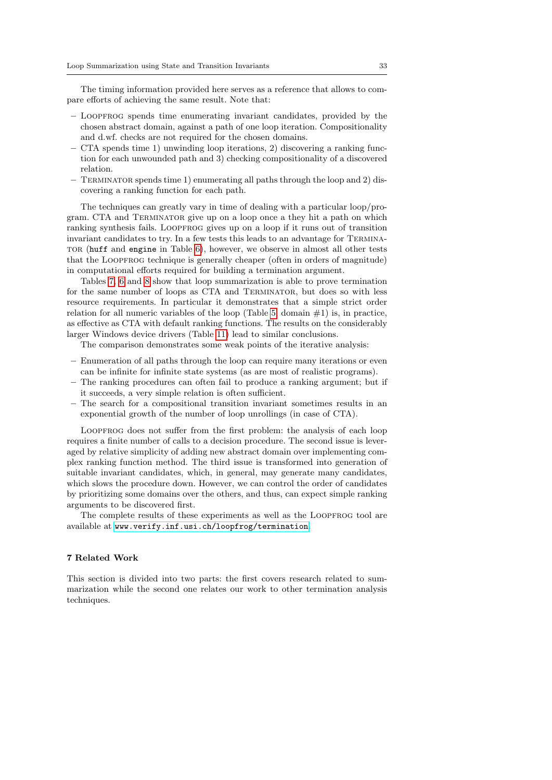The timing information provided here serves as a reference that allows to compare efforts of achieving the same result. Note that:

- Loopfrog spends time enumerating invariant candidates, provided by the chosen abstract domain, against a path of one loop iteration. Compositionality and d.wf. checks are not required for the chosen domains.
- CTA spends time 1) unwinding loop iterations, 2) discovering a ranking function for each unwounded path and 3) checking compositionality of a discovered relation.
- Terminator spends time 1) enumerating all paths through the loop and 2) discovering a ranking function for each path.

The techniques can greatly vary in time of dealing with a particular loop/program. CTA and Terminator give up on a loop once a they hit a path on which ranking synthesis fails. LOOPFROG gives up on a loop if it runs out of transition invariant candidates to try. In a few tests this leads to an advantage for Terminator (huff and engine in Table [6\)](#page-28-0), however, we observe in almost all other tests that the Loopfrog technique is generally cheaper (often in orders of magnitude) in computational efforts required for building a termination argument.

Tables [7,](#page-29-0) [6](#page-28-0) and [8](#page-30-1) show that loop summarization is able to prove termination for the same number of loops as CTA and Terminator, but does so with less resource requirements. In particular it demonstrates that a simple strict order relation for all numeric variables of the loop (Table [5,](#page-27-0) domain  $#1$ ) is, in practice, as effective as CTA with default ranking functions. The results on the considerably larger Windows device drivers (Table [11\)](#page-31-0) lead to similar conclusions.

The comparison demonstrates some weak points of the iterative analysis:

- Enumeration of all paths through the loop can require many iterations or even can be infinite for infinite state systems (as are most of realistic programs).
- The ranking procedures can often fail to produce a ranking argument; but if it succeeds, a very simple relation is often sufficient.
- The search for a compositional transition invariant sometimes results in an exponential growth of the number of loop unrollings (in case of CTA).

LOOPFROG does not suffer from the first problem: the analysis of each loop requires a finite number of calls to a decision procedure. The second issue is leveraged by relative simplicity of adding new abstract domain over implementing complex ranking function method. The third issue is transformed into generation of suitable invariant candidates, which, in general, may generate many candidates, which slows the procedure down. However, we can control the order of candidates by prioritizing some domains over the others, and thus, can expect simple ranking arguments to be discovered first.

The complete results of these experiments as well as the LOOPFROG tool are available at <www.verify.inf.usi.ch/loopfrog/termination>.

# <span id="page-32-0"></span>7 Related Work

This section is divided into two parts: the first covers research related to summarization while the second one relates our work to other termination analysis techniques.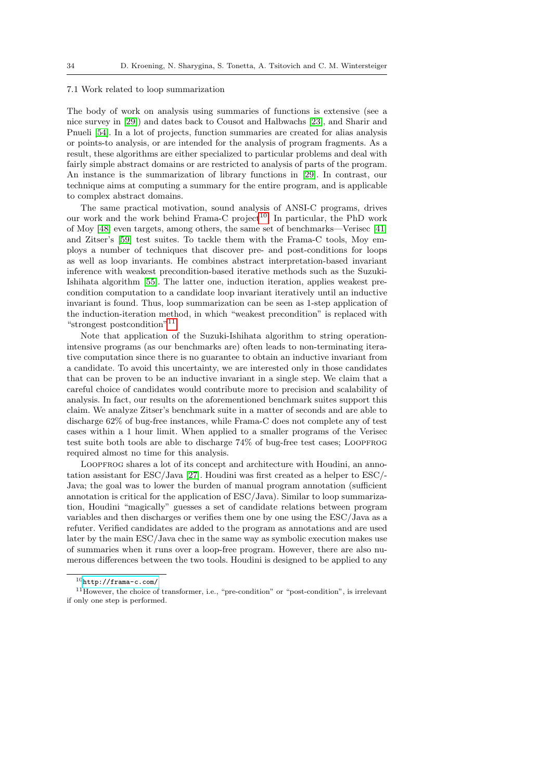#### 7.1 Work related to loop summarization

The body of work on analysis using summaries of functions is extensive (see a nice survey in [\[29\]](#page-41-7)) and dates back to Cousot and Halbwachs [\[23\]](#page-40-8), and Sharir and Pnueli [\[54\]](#page-42-8). In a lot of projects, function summaries are created for alias analysis or points-to analysis, or are intended for the analysis of program fragments. As a result, these algorithms are either specialized to particular problems and deal with fairly simple abstract domains or are restricted to analysis of parts of the program. An instance is the summarization of library functions in [\[29\]](#page-41-7). In contrast, our technique aims at computing a summary for the entire program, and is applicable to complex abstract domains.

The same practical motivation, sound analysis of ANSI-C programs, drives our work and the work behind Frama-C project<sup>[10](#page-33-0)</sup>. In particular, the PhD work of Moy [\[48\]](#page-42-9) even targets, among others, the same set of benchmarks—Verisec [\[41\]](#page-41-6) and Zitser's [\[59\]](#page-42-6) test suites. To tackle them with the Frama-C tools, Moy employs a number of techniques that discover pre- and post-conditions for loops as well as loop invariants. He combines abstract interpretation-based invariant inference with weakest precondition-based iterative methods such as the Suzuki-Ishihata algorithm [\[55\]](#page-42-10). The latter one, induction iteration, applies weakest precondition computation to a candidate loop invariant iteratively until an inductive invariant is found. Thus, loop summarization can be seen as 1-step application of the induction-iteration method, in which "weakest precondition" is replaced with "strongest postcondition"<sup>[11](#page-33-1)</sup>.

Note that application of the Suzuki-Ishihata algorithm to string operationintensive programs (as our benchmarks are) often leads to non-terminating iterative computation since there is no guarantee to obtain an inductive invariant from a candidate. To avoid this uncertainty, we are interested only in those candidates that can be proven to be an inductive invariant in a single step. We claim that a careful choice of candidates would contribute more to precision and scalability of analysis. In fact, our results on the aforementioned benchmark suites support this claim. We analyze Zitser's benchmark suite in a matter of seconds and are able to discharge 62% of bug-free instances, while Frama-C does not complete any of test cases within a 1 hour limit. When applied to a smaller programs of the Verisec test suite both tools are able to discharge 74% of bug-free test cases; Loopfrog required almost no time for this analysis.

LOOPFROG shares a lot of its concept and architecture with Houdini, an annotation assistant for ESC/Java [\[27\]](#page-40-9). Houdini was first created as a helper to ESC/- Java; the goal was to lower the burden of manual program annotation (sufficient annotation is critical for the application of ESC/Java). Similar to loop summarization, Houdini "magically" guesses a set of candidate relations between program variables and then discharges or verifies them one by one using the ESC/Java as a refuter. Verified candidates are added to the program as annotations and are used later by the main ESC/Java chec in the same way as symbolic execution makes use of summaries when it runs over a loop-free program. However, there are also numerous differences between the two tools. Houdini is designed to be applied to any

<span id="page-33-1"></span><span id="page-33-0"></span> $10$ <http://frama-c.com/>

<sup>11</sup>However, the choice of transformer, i.e., "pre-condition" or "post-condition", is irrelevant if only one step is performed.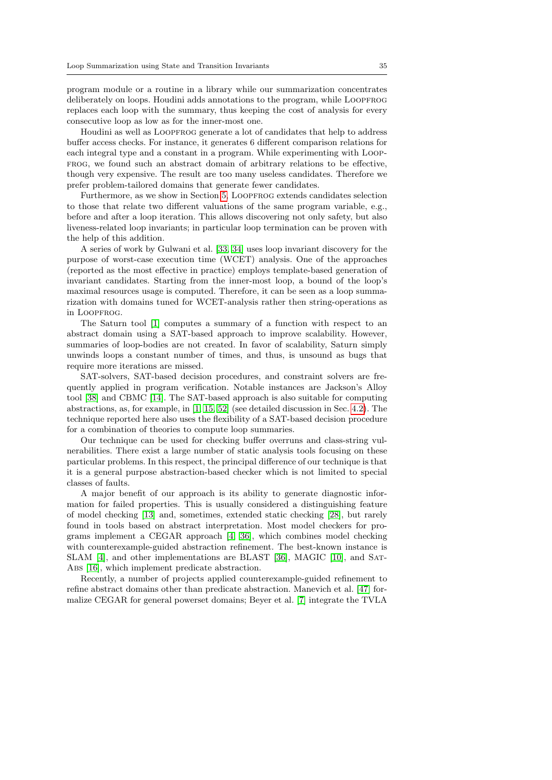program module or a routine in a library while our summarization concentrates deliberately on loops. Houdini adds annotations to the program, while LOOPFROG replaces each loop with the summary, thus keeping the cost of analysis for every consecutive loop as low as for the inner-most one.

Houdini as well as LOOPFROG generate a lot of candidates that help to address buffer access checks. For instance, it generates 6 different comparison relations for each integral type and a constant in a program. While experimenting with Loopfrog, we found such an abstract domain of arbitrary relations to be effective, though very expensive. The result are too many useless candidates. Therefore we prefer problem-tailored domains that generate fewer candidates.

Furthermore, as we show in Section [5,](#page-13-0) LOOPFROG extends candidates selection to those that relate two different valuations of the same program variable, e.g., before and after a loop iteration. This allows discovering not only safety, but also liveness-related loop invariants; in particular loop termination can be proven with the help of this addition.

A series of work by Gulwani et al. [\[33,](#page-41-8) [34\]](#page-41-9) uses loop invariant discovery for the purpose of worst-case execution time (WCET) analysis. One of the approaches (reported as the most effective in practice) employs template-based generation of invariant candidates. Starting from the inner-most loop, a bound of the loop's maximal resources usage is computed. Therefore, it can be seen as a loop summarization with domains tuned for WCET-analysis rather then string-operations as in LOOPFROG.

The Saturn tool [\[1\]](#page-39-6) computes a summary of a function with respect to an abstract domain using a SAT-based approach to improve scalability. However, summaries of loop-bodies are not created. In favor of scalability, Saturn simply unwinds loops a constant number of times, and thus, is unsound as bugs that require more iterations are missed.

SAT-solvers, SAT-based decision procedures, and constraint solvers are frequently applied in program verification. Notable instances are Jackson's Alloy tool [\[38\]](#page-41-10) and CBMC [\[14\]](#page-40-2). The SAT-based approach is also suitable for computing abstractions, as, for example, in [\[1,](#page-39-6) [15,](#page-40-1) [52\]](#page-42-1) (see detailed discussion in Sec. [4.2\)](#page-7-1). The technique reported here also uses the flexibility of a SAT-based decision procedure for a combination of theories to compute loop summaries.

Our technique can be used for checking buffer overruns and class-string vulnerabilities. There exist a large number of static analysis tools focusing on these particular problems. In this respect, the principal difference of our technique is that it is a general purpose abstraction-based checker which is not limited to special classes of faults.

A major benefit of our approach is its ability to generate diagnostic information for failed properties. This is usually considered a distinguishing feature of model checking [\[13\]](#page-40-10) and, sometimes, extended static checking [\[28\]](#page-40-11), but rarely found in tools based on abstract interpretation. Most model checkers for programs implement a CEGAR approach [\[4,](#page-39-7) [36\]](#page-41-11), which combines model checking with counterexample-guided abstraction refinement. The best-known instance is SLAM [\[4\]](#page-39-7), and other implementations are BLAST [\[36\]](#page-41-11), MAGIC [\[10\]](#page-39-8), and Sat-ABS [\[16\]](#page-40-7), which implement predicate abstraction.

Recently, a number of projects applied counterexample-guided refinement to refine abstract domains other than predicate abstraction. Manevich et al. [\[47\]](#page-42-11) formalize CEGAR for general powerset domains; Beyer et al. [\[7\]](#page-39-9) integrate the TVLA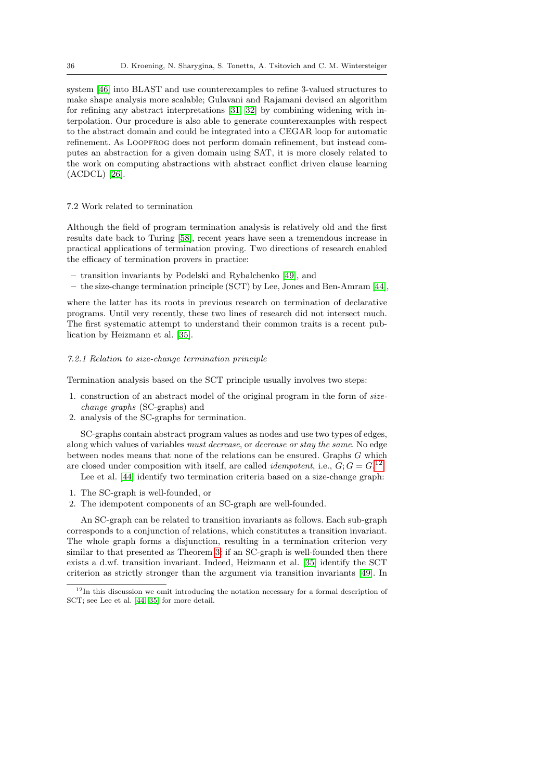system [\[46\]](#page-42-12) into BLAST and use counterexamples to refine 3-valued structures to make shape analysis more scalable; Gulavani and Rajamani devised an algorithm for refining any abstract interpretations [\[31,](#page-41-12) [32\]](#page-41-13) by combining widening with interpolation. Our procedure is also able to generate counterexamples with respect to the abstract domain and could be integrated into a CEGAR loop for automatic refinement. As LOOPFROG does not perform domain refinement, but instead computes an abstraction for a given domain using SAT, it is more closely related to the work on computing abstractions with abstract conflict driven clause learning (ACDCL) [\[26\]](#page-40-12).

# 7.2 Work related to termination

Although the field of program termination analysis is relatively old and the first results date back to Turing [\[58\]](#page-42-4), recent years have seen a tremendous increase in practical applications of termination proving. Two directions of research enabled the efficacy of termination provers in practice:

- transition invariants by Podelski and Rybalchenko [\[49\]](#page-42-0), and
- the size-change termination principle (SCT) by Lee, Jones and Ben-Amram [\[44\]](#page-42-13),

where the latter has its roots in previous research on termination of declarative programs. Until very recently, these two lines of research did not intersect much. The first systematic attempt to understand their common traits is a recent publication by Heizmann et al. [\[35\]](#page-41-14).

## <span id="page-35-0"></span>7.2.1 Relation to size-change termination principle

Termination analysis based on the SCT principle usually involves two steps:

- 1. construction of an abstract model of the original program in the form of sizechange graphs (SC-graphs) and
- 2. analysis of the SC-graphs for termination.

SC-graphs contain abstract program values as nodes and use two types of edges, along which values of variables must decrease, or decrease or stay the same. No edge between nodes means that none of the relations can be ensured. Graphs G which are closed under composition with itself, are called *idempotent*, i.e.,  $G$ ;  $G = G$ .<sup>[12](#page-35-1)</sup>

Lee et al. [\[44\]](#page-42-13) identify two termination criteria based on a size-change graph:

- 1. The SC-graph is well-founded, or
- 2. The idempotent components of an SC-graph are well-founded.

An SC-graph can be related to transition invariants as follows. Each sub-graph corresponds to a conjunction of relations, which constitutes a transition invariant. The whole graph forms a disjunction, resulting in a termination criterion very similar to that presented as Theorem [3:](#page-15-1) if an SC-graph is well-founded then there exists a d.wf. transition invariant. Indeed, Heizmann et al. [\[35\]](#page-41-14) identify the SCT criterion as strictly stronger than the argument via transition invariants [\[49\]](#page-42-0). In

<span id="page-35-1"></span><sup>12</sup>In this discussion we omit introducing the notation necessary for a formal description of SCT; see Lee et al. [\[44,](#page-42-13) [35\]](#page-41-14) for more detail.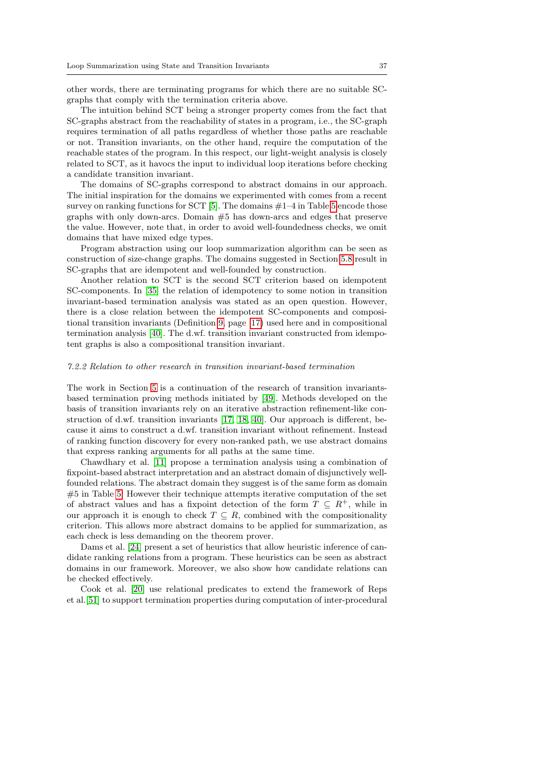other words, there are terminating programs for which there are no suitable SCgraphs that comply with the termination criteria above.

The intuition behind SCT being a stronger property comes from the fact that SC-graphs abstract from the reachability of states in a program, i.e., the SC-graph requires termination of all paths regardless of whether those paths are reachable or not. Transition invariants, on the other hand, require the computation of the reachable states of the program. In this respect, our light-weight analysis is closely related to SCT, as it havocs the input to individual loop iterations before checking a candidate transition invariant.

The domains of SC-graphs correspond to abstract domains in our approach. The initial inspiration for the domains we experimented with comes from a recent survey on ranking functions for SCT  $[5]$ . The domains  $\#1-4$  in Table [5](#page-27-0) encode those graphs with only down-arcs. Domain #5 has down-arcs and edges that preserve the value. However, note that, in order to avoid well-foundedness checks, we omit domains that have mixed edge types.

Program abstraction using our loop summarization algorithm can be seen as construction of size-change graphs. The domains suggested in Section [5.8](#page-19-3) result in SC-graphs that are idempotent and well-founded by construction.

Another relation to SCT is the second SCT criterion based on idempotent SC-components. In [\[35\]](#page-41-14) the relation of idempotency to some notion in transition invariant-based termination analysis was stated as an open question. However, there is a close relation between the idempotent SC-components and compositional transition invariants (Definition [9,](#page-15-4) page [17\)](#page-15-4) used here and in compositional termination analysis [\[40\]](#page-41-5). The d.wf. transition invariant constructed from idempotent graphs is also a compositional transition invariant.

#### 7.2.2 Relation to other research in transition invariant-based termination

The work in Section [5](#page-13-0) is a continuation of the research of transition invariantsbased termination proving methods initiated by [\[49\]](#page-42-0). Methods developed on the basis of transition invariants rely on an iterative abstraction refinement-like construction of d.wf. transition invariants [\[17,](#page-40-3) [18,](#page-40-4) [40\]](#page-41-5). Our approach is different, because it aims to construct a d.wf. transition invariant without refinement. Instead of ranking function discovery for every non-ranked path, we use abstract domains that express ranking arguments for all paths at the same time.

Chawdhary et al. [\[11\]](#page-39-10) propose a termination analysis using a combination of fixpoint-based abstract interpretation and an abstract domain of disjunctively wellfounded relations. The abstract domain they suggest is of the same form as domain #5 in Table [5.](#page-27-0) However their technique attempts iterative computation of the set of abstract values and has a fixpoint detection of the form  $T \subseteq R^+$ , while in our approach it is enough to check  $T \subseteq R$ , combined with the compositionality criterion. This allows more abstract domains to be applied for summarization, as each check is less demanding on the theorem prover.

Dams et al. [\[24\]](#page-40-13) present a set of heuristics that allow heuristic inference of candidate ranking relations from a program. These heuristics can be seen as abstract domains in our framework. Moreover, we also show how candidate relations can be checked effectively.

Cook et al. [\[20\]](#page-40-14) use relational predicates to extend the framework of Reps et al.[\[51\]](#page-42-14) to support termination properties during computation of inter-procedural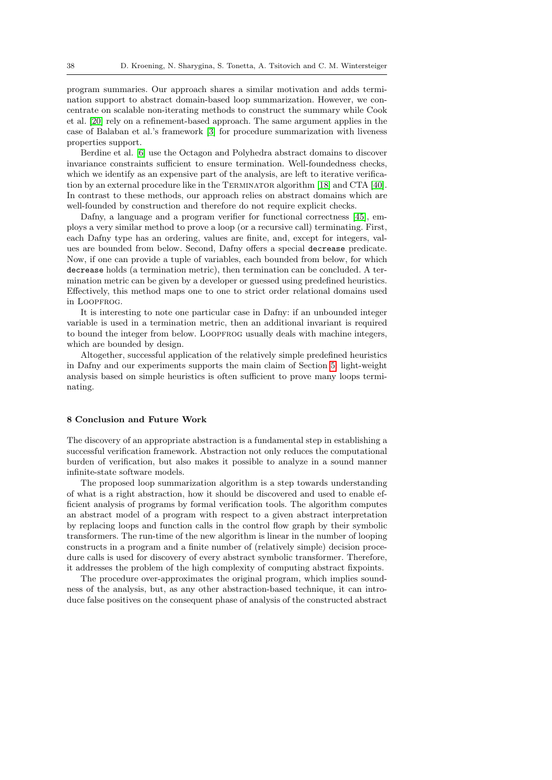program summaries. Our approach shares a similar motivation and adds termination support to abstract domain-based loop summarization. However, we concentrate on scalable non-iterating methods to construct the summary while Cook et al. [\[20\]](#page-40-14) rely on a refinement-based approach. The same argument applies in the case of Balaban et al.'s framework [\[3\]](#page-39-11) for procedure summarization with liveness properties support.

Berdine et al. [\[6\]](#page-39-5) use the Octagon and Polyhedra abstract domains to discover invariance constraints sufficient to ensure termination. Well-foundedness checks, which we identify as an expensive part of the analysis, are left to iterative verification by an external procedure like in the Terminator algorithm [\[18\]](#page-40-4) and CTA [\[40\]](#page-41-5). In contrast to these methods, our approach relies on abstract domains which are well-founded by construction and therefore do not require explicit checks.

Dafny, a language and a program verifier for functional correctness [\[45\]](#page-42-15), employs a very similar method to prove a loop (or a recursive call) terminating. First, each Dafny type has an ordering, values are finite, and, except for integers, values are bounded from below. Second, Dafny offers a special decrease predicate. Now, if one can provide a tuple of variables, each bounded from below, for which decrease holds (a termination metric), then termination can be concluded. A termination metric can be given by a developer or guessed using predefined heuristics. Effectively, this method maps one to one to strict order relational domains used in LOOPFROG.

It is interesting to note one particular case in Dafny: if an unbounded integer variable is used in a termination metric, then an additional invariant is required to bound the integer from below. LOOPFROG usually deals with machine integers, which are bounded by design.

Altogether, successful application of the relatively simple predefined heuristics in Dafny and our experiments supports the main claim of Section [5:](#page-13-0) light-weight analysis based on simple heuristics is often sufficient to prove many loops terminating.

# <span id="page-37-0"></span>8 Conclusion and Future Work

The discovery of an appropriate abstraction is a fundamental step in establishing a successful verification framework. Abstraction not only reduces the computational burden of verification, but also makes it possible to analyze in a sound manner infinite-state software models.

The proposed loop summarization algorithm is a step towards understanding of what is a right abstraction, how it should be discovered and used to enable efficient analysis of programs by formal verification tools. The algorithm computes an abstract model of a program with respect to a given abstract interpretation by replacing loops and function calls in the control flow graph by their symbolic transformers. The run-time of the new algorithm is linear in the number of looping constructs in a program and a finite number of (relatively simple) decision procedure calls is used for discovery of every abstract symbolic transformer. Therefore, it addresses the problem of the high complexity of computing abstract fixpoints.

The procedure over-approximates the original program, which implies soundness of the analysis, but, as any other abstraction-based technique, it can introduce false positives on the consequent phase of analysis of the constructed abstract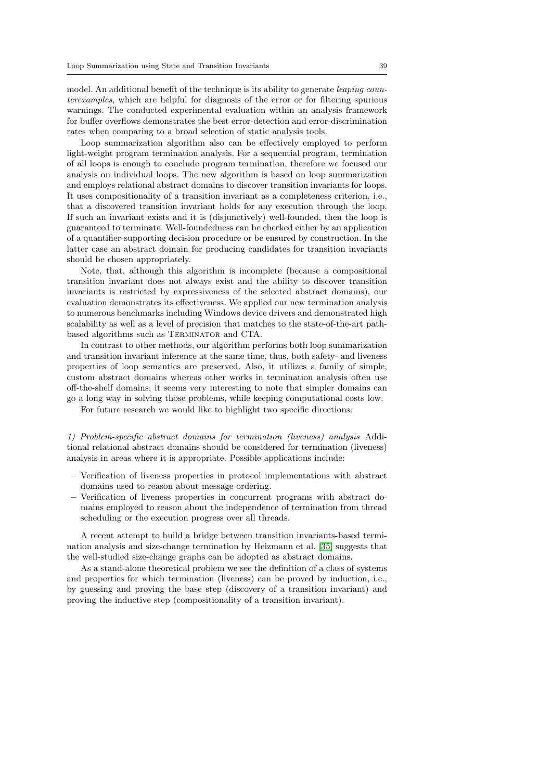model. An additional benefit of the technique is its ability to generate *leaping coun*terexamples, which are helpful for diagnosis of the error or for filtering spurious warnings. The conducted experimental evaluation within an analysis framework for buffer overflows demonstrates the best error-detection and error-discrimination rates when comparing to a broad selection of static analysis tools.

Loop summarization algorithm also can be effectively employed to perform light-weight program termination analysis. For a sequential program, termination of all loops is enough to conclude program termination, therefore we focused our analysis on individual loops. The new algorithm is based on loop summarization and employs relational abstract domains to discover transition invariants for loops. It uses compositionality of a transition invariant as a completeness criterion, i.e., that a discovered transition invariant holds for any execution through the loop. If such an invariant exists and it is (disjunctively) well-founded, then the loop is guaranteed to terminate. Well-foundedness can be checked either by an application of a quantifier-supporting decision procedure or be ensured by construction. In the latter case an abstract domain for producing candidates for transition invariants should be chosen appropriately.

Note, that, although this algorithm is incomplete (because a compositional transition invariant does not always exist and the ability to discover transition invariants is restricted by expressiveness of the selected abstract domains), our evaluation demonstrates its effectiveness. We applied our new termination analysis to numerous benchmarks including Windows device drivers and demonstrated high scalability as well as a level of precision that matches to the state-of-the-art pathbased algorithms such as Terminator and CTA.

In contrast to other methods, our algorithm performs both loop summarization and transition invariant inference at the same time, thus, both safety- and liveness properties of loop semantics are preserved. Also, it utilizes a family of simple, custom abstract domains whereas other works in termination analysis often use off-the-shelf domains; it seems very interesting to note that simpler domains can go a long way in solving those problems, while keeping computational costs low.

For future research we would like to highlight two specific directions:

1) Problem-specific abstract domains for termination (liveness) analysis Additional relational abstract domains should be considered for termination (liveness) analysis in areas where it is appropriate. Possible applications include:

- Verification of liveness properties in protocol implementations with abstract domains used to reason about message ordering.
- Verification of liveness properties in concurrent programs with abstract domains employed to reason about the independence of termination from thread scheduling or the execution progress over all threads.

A recent attempt to build a bridge between transition invariants-based termination analysis and size-change termination by Heizmann et al. [\[35\]](#page-41-14) suggests that the well-studied size-change graphs can be adopted as abstract domains.

As a stand-alone theoretical problem we see the definition of a class of systems and properties for which termination (liveness) can be proved by induction, i.e., by guessing and proving the base step (discovery of a transition invariant) and proving the inductive step (compositionality of a transition invariant).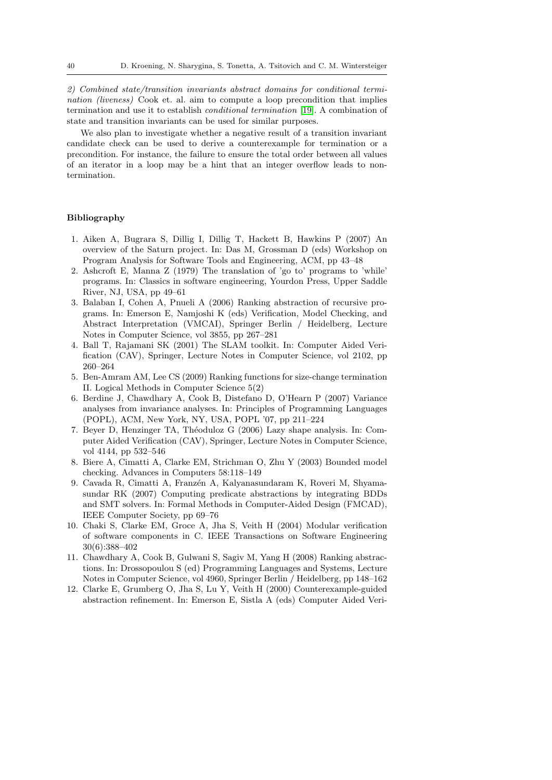2) Combined state/transition invariants abstract domains for conditional termination (liveness) Cook et. al. aim to compute a loop precondition that implies termination and use it to establish conditional termination [\[19\]](#page-40-15). A combination of state and transition invariants can be used for similar purposes.

We also plan to investigate whether a negative result of a transition invariant candidate check can be used to derive a counterexample for termination or a precondition. For instance, the failure to ensure the total order between all values of an iterator in a loop may be a hint that an integer overflow leads to nontermination.

# Bibliography

- <span id="page-39-6"></span>1. Aiken A, Bugrara S, Dillig I, Dillig T, Hackett B, Hawkins P (2007) An overview of the Saturn project. In: Das M, Grossman D (eds) Workshop on Program Analysis for Software Tools and Engineering, ACM, pp 43–48
- <span id="page-39-3"></span>2. Ashcroft E, Manna Z (1979) The translation of 'go to' programs to 'while' programs. In: Classics in software engineering, Yourdon Press, Upper Saddle River, NJ, USA, pp 49–61
- <span id="page-39-11"></span>3. Balaban I, Cohen A, Pnueli A (2006) Ranking abstraction of recursive programs. In: Emerson E, Namjoshi K (eds) Verification, Model Checking, and Abstract Interpretation (VMCAI), Springer Berlin / Heidelberg, Lecture Notes in Computer Science, vol 3855, pp 267–281
- <span id="page-39-7"></span>4. Ball T, Rajamani SK (2001) The SLAM toolkit. In: Computer Aided Verification (CAV), Springer, Lecture Notes in Computer Science, vol 2102, pp 260–264
- <span id="page-39-4"></span>5. Ben-Amram AM, Lee CS (2009) Ranking functions for size-change termination II. Logical Methods in Computer Science 5(2)
- <span id="page-39-5"></span>6. Berdine J, Chawdhary A, Cook B, Distefano D, O'Hearn P (2007) Variance analyses from invariance analyses. In: Principles of Programming Languages (POPL), ACM, New York, NY, USA, POPL '07, pp 211–224
- <span id="page-39-9"></span>7. Beyer D, Henzinger TA, Théoduloz G (2006) Lazy shape analysis. In: Computer Aided Verification (CAV), Springer, Lecture Notes in Computer Science, vol 4144, pp 532–546
- <span id="page-39-0"></span>8. Biere A, Cimatti A, Clarke EM, Strichman O, Zhu Y (2003) Bounded model checking. Advances in Computers 58:118–149
- <span id="page-39-2"></span>9. Cavada R, Cimatti A, Franzén A, Kalyanasundaram K, Roveri M, Shyamasundar RK (2007) Computing predicate abstractions by integrating BDDs and SMT solvers. In: Formal Methods in Computer-Aided Design (FMCAD), IEEE Computer Society, pp 69–76
- <span id="page-39-8"></span>10. Chaki S, Clarke EM, Groce A, Jha S, Veith H (2004) Modular verification of software components in C. IEEE Transactions on Software Engineering 30(6):388–402
- <span id="page-39-10"></span>11. Chawdhary A, Cook B, Gulwani S, Sagiv M, Yang H (2008) Ranking abstractions. In: Drossopoulou S (ed) Programming Languages and Systems, Lecture Notes in Computer Science, vol 4960, Springer Berlin / Heidelberg, pp 148–162
- <span id="page-39-1"></span>12. Clarke E, Grumberg O, Jha S, Lu Y, Veith H (2000) Counterexample-guided abstraction refinement. In: Emerson E, Sistla A (eds) Computer Aided Veri-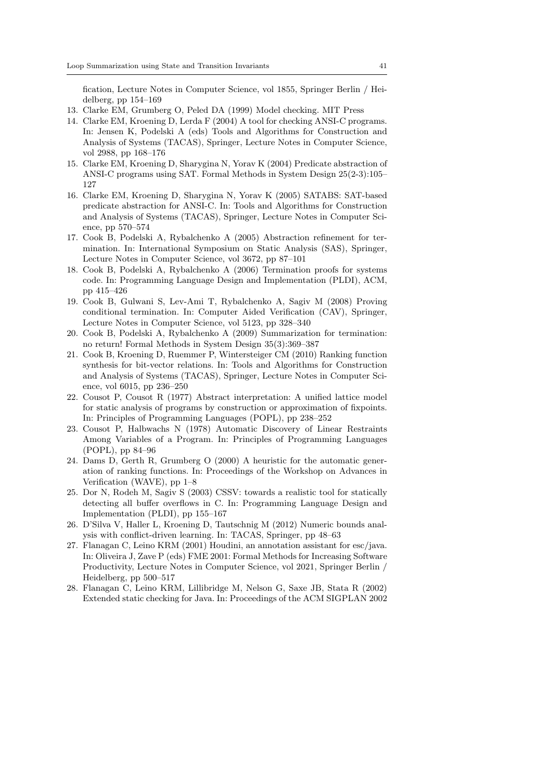fication, Lecture Notes in Computer Science, vol 1855, Springer Berlin / Heidelberg, pp 154–169

- <span id="page-40-10"></span>13. Clarke EM, Grumberg O, Peled DA (1999) Model checking. MIT Press
- <span id="page-40-2"></span>14. Clarke EM, Kroening D, Lerda F (2004) A tool for checking ANSI-C programs. In: Jensen K, Podelski A (eds) Tools and Algorithms for Construction and Analysis of Systems (TACAS), Springer, Lecture Notes in Computer Science, vol 2988, pp 168–176
- <span id="page-40-1"></span>15. Clarke EM, Kroening D, Sharygina N, Yorav K (2004) Predicate abstraction of ANSI-C programs using SAT. Formal Methods in System Design 25(2-3):105– 127
- <span id="page-40-7"></span>16. Clarke EM, Kroening D, Sharygina N, Yorav K (2005) SATABS: SAT-based predicate abstraction for ANSI-C. In: Tools and Algorithms for Construction and Analysis of Systems (TACAS), Springer, Lecture Notes in Computer Science, pp 570–574
- <span id="page-40-3"></span>17. Cook B, Podelski A, Rybalchenko A (2005) Abstraction refinement for termination. In: International Symposium on Static Analysis (SAS), Springer, Lecture Notes in Computer Science, vol 3672, pp 87–101
- <span id="page-40-4"></span>18. Cook B, Podelski A, Rybalchenko A (2006) Termination proofs for systems code. In: Programming Language Design and Implementation (PLDI), ACM, pp 415–426
- <span id="page-40-15"></span>19. Cook B, Gulwani S, Lev-Ami T, Rybalchenko A, Sagiv M (2008) Proving conditional termination. In: Computer Aided Verification (CAV), Springer, Lecture Notes in Computer Science, vol 5123, pp 328–340
- <span id="page-40-14"></span>20. Cook B, Podelski A, Rybalchenko A (2009) Summarization for termination: no return! Formal Methods in System Design 35(3):369–387
- <span id="page-40-5"></span>21. Cook B, Kroening D, Ruemmer P, Wintersteiger CM (2010) Ranking function synthesis for bit-vector relations. In: Tools and Algorithms for Construction and Analysis of Systems (TACAS), Springer, Lecture Notes in Computer Science, vol 6015, pp 236–250
- <span id="page-40-0"></span>22. Cousot P, Cousot R (1977) Abstract interpretation: A unified lattice model for static analysis of programs by construction or approximation of fixpoints. In: Principles of Programming Languages (POPL), pp 238–252
- <span id="page-40-8"></span>23. Cousot P, Halbwachs N (1978) Automatic Discovery of Linear Restraints Among Variables of a Program. In: Principles of Programming Languages (POPL), pp 84–96
- <span id="page-40-13"></span>24. Dams D, Gerth R, Grumberg O (2000) A heuristic for the automatic generation of ranking functions. In: Proceedings of the Workshop on Advances in Verification (WAVE), pp 1–8
- <span id="page-40-6"></span>25. Dor N, Rodeh M, Sagiv S (2003) CSSV: towards a realistic tool for statically detecting all buffer overflows in C. In: Programming Language Design and Implementation (PLDI), pp 155–167
- <span id="page-40-12"></span>26. D'Silva V, Haller L, Kroening D, Tautschnig M (2012) Numeric bounds analysis with conflict-driven learning. In: TACAS, Springer, pp 48–63
- <span id="page-40-9"></span>27. Flanagan C, Leino KRM (2001) Houdini, an annotation assistant for esc/java. In: Oliveira J, Zave P (eds) FME 2001: Formal Methods for Increasing Software Productivity, Lecture Notes in Computer Science, vol 2021, Springer Berlin / Heidelberg, pp 500–517
- <span id="page-40-11"></span>28. Flanagan C, Leino KRM, Lillibridge M, Nelson G, Saxe JB, Stata R (2002) Extended static checking for Java. In: Proceedings of the ACM SIGPLAN 2002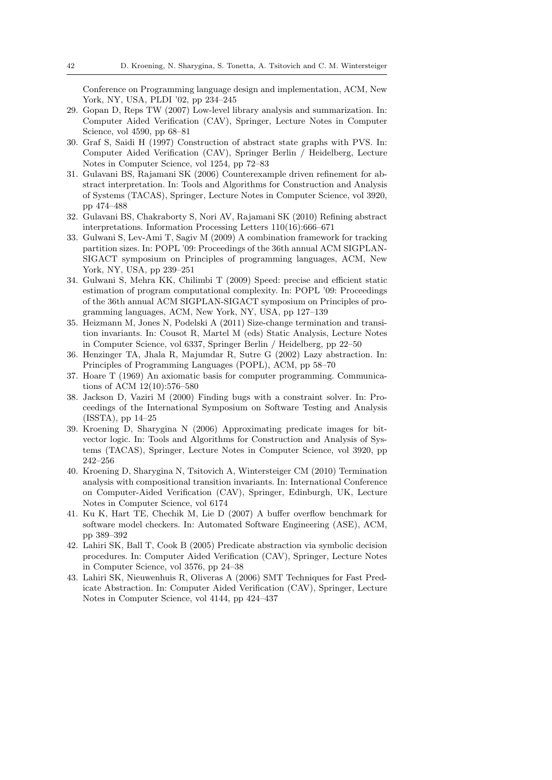Conference on Programming language design and implementation, ACM, New York, NY, USA, PLDI '02, pp 234–245

- <span id="page-41-7"></span>29. Gopan D, Reps TW (2007) Low-level library analysis and summarization. In: Computer Aided Verification (CAV), Springer, Lecture Notes in Computer Science, vol 4590, pp 68–81
- <span id="page-41-1"></span>30. Graf S, Saidi H (1997) Construction of abstract state graphs with PVS. In: Computer Aided Verification (CAV), Springer Berlin / Heidelberg, Lecture Notes in Computer Science, vol 1254, pp 72–83
- <span id="page-41-12"></span>31. Gulavani BS, Rajamani SK (2006) Counterexample driven refinement for abstract interpretation. In: Tools and Algorithms for Construction and Analysis of Systems (TACAS), Springer, Lecture Notes in Computer Science, vol 3920, pp 474–488
- <span id="page-41-13"></span>32. Gulavani BS, Chakraborty S, Nori AV, Rajamani SK (2010) Refining abstract interpretations. Information Processing Letters 110(16):666–671
- <span id="page-41-8"></span>33. Gulwani S, Lev-Ami T, Sagiv M (2009) A combination framework for tracking partition sizes. In: POPL '09: Proceedings of the 36th annual ACM SIGPLAN-SIGACT symposium on Principles of programming languages, ACM, New York, NY, USA, pp 239–251
- <span id="page-41-9"></span>34. Gulwani S, Mehra KK, Chilimbi T (2009) Speed: precise and efficient static estimation of program computational complexity. In: POPL '09: Proceedings of the 36th annual ACM SIGPLAN-SIGACT symposium on Principles of programming languages, ACM, New York, NY, USA, pp 127–139
- <span id="page-41-14"></span>35. Heizmann M, Jones N, Podelski A (2011) Size-change termination and transition invariants. In: Cousot R, Martel M (eds) Static Analysis, Lecture Notes in Computer Science, vol 6337, Springer Berlin / Heidelberg, pp 22–50
- <span id="page-41-11"></span>36. Henzinger TA, Jhala R, Majumdar R, Sutre G (2002) Lazy abstraction. In: Principles of Programming Languages (POPL), ACM, pp 58–70
- <span id="page-41-0"></span>37. Hoare T (1969) An axiomatic basis for computer programming. Communications of ACM 12(10):576–580
- <span id="page-41-10"></span>38. Jackson D, Vaziri M (2000) Finding bugs with a constraint solver. In: Proceedings of the International Symposium on Software Testing and Analysis (ISSTA), pp 14–25
- <span id="page-41-3"></span>39. Kroening D, Sharygina N (2006) Approximating predicate images for bitvector logic. In: Tools and Algorithms for Construction and Analysis of Systems (TACAS), Springer, Lecture Notes in Computer Science, vol 3920, pp 242–256
- <span id="page-41-5"></span>40. Kroening D, Sharygina N, Tsitovich A, Wintersteiger CM (2010) Termination analysis with compositional transition invariants. In: International Conference on Computer-Aided Verification (CAV), Springer, Edinburgh, UK, Lecture Notes in Computer Science, vol 6174
- <span id="page-41-6"></span>41. Ku K, Hart TE, Chechik M, Lie D (2007) A buffer overflow benchmark for software model checkers. In: Automated Software Engineering (ASE), ACM, pp 389–392
- <span id="page-41-2"></span>42. Lahiri SK, Ball T, Cook B (2005) Predicate abstraction via symbolic decision procedures. In: Computer Aided Verification (CAV), Springer, Lecture Notes in Computer Science, vol 3576, pp 24–38
- <span id="page-41-4"></span>43. Lahiri SK, Nieuwenhuis R, Oliveras A (2006) SMT Techniques for Fast Predicate Abstraction. In: Computer Aided Verification (CAV), Springer, Lecture Notes in Computer Science, vol 4144, pp 424–437